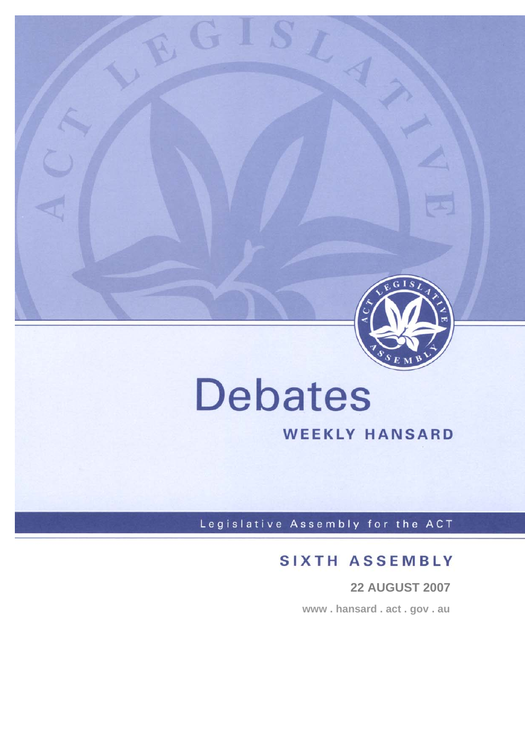

# **Debates**

 $G$  .

# **WEEKLY HANSARD**

Legislative Assembly for the ACT

# **SIXTH ASSEMBLY**

 **22 AUGUST 2007 www . hansard . act . gov . au**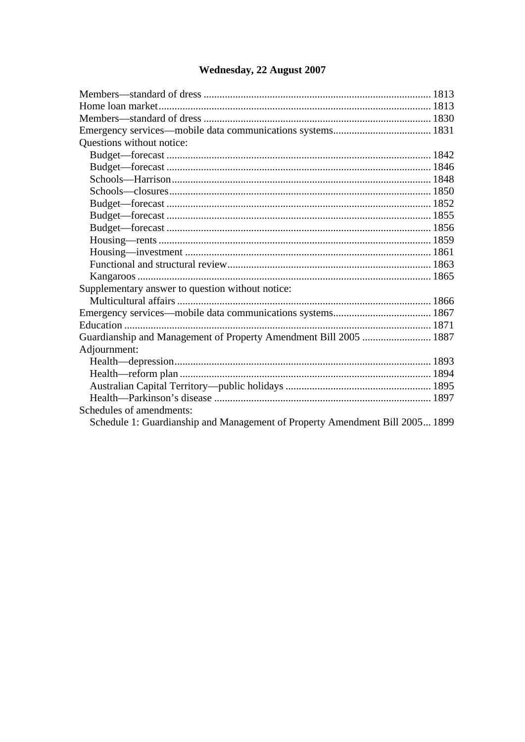## Wednesday, 22 August 2007

| Questions without notice:                                                    |  |
|------------------------------------------------------------------------------|--|
|                                                                              |  |
|                                                                              |  |
|                                                                              |  |
|                                                                              |  |
|                                                                              |  |
|                                                                              |  |
|                                                                              |  |
|                                                                              |  |
|                                                                              |  |
|                                                                              |  |
|                                                                              |  |
| Supplementary answer to question without notice:                             |  |
|                                                                              |  |
|                                                                              |  |
|                                                                              |  |
| Guardianship and Management of Property Amendment Bill 2005  1887            |  |
| Adjournment:                                                                 |  |
|                                                                              |  |
|                                                                              |  |
|                                                                              |  |
|                                                                              |  |
| Schedules of amendments:                                                     |  |
| Schedule 1: Guardianship and Management of Property Amendment Bill 2005 1899 |  |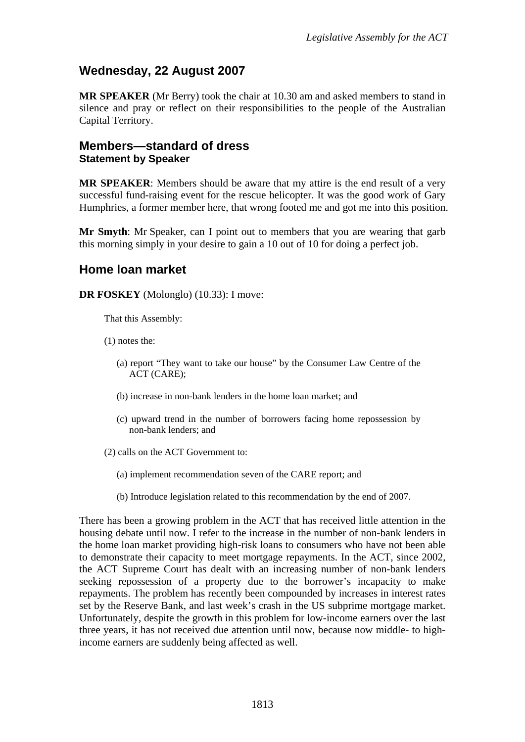## <span id="page-2-0"></span>**Wednesday, 22 August 2007**

**MR SPEAKER** (Mr Berry) took the chair at 10.30 am and asked members to stand in silence and pray or reflect on their responsibilities to the people of the Australian Capital Territory.

## **Members—standard of dress Statement by Speaker**

**MR SPEAKER**: Members should be aware that my attire is the end result of a very successful fund-raising event for the rescue helicopter. It was the good work of Gary Humphries, a former member here, that wrong footed me and got me into this position.

**Mr Smyth**: Mr Speaker, can I point out to members that you are wearing that garb this morning simply in your desire to gain a 10 out of 10 for doing a perfect job.

## **Home loan market**

**DR FOSKEY** (Molonglo) (10.33): I move:

That this Assembly:

- (1) notes the:
	- (a) report "They want to take our house" by the Consumer Law Centre of the ACT (CARE);
	- (b) increase in non-bank lenders in the home loan market; and
	- (c) upward trend in the number of borrowers facing home repossession by non-bank lenders; and
- (2) calls on the ACT Government to:
	- (a) implement recommendation seven of the CARE report; and
	- (b) Introduce legislation related to this recommendation by the end of 2007.

There has been a growing problem in the ACT that has received little attention in the housing debate until now. I refer to the increase in the number of non-bank lenders in the home loan market providing high-risk loans to consumers who have not been able to demonstrate their capacity to meet mortgage repayments. In the ACT, since 2002, the ACT Supreme Court has dealt with an increasing number of non-bank lenders seeking repossession of a property due to the borrower's incapacity to make repayments. The problem has recently been compounded by increases in interest rates set by the Reserve Bank, and last week's crash in the US subprime mortgage market. Unfortunately, despite the growth in this problem for low-income earners over the last three years, it has not received due attention until now, because now middle- to highincome earners are suddenly being affected as well.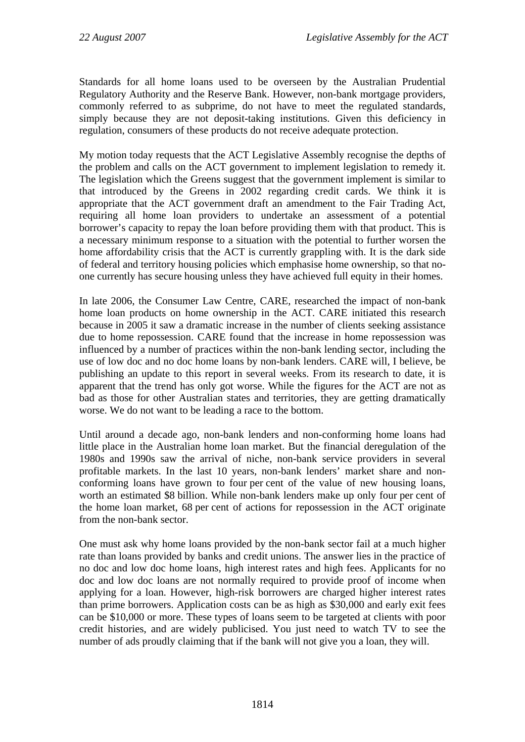Standards for all home loans used to be overseen by the Australian Prudential Regulatory Authority and the Reserve Bank. However, non-bank mortgage providers, commonly referred to as subprime, do not have to meet the regulated standards, simply because they are not deposit-taking institutions. Given this deficiency in regulation, consumers of these products do not receive adequate protection.

My motion today requests that the ACT Legislative Assembly recognise the depths of the problem and calls on the ACT government to implement legislation to remedy it. The legislation which the Greens suggest that the government implement is similar to that introduced by the Greens in 2002 regarding credit cards. We think it is appropriate that the ACT government draft an amendment to the Fair Trading Act, requiring all home loan providers to undertake an assessment of a potential borrower's capacity to repay the loan before providing them with that product. This is a necessary minimum response to a situation with the potential to further worsen the home affordability crisis that the ACT is currently grappling with. It is the dark side of federal and territory housing policies which emphasise home ownership, so that noone currently has secure housing unless they have achieved full equity in their homes.

In late 2006, the Consumer Law Centre, CARE, researched the impact of non-bank home loan products on home ownership in the ACT. CARE initiated this research because in 2005 it saw a dramatic increase in the number of clients seeking assistance due to home repossession. CARE found that the increase in home repossession was influenced by a number of practices within the non-bank lending sector, including the use of low doc and no doc home loans by non-bank lenders. CARE will, I believe, be publishing an update to this report in several weeks. From its research to date, it is apparent that the trend has only got worse. While the figures for the ACT are not as bad as those for other Australian states and territories, they are getting dramatically worse. We do not want to be leading a race to the bottom.

Until around a decade ago, non-bank lenders and non-conforming home loans had little place in the Australian home loan market. But the financial deregulation of the 1980s and 1990s saw the arrival of niche, non-bank service providers in several profitable markets. In the last 10 years, non-bank lenders' market share and nonconforming loans have grown to four per cent of the value of new housing loans, worth an estimated \$8 billion. While non-bank lenders make up only four per cent of the home loan market, 68 per cent of actions for repossession in the ACT originate from the non-bank sector.

One must ask why home loans provided by the non-bank sector fail at a much higher rate than loans provided by banks and credit unions. The answer lies in the practice of no doc and low doc home loans, high interest rates and high fees. Applicants for no doc and low doc loans are not normally required to provide proof of income when applying for a loan. However, high-risk borrowers are charged higher interest rates than prime borrowers. Application costs can be as high as \$30,000 and early exit fees can be \$10,000 or more. These types of loans seem to be targeted at clients with poor credit histories, and are widely publicised. You just need to watch TV to see the number of ads proudly claiming that if the bank will not give you a loan, they will.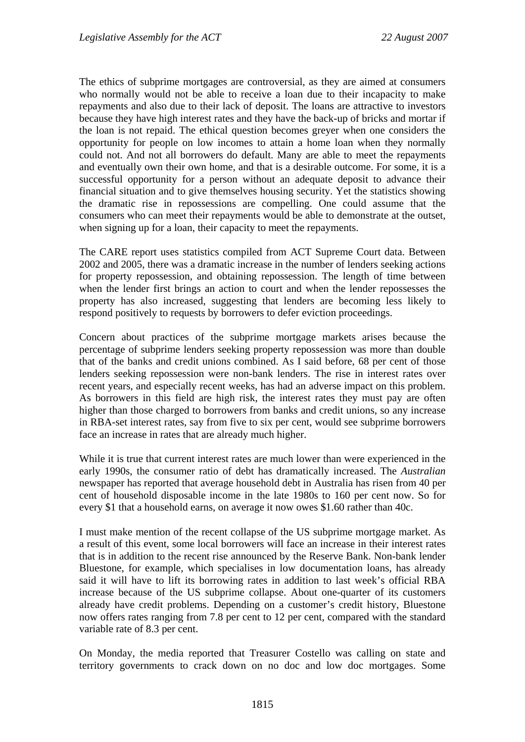The ethics of subprime mortgages are controversial, as they are aimed at consumers who normally would not be able to receive a loan due to their incapacity to make repayments and also due to their lack of deposit. The loans are attractive to investors because they have high interest rates and they have the back-up of bricks and mortar if the loan is not repaid. The ethical question becomes greyer when one considers the opportunity for people on low incomes to attain a home loan when they normally could not. And not all borrowers do default. Many are able to meet the repayments and eventually own their own home, and that is a desirable outcome. For some, it is a successful opportunity for a person without an adequate deposit to advance their financial situation and to give themselves housing security. Yet the statistics showing the dramatic rise in repossessions are compelling. One could assume that the consumers who can meet their repayments would be able to demonstrate at the outset, when signing up for a loan, their capacity to meet the repayments.

The CARE report uses statistics compiled from ACT Supreme Court data. Between 2002 and 2005, there was a dramatic increase in the number of lenders seeking actions for property repossession, and obtaining repossession. The length of time between when the lender first brings an action to court and when the lender repossesses the property has also increased, suggesting that lenders are becoming less likely to respond positively to requests by borrowers to defer eviction proceedings.

Concern about practices of the subprime mortgage markets arises because the percentage of subprime lenders seeking property repossession was more than double that of the banks and credit unions combined. As I said before, 68 per cent of those lenders seeking repossession were non-bank lenders. The rise in interest rates over recent years, and especially recent weeks, has had an adverse impact on this problem. As borrowers in this field are high risk, the interest rates they must pay are often higher than those charged to borrowers from banks and credit unions, so any increase in RBA-set interest rates, say from five to six per cent, would see subprime borrowers face an increase in rates that are already much higher.

While it is true that current interest rates are much lower than were experienced in the early 1990s, the consumer ratio of debt has dramatically increased. The *Australian* newspaper has reported that average household debt in Australia has risen from 40 per cent of household disposable income in the late 1980s to 160 per cent now. So for every \$1 that a household earns, on average it now owes \$1.60 rather than 40c.

I must make mention of the recent collapse of the US subprime mortgage market. As a result of this event, some local borrowers will face an increase in their interest rates that is in addition to the recent rise announced by the Reserve Bank. Non-bank lender Bluestone, for example, which specialises in low documentation loans, has already said it will have to lift its borrowing rates in addition to last week's official RBA increase because of the US subprime collapse. About one-quarter of its customers already have credit problems. Depending on a customer's credit history, Bluestone now offers rates ranging from 7.8 per cent to 12 per cent, compared with the standard variable rate of 8.3 per cent.

On Monday, the media reported that Treasurer Costello was calling on state and territory governments to crack down on no doc and low doc mortgages. Some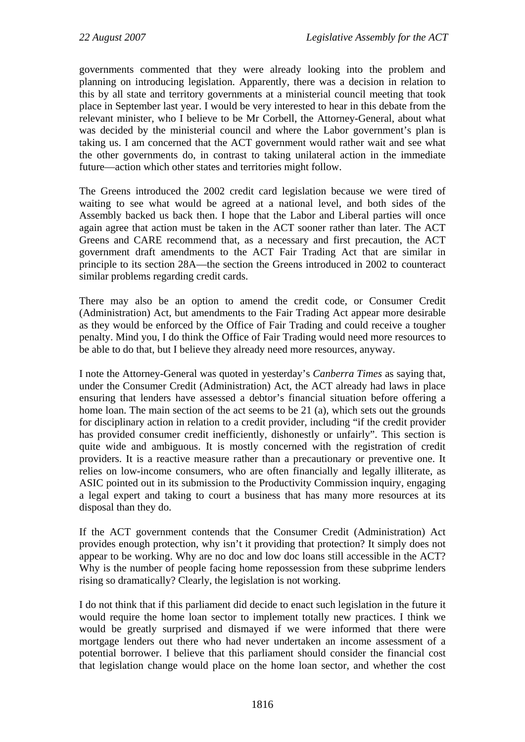governments commented that they were already looking into the problem and planning on introducing legislation. Apparently, there was a decision in relation to this by all state and territory governments at a ministerial council meeting that took place in September last year. I would be very interested to hear in this debate from the relevant minister, who I believe to be Mr Corbell, the Attorney-General, about what was decided by the ministerial council and where the Labor government's plan is taking us. I am concerned that the ACT government would rather wait and see what the other governments do, in contrast to taking unilateral action in the immediate future—action which other states and territories might follow.

The Greens introduced the 2002 credit card legislation because we were tired of waiting to see what would be agreed at a national level, and both sides of the Assembly backed us back then. I hope that the Labor and Liberal parties will once again agree that action must be taken in the ACT sooner rather than later. The ACT Greens and CARE recommend that, as a necessary and first precaution, the ACT government draft amendments to the ACT Fair Trading Act that are similar in principle to its section 28A—the section the Greens introduced in 2002 to counteract similar problems regarding credit cards.

There may also be an option to amend the credit code, or Consumer Credit (Administration) Act, but amendments to the Fair Trading Act appear more desirable as they would be enforced by the Office of Fair Trading and could receive a tougher penalty. Mind you, I do think the Office of Fair Trading would need more resources to be able to do that, but I believe they already need more resources, anyway.

I note the Attorney-General was quoted in yesterday's *Canberra Times* as saying that, under the Consumer Credit (Administration) Act, the ACT already had laws in place ensuring that lenders have assessed a debtor's financial situation before offering a home loan. The main section of the act seems to be 21 (a), which sets out the grounds for disciplinary action in relation to a credit provider, including "if the credit provider has provided consumer credit inefficiently, dishonestly or unfairly". This section is quite wide and ambiguous. It is mostly concerned with the registration of credit providers. It is a reactive measure rather than a precautionary or preventive one. It relies on low-income consumers, who are often financially and legally illiterate, as ASIC pointed out in its submission to the Productivity Commission inquiry, engaging a legal expert and taking to court a business that has many more resources at its disposal than they do.

If the ACT government contends that the Consumer Credit (Administration) Act provides enough protection, why isn't it providing that protection? It simply does not appear to be working. Why are no doc and low doc loans still accessible in the ACT? Why is the number of people facing home repossession from these subprime lenders rising so dramatically? Clearly, the legislation is not working.

I do not think that if this parliament did decide to enact such legislation in the future it would require the home loan sector to implement totally new practices. I think we would be greatly surprised and dismayed if we were informed that there were mortgage lenders out there who had never undertaken an income assessment of a potential borrower. I believe that this parliament should consider the financial cost that legislation change would place on the home loan sector, and whether the cost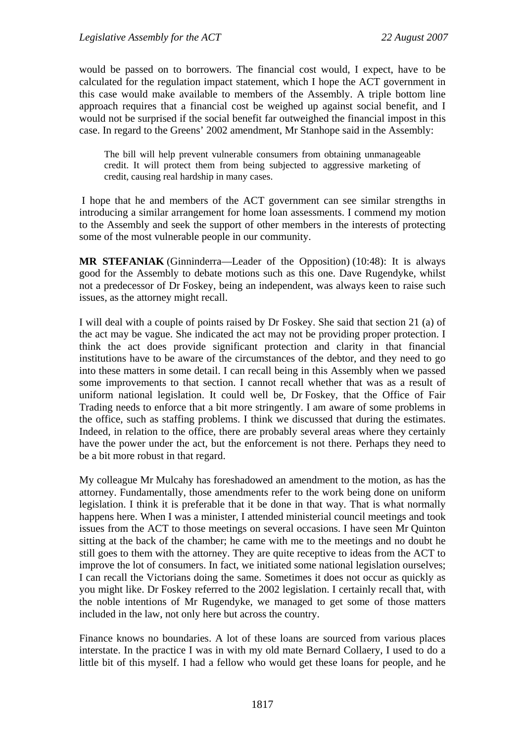would be passed on to borrowers. The financial cost would, I expect, have to be calculated for the regulation impact statement, which I hope the ACT government in this case would make available to members of the Assembly. A triple bottom line approach requires that a financial cost be weighed up against social benefit, and I would not be surprised if the social benefit far outweighed the financial impost in this case. In regard to the Greens' 2002 amendment, Mr Stanhope said in the Assembly:

The bill will help prevent vulnerable consumers from obtaining unmanageable credit. It will protect them from being subjected to aggressive marketing of credit, causing real hardship in many cases.

 I hope that he and members of the ACT government can see similar strengths in introducing a similar arrangement for home loan assessments. I commend my motion to the Assembly and seek the support of other members in the interests of protecting some of the most vulnerable people in our community.

**MR STEFANIAK** (Ginninderra—Leader of the Opposition) (10:48): It is always good for the Assembly to debate motions such as this one. Dave Rugendyke, whilst not a predecessor of Dr Foskey, being an independent, was always keen to raise such issues, as the attorney might recall.

I will deal with a couple of points raised by Dr Foskey. She said that section 21 (a) of the act may be vague. She indicated the act may not be providing proper protection. I think the act does provide significant protection and clarity in that financial institutions have to be aware of the circumstances of the debtor, and they need to go into these matters in some detail. I can recall being in this Assembly when we passed some improvements to that section. I cannot recall whether that was as a result of uniform national legislation. It could well be, Dr Foskey, that the Office of Fair Trading needs to enforce that a bit more stringently. I am aware of some problems in the office, such as staffing problems. I think we discussed that during the estimates. Indeed, in relation to the office, there are probably several areas where they certainly have the power under the act, but the enforcement is not there. Perhaps they need to be a bit more robust in that regard.

My colleague Mr Mulcahy has foreshadowed an amendment to the motion, as has the attorney. Fundamentally, those amendments refer to the work being done on uniform legislation. I think it is preferable that it be done in that way. That is what normally happens here. When I was a minister, I attended ministerial council meetings and took issues from the ACT to those meetings on several occasions. I have seen Mr Quinton sitting at the back of the chamber; he came with me to the meetings and no doubt he still goes to them with the attorney. They are quite receptive to ideas from the ACT to improve the lot of consumers. In fact, we initiated some national legislation ourselves; I can recall the Victorians doing the same. Sometimes it does not occur as quickly as you might like. Dr Foskey referred to the 2002 legislation. I certainly recall that, with the noble intentions of Mr Rugendyke, we managed to get some of those matters included in the law, not only here but across the country.

Finance knows no boundaries. A lot of these loans are sourced from various places interstate. In the practice I was in with my old mate Bernard Collaery, I used to do a little bit of this myself. I had a fellow who would get these loans for people, and he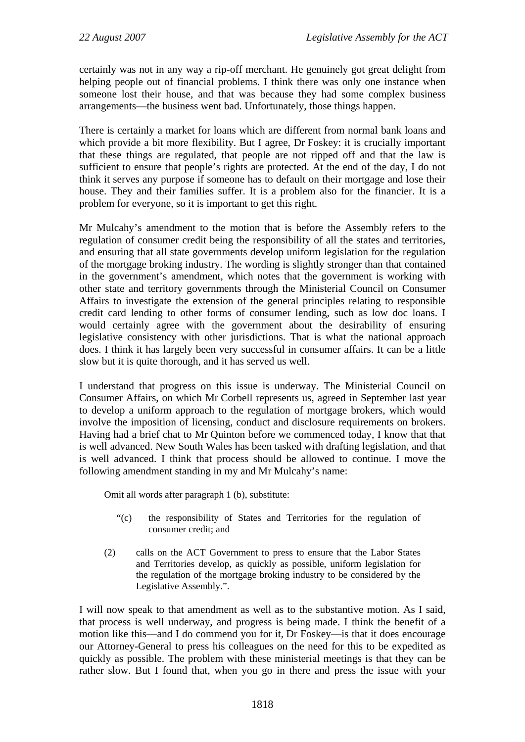certainly was not in any way a rip-off merchant. He genuinely got great delight from helping people out of financial problems. I think there was only one instance when someone lost their house, and that was because they had some complex business arrangements—the business went bad. Unfortunately, those things happen.

There is certainly a market for loans which are different from normal bank loans and which provide a bit more flexibility. But I agree, Dr Foskey: it is crucially important that these things are regulated, that people are not ripped off and that the law is sufficient to ensure that people's rights are protected. At the end of the day, I do not think it serves any purpose if someone has to default on their mortgage and lose their house. They and their families suffer. It is a problem also for the financier. It is a problem for everyone, so it is important to get this right.

Mr Mulcahy's amendment to the motion that is before the Assembly refers to the regulation of consumer credit being the responsibility of all the states and territories, and ensuring that all state governments develop uniform legislation for the regulation of the mortgage broking industry. The wording is slightly stronger than that contained in the government's amendment, which notes that the government is working with other state and territory governments through the Ministerial Council on Consumer Affairs to investigate the extension of the general principles relating to responsible credit card lending to other forms of consumer lending, such as low doc loans. I would certainly agree with the government about the desirability of ensuring legislative consistency with other jurisdictions. That is what the national approach does. I think it has largely been very successful in consumer affairs. It can be a little slow but it is quite thorough, and it has served us well.

I understand that progress on this issue is underway. The Ministerial Council on Consumer Affairs, on which Mr Corbell represents us, agreed in September last year to develop a uniform approach to the regulation of mortgage brokers, which would involve the imposition of licensing, conduct and disclosure requirements on brokers. Having had a brief chat to Mr Quinton before we commenced today, I know that that is well advanced. New South Wales has been tasked with drafting legislation, and that is well advanced. I think that process should be allowed to continue. I move the following amendment standing in my and Mr Mulcahy's name:

Omit all words after paragraph 1 (b), substitute:

- "(c) the responsibility of States and Territories for the regulation of consumer credit; and
- (2) calls on the ACT Government to press to ensure that the Labor States and Territories develop, as quickly as possible, uniform legislation for the regulation of the mortgage broking industry to be considered by the Legislative Assembly.".

I will now speak to that amendment as well as to the substantive motion. As I said, that process is well underway, and progress is being made. I think the benefit of a motion like this—and I do commend you for it, Dr Foskey—is that it does encourage our Attorney-General to press his colleagues on the need for this to be expedited as quickly as possible. The problem with these ministerial meetings is that they can be rather slow. But I found that, when you go in there and press the issue with your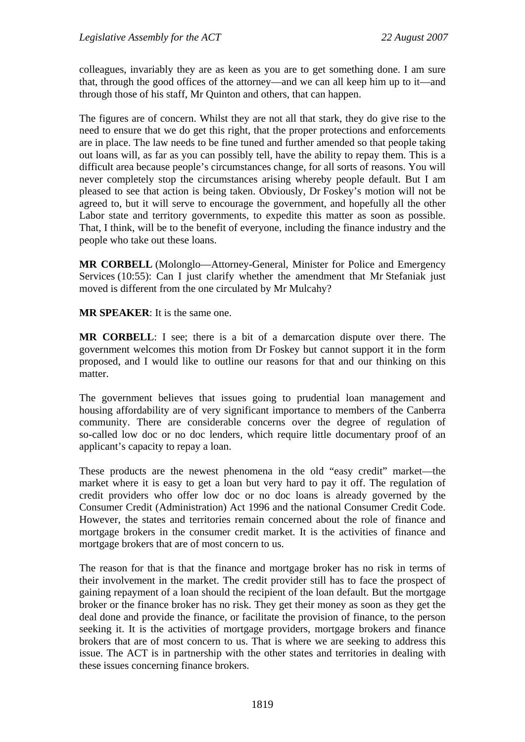colleagues, invariably they are as keen as you are to get something done. I am sure that, through the good offices of the attorney—and we can all keep him up to it—and through those of his staff, Mr Quinton and others, that can happen.

The figures are of concern. Whilst they are not all that stark, they do give rise to the need to ensure that we do get this right, that the proper protections and enforcements are in place. The law needs to be fine tuned and further amended so that people taking out loans will, as far as you can possibly tell, have the ability to repay them. This is a difficult area because people's circumstances change, for all sorts of reasons. You will never completely stop the circumstances arising whereby people default. But I am pleased to see that action is being taken. Obviously, Dr Foskey's motion will not be agreed to, but it will serve to encourage the government, and hopefully all the other Labor state and territory governments, to expedite this matter as soon as possible. That, I think, will be to the benefit of everyone, including the finance industry and the people who take out these loans.

**MR CORBELL** (Molonglo—Attorney-General, Minister for Police and Emergency Services (10:55): Can I just clarify whether the amendment that Mr Stefaniak just moved is different from the one circulated by Mr Mulcahy?

**MR SPEAKER**: It is the same one.

**MR CORBELL**: I see; there is a bit of a demarcation dispute over there. The government welcomes this motion from Dr Foskey but cannot support it in the form proposed, and I would like to outline our reasons for that and our thinking on this matter.

The government believes that issues going to prudential loan management and housing affordability are of very significant importance to members of the Canberra community. There are considerable concerns over the degree of regulation of so-called low doc or no doc lenders, which require little documentary proof of an applicant's capacity to repay a loan.

These products are the newest phenomena in the old "easy credit" market—the market where it is easy to get a loan but very hard to pay it off. The regulation of credit providers who offer low doc or no doc loans is already governed by the Consumer Credit (Administration) Act 1996 and the national Consumer Credit Code. However, the states and territories remain concerned about the role of finance and mortgage brokers in the consumer credit market. It is the activities of finance and mortgage brokers that are of most concern to us.

The reason for that is that the finance and mortgage broker has no risk in terms of their involvement in the market. The credit provider still has to face the prospect of gaining repayment of a loan should the recipient of the loan default. But the mortgage broker or the finance broker has no risk. They get their money as soon as they get the deal done and provide the finance, or facilitate the provision of finance, to the person seeking it. It is the activities of mortgage providers, mortgage brokers and finance brokers that are of most concern to us. That is where we are seeking to address this issue. The ACT is in partnership with the other states and territories in dealing with these issues concerning finance brokers.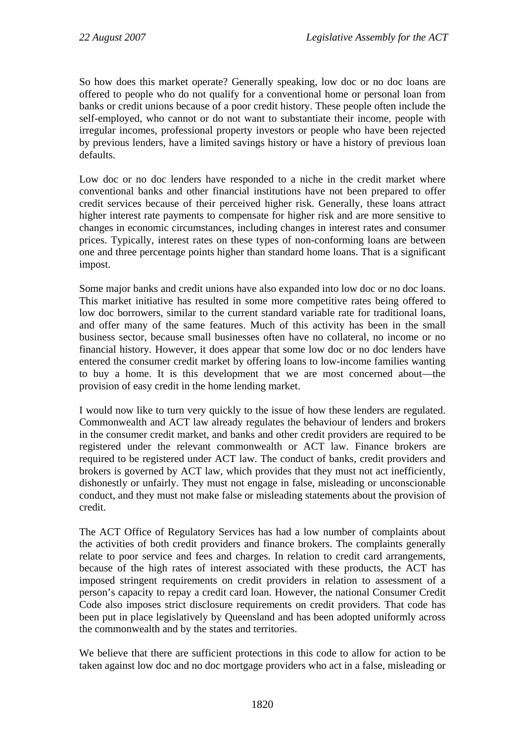So how does this market operate? Generally speaking, low doc or no doc loans are offered to people who do not qualify for a conventional home or personal loan from banks or credit unions because of a poor credit history. These people often include the self-employed, who cannot or do not want to substantiate their income, people with irregular incomes, professional property investors or people who have been rejected by previous lenders, have a limited savings history or have a history of previous loan defaults.

Low doc or no doc lenders have responded to a niche in the credit market where conventional banks and other financial institutions have not been prepared to offer credit services because of their perceived higher risk. Generally, these loans attract higher interest rate payments to compensate for higher risk and are more sensitive to changes in economic circumstances, including changes in interest rates and consumer prices. Typically, interest rates on these types of non-conforming loans are between one and three percentage points higher than standard home loans. That is a significant impost.

Some major banks and credit unions have also expanded into low doc or no doc loans. This market initiative has resulted in some more competitive rates being offered to low doc borrowers, similar to the current standard variable rate for traditional loans, and offer many of the same features. Much of this activity has been in the small business sector, because small businesses often have no collateral, no income or no financial history. However, it does appear that some low doc or no doc lenders have entered the consumer credit market by offering loans to low-income families wanting to buy a home. It is this development that we are most concerned about—the provision of easy credit in the home lending market.

I would now like to turn very quickly to the issue of how these lenders are regulated. Commonwealth and ACT law already regulates the behaviour of lenders and brokers in the consumer credit market, and banks and other credit providers are required to be registered under the relevant commonwealth or ACT law. Finance brokers are required to be registered under ACT law. The conduct of banks, credit providers and brokers is governed by ACT law, which provides that they must not act inefficiently, dishonestly or unfairly. They must not engage in false, misleading or unconscionable conduct, and they must not make false or misleading statements about the provision of credit.

The ACT Office of Regulatory Services has had a low number of complaints about the activities of both credit providers and finance brokers. The complaints generally relate to poor service and fees and charges. In relation to credit card arrangements, because of the high rates of interest associated with these products, the ACT has imposed stringent requirements on credit providers in relation to assessment of a person's capacity to repay a credit card loan. However, the national Consumer Credit Code also imposes strict disclosure requirements on credit providers. That code has been put in place legislatively by Queensland and has been adopted uniformly across the commonwealth and by the states and territories.

We believe that there are sufficient protections in this code to allow for action to be taken against low doc and no doc mortgage providers who act in a false, misleading or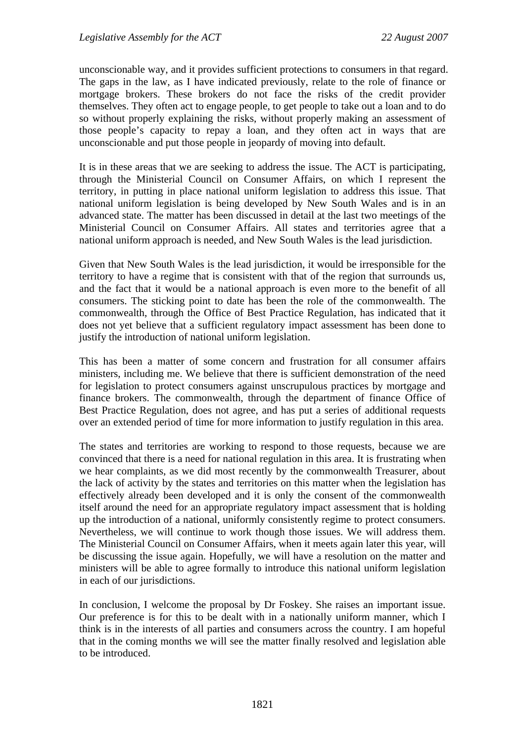unconscionable way, and it provides sufficient protections to consumers in that regard. The gaps in the law, as I have indicated previously, relate to the role of finance or mortgage brokers. These brokers do not face the risks of the credit provider themselves. They often act to engage people, to get people to take out a loan and to do so without properly explaining the risks, without properly making an assessment of those people's capacity to repay a loan, and they often act in ways that are unconscionable and put those people in jeopardy of moving into default.

It is in these areas that we are seeking to address the issue. The ACT is participating, through the Ministerial Council on Consumer Affairs, on which I represent the territory, in putting in place national uniform legislation to address this issue. That national uniform legislation is being developed by New South Wales and is in an advanced state. The matter has been discussed in detail at the last two meetings of the Ministerial Council on Consumer Affairs. All states and territories agree that a national uniform approach is needed, and New South Wales is the lead jurisdiction.

Given that New South Wales is the lead jurisdiction, it would be irresponsible for the territory to have a regime that is consistent with that of the region that surrounds us, and the fact that it would be a national approach is even more to the benefit of all consumers. The sticking point to date has been the role of the commonwealth. The commonwealth, through the Office of Best Practice Regulation, has indicated that it does not yet believe that a sufficient regulatory impact assessment has been done to justify the introduction of national uniform legislation.

This has been a matter of some concern and frustration for all consumer affairs ministers, including me. We believe that there is sufficient demonstration of the need for legislation to protect consumers against unscrupulous practices by mortgage and finance brokers. The commonwealth, through the department of finance Office of Best Practice Regulation, does not agree, and has put a series of additional requests over an extended period of time for more information to justify regulation in this area.

The states and territories are working to respond to those requests, because we are convinced that there is a need for national regulation in this area. It is frustrating when we hear complaints, as we did most recently by the commonwealth Treasurer, about the lack of activity by the states and territories on this matter when the legislation has effectively already been developed and it is only the consent of the commonwealth itself around the need for an appropriate regulatory impact assessment that is holding up the introduction of a national, uniformly consistently regime to protect consumers. Nevertheless, we will continue to work though those issues. We will address them. The Ministerial Council on Consumer Affairs, when it meets again later this year, will be discussing the issue again. Hopefully, we will have a resolution on the matter and ministers will be able to agree formally to introduce this national uniform legislation in each of our jurisdictions.

In conclusion, I welcome the proposal by Dr Foskey. She raises an important issue. Our preference is for this to be dealt with in a nationally uniform manner, which I think is in the interests of all parties and consumers across the country. I am hopeful that in the coming months we will see the matter finally resolved and legislation able to be introduced.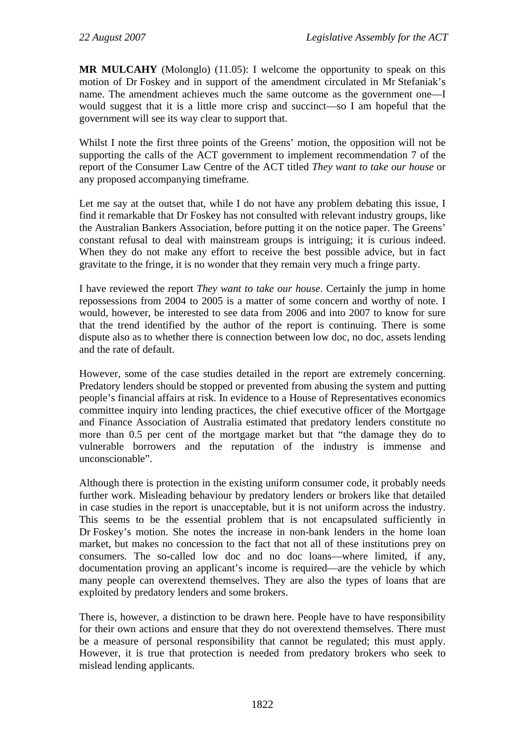**MR MULCAHY** (Molonglo) (11.05): I welcome the opportunity to speak on this motion of Dr Foskey and in support of the amendment circulated in Mr Stefaniak's name. The amendment achieves much the same outcome as the government one—I would suggest that it is a little more crisp and succinct—so I am hopeful that the government will see its way clear to support that.

Whilst I note the first three points of the Greens' motion, the opposition will not be supporting the calls of the ACT government to implement recommendation 7 of the report of the Consumer Law Centre of the ACT titled *They want to take our house* or any proposed accompanying timeframe.

Let me say at the outset that, while I do not have any problem debating this issue, I find it remarkable that Dr Foskey has not consulted with relevant industry groups, like the Australian Bankers Association, before putting it on the notice paper. The Greens' constant refusal to deal with mainstream groups is intriguing; it is curious indeed. When they do not make any effort to receive the best possible advice, but in fact gravitate to the fringe, it is no wonder that they remain very much a fringe party.

I have reviewed the report *They want to take our house*. Certainly the jump in home repossessions from 2004 to 2005 is a matter of some concern and worthy of note. I would, however, be interested to see data from 2006 and into 2007 to know for sure that the trend identified by the author of the report is continuing. There is some dispute also as to whether there is connection between low doc, no doc, assets lending and the rate of default.

However, some of the case studies detailed in the report are extremely concerning. Predatory lenders should be stopped or prevented from abusing the system and putting people's financial affairs at risk. In evidence to a House of Representatives economics committee inquiry into lending practices, the chief executive officer of the Mortgage and Finance Association of Australia estimated that predatory lenders constitute no more than 0.5 per cent of the mortgage market but that "the damage they do to vulnerable borrowers and the reputation of the industry is immense and unconscionable".

Although there is protection in the existing uniform consumer code, it probably needs further work. Misleading behaviour by predatory lenders or brokers like that detailed in case studies in the report is unacceptable, but it is not uniform across the industry. This seems to be the essential problem that is not encapsulated sufficiently in Dr Foskey's motion. She notes the increase in non-bank lenders in the home loan market, but makes no concession to the fact that not all of these institutions prey on consumers. The so-called low doc and no doc loans—where limited, if any, documentation proving an applicant's income is required—are the vehicle by which many people can overextend themselves. They are also the types of loans that are exploited by predatory lenders and some brokers.

There is, however, a distinction to be drawn here. People have to have responsibility for their own actions and ensure that they do not overextend themselves. There must be a measure of personal responsibility that cannot be regulated; this must apply. However, it is true that protection is needed from predatory brokers who seek to mislead lending applicants.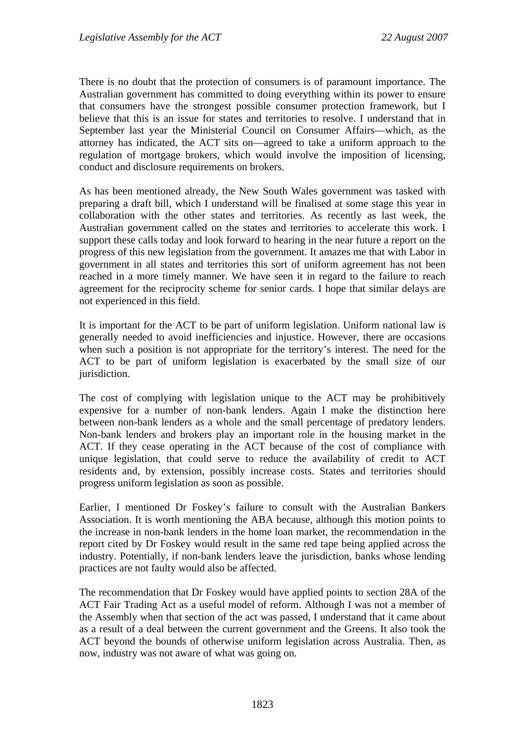There is no doubt that the protection of consumers is of paramount importance. The Australian government has committed to doing everything within its power to ensure that consumers have the strongest possible consumer protection framework, but I believe that this is an issue for states and territories to resolve. I understand that in September last year the Ministerial Council on Consumer Affairs—which, as the attorney has indicated, the ACT sits on—agreed to take a uniform approach to the regulation of mortgage brokers, which would involve the imposition of licensing, conduct and disclosure requirements on brokers.

As has been mentioned already, the New South Wales government was tasked with preparing a draft bill, which I understand will be finalised at some stage this year in collaboration with the other states and territories. As recently as last week, the Australian government called on the states and territories to accelerate this work. I support these calls today and look forward to hearing in the near future a report on the progress of this new legislation from the government. It amazes me that with Labor in government in all states and territories this sort of uniform agreement has not been reached in a more timely manner. We have seen it in regard to the failure to reach agreement for the reciprocity scheme for senior cards. I hope that similar delays are not experienced in this field.

It is important for the ACT to be part of uniform legislation. Uniform national law is generally needed to avoid inefficiencies and injustice. However, there are occasions when such a position is not appropriate for the territory's interest. The need for the ACT to be part of uniform legislation is exacerbated by the small size of our jurisdiction.

The cost of complying with legislation unique to the ACT may be prohibitively expensive for a number of non-bank lenders. Again I make the distinction here between non-bank lenders as a whole and the small percentage of predatory lenders. Non-bank lenders and brokers play an important role in the housing market in the ACT. If they cease operating in the ACT because of the cost of compliance with unique legislation, that could serve to reduce the availability of credit to ACT residents and, by extension, possibly increase costs. States and territories should progress uniform legislation as soon as possible.

Earlier, I mentioned Dr Foskey's failure to consult with the Australian Bankers Association. It is worth mentioning the ABA because, although this motion points to the increase in non-bank lenders in the home loan market, the recommendation in the report cited by Dr Foskey would result in the same red tape being applied across the industry. Potentially, if non-bank lenders leave the jurisdiction, banks whose lending practices are not faulty would also be affected.

The recommendation that Dr Foskey would have applied points to section 28A of the ACT Fair Trading Act as a useful model of reform. Although I was not a member of the Assembly when that section of the act was passed, I understand that it came about as a result of a deal between the current government and the Greens. It also took the ACT beyond the bounds of otherwise uniform legislation across Australia. Then, as now, industry was not aware of what was going on.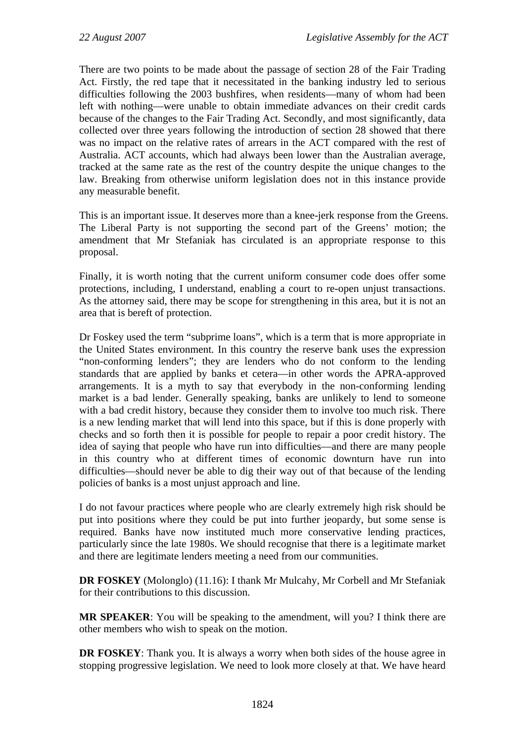There are two points to be made about the passage of section 28 of the Fair Trading Act. Firstly, the red tape that it necessitated in the banking industry led to serious difficulties following the 2003 bushfires, when residents—many of whom had been left with nothing—were unable to obtain immediate advances on their credit cards because of the changes to the Fair Trading Act. Secondly, and most significantly, data collected over three years following the introduction of section 28 showed that there was no impact on the relative rates of arrears in the ACT compared with the rest of Australia. ACT accounts, which had always been lower than the Australian average, tracked at the same rate as the rest of the country despite the unique changes to the law. Breaking from otherwise uniform legislation does not in this instance provide any measurable benefit.

This is an important issue. It deserves more than a knee-jerk response from the Greens. The Liberal Party is not supporting the second part of the Greens' motion; the amendment that Mr Stefaniak has circulated is an appropriate response to this proposal.

Finally, it is worth noting that the current uniform consumer code does offer some protections, including, I understand, enabling a court to re-open unjust transactions. As the attorney said, there may be scope for strengthening in this area, but it is not an area that is bereft of protection.

Dr Foskey used the term "subprime loans", which is a term that is more appropriate in the United States environment. In this country the reserve bank uses the expression "non-conforming lenders"; they are lenders who do not conform to the lending standards that are applied by banks et cetera—in other words the APRA-approved arrangements. It is a myth to say that everybody in the non-conforming lending market is a bad lender. Generally speaking, banks are unlikely to lend to someone with a bad credit history, because they consider them to involve too much risk. There is a new lending market that will lend into this space, but if this is done properly with checks and so forth then it is possible for people to repair a poor credit history. The idea of saying that people who have run into difficulties—and there are many people in this country who at different times of economic downturn have run into difficulties—should never be able to dig their way out of that because of the lending policies of banks is a most unjust approach and line.

I do not favour practices where people who are clearly extremely high risk should be put into positions where they could be put into further jeopardy, but some sense is required. Banks have now instituted much more conservative lending practices, particularly since the late 1980s. We should recognise that there is a legitimate market and there are legitimate lenders meeting a need from our communities.

**DR FOSKEY** (Molonglo) (11.16): I thank Mr Mulcahy, Mr Corbell and Mr Stefaniak for their contributions to this discussion.

**MR SPEAKER**: You will be speaking to the amendment, will you? I think there are other members who wish to speak on the motion.

**DR FOSKEY**: Thank you. It is always a worry when both sides of the house agree in stopping progressive legislation. We need to look more closely at that. We have heard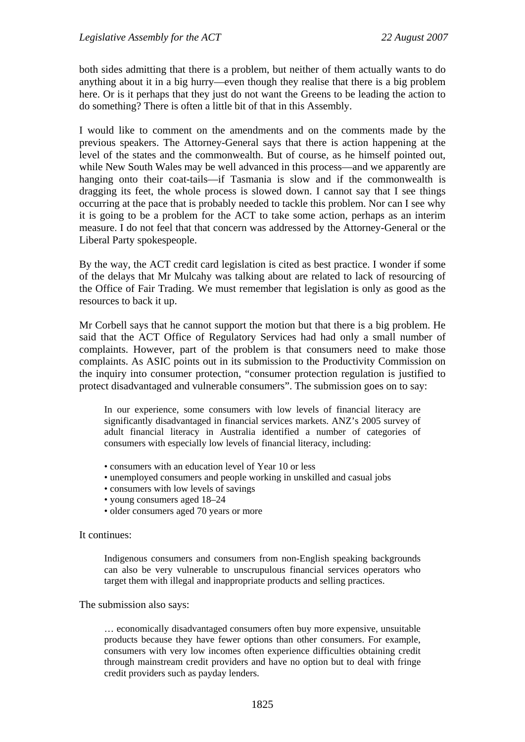both sides admitting that there is a problem, but neither of them actually wants to do anything about it in a big hurry—even though they realise that there is a big problem here. Or is it perhaps that they just do not want the Greens to be leading the action to do something? There is often a little bit of that in this Assembly.

I would like to comment on the amendments and on the comments made by the previous speakers. The Attorney-General says that there is action happening at the level of the states and the commonwealth. But of course, as he himself pointed out, while New South Wales may be well advanced in this process—and we apparently are hanging onto their coat-tails—if Tasmania is slow and if the commonwealth is dragging its feet, the whole process is slowed down. I cannot say that I see things occurring at the pace that is probably needed to tackle this problem. Nor can I see why it is going to be a problem for the ACT to take some action, perhaps as an interim measure. I do not feel that that concern was addressed by the Attorney-General or the Liberal Party spokespeople.

By the way, the ACT credit card legislation is cited as best practice. I wonder if some of the delays that Mr Mulcahy was talking about are related to lack of resourcing of the Office of Fair Trading. We must remember that legislation is only as good as the resources to back it up.

Mr Corbell says that he cannot support the motion but that there is a big problem. He said that the ACT Office of Regulatory Services had had only a small number of complaints. However, part of the problem is that consumers need to make those complaints. As ASIC points out in its submission to the Productivity Commission on the inquiry into consumer protection, "consumer protection regulation is justified to protect disadvantaged and vulnerable consumers". The submission goes on to say:

In our experience, some consumers with low levels of financial literacy are significantly disadvantaged in financial services markets. ANZ's 2005 survey of adult financial literacy in Australia identified a number of categories of consumers with especially low levels of financial literacy, including:

- consumers with an education level of Year 10 or less
- unemployed consumers and people working in unskilled and casual jobs
- consumers with low levels of savings
- young consumers aged 18–24
- older consumers aged 70 years or more

#### It continues:

Indigenous consumers and consumers from non-English speaking backgrounds can also be very vulnerable to unscrupulous financial services operators who target them with illegal and inappropriate products and selling practices.

#### The submission also says:

… economically disadvantaged consumers often buy more expensive, unsuitable products because they have fewer options than other consumers. For example, consumers with very low incomes often experience difficulties obtaining credit through mainstream credit providers and have no option but to deal with fringe credit providers such as payday lenders.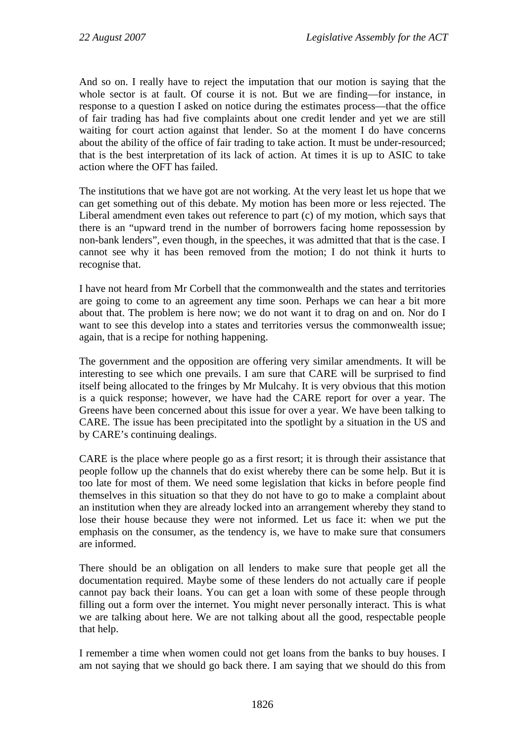And so on. I really have to reject the imputation that our motion is saying that the whole sector is at fault. Of course it is not. But we are finding—for instance, in response to a question I asked on notice during the estimates process—that the office of fair trading has had five complaints about one credit lender and yet we are still waiting for court action against that lender. So at the moment I do have concerns about the ability of the office of fair trading to take action. It must be under-resourced; that is the best interpretation of its lack of action. At times it is up to ASIC to take action where the OFT has failed.

The institutions that we have got are not working. At the very least let us hope that we can get something out of this debate. My motion has been more or less rejected. The Liberal amendment even takes out reference to part (c) of my motion, which says that there is an "upward trend in the number of borrowers facing home repossession by non-bank lenders", even though, in the speeches, it was admitted that that is the case. I cannot see why it has been removed from the motion; I do not think it hurts to recognise that.

I have not heard from Mr Corbell that the commonwealth and the states and territories are going to come to an agreement any time soon. Perhaps we can hear a bit more about that. The problem is here now; we do not want it to drag on and on. Nor do I want to see this develop into a states and territories versus the commonwealth issue: again, that is a recipe for nothing happening.

The government and the opposition are offering very similar amendments. It will be interesting to see which one prevails. I am sure that CARE will be surprised to find itself being allocated to the fringes by Mr Mulcahy. It is very obvious that this motion is a quick response; however, we have had the CARE report for over a year. The Greens have been concerned about this issue for over a year. We have been talking to CARE. The issue has been precipitated into the spotlight by a situation in the US and by CARE's continuing dealings.

CARE is the place where people go as a first resort; it is through their assistance that people follow up the channels that do exist whereby there can be some help. But it is too late for most of them. We need some legislation that kicks in before people find themselves in this situation so that they do not have to go to make a complaint about an institution when they are already locked into an arrangement whereby they stand to lose their house because they were not informed. Let us face it: when we put the emphasis on the consumer, as the tendency is, we have to make sure that consumers are informed.

There should be an obligation on all lenders to make sure that people get all the documentation required. Maybe some of these lenders do not actually care if people cannot pay back their loans. You can get a loan with some of these people through filling out a form over the internet. You might never personally interact. This is what we are talking about here. We are not talking about all the good, respectable people that help.

I remember a time when women could not get loans from the banks to buy houses. I am not saying that we should go back there. I am saying that we should do this from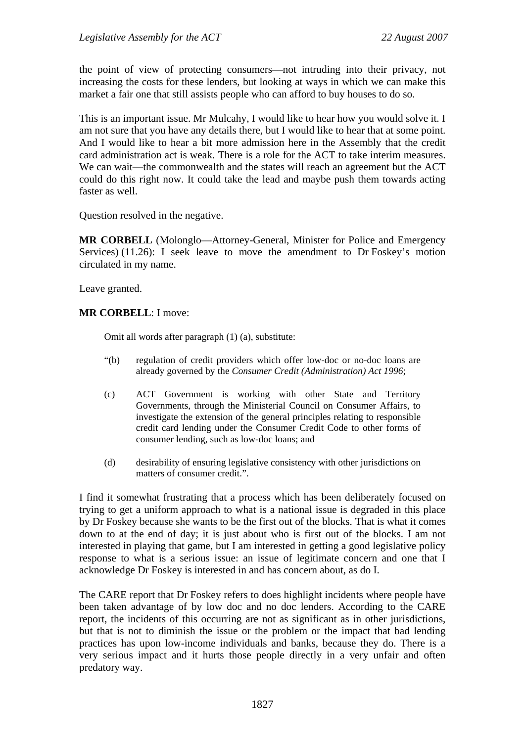the point of view of protecting consumers—not intruding into their privacy, not increasing the costs for these lenders, but looking at ways in which we can make this market a fair one that still assists people who can afford to buy houses to do so.

This is an important issue. Mr Mulcahy, I would like to hear how you would solve it. I am not sure that you have any details there, but I would like to hear that at some point. And I would like to hear a bit more admission here in the Assembly that the credit card administration act is weak. There is a role for the ACT to take interim measures. We can wait—the commonwealth and the states will reach an agreement but the ACT could do this right now. It could take the lead and maybe push them towards acting faster as well.

Question resolved in the negative.

**MR CORBELL** (Molonglo—Attorney-General, Minister for Police and Emergency Services) (11.26): I seek leave to move the amendment to Dr Foskey's motion circulated in my name.

Leave granted.

#### **MR CORBELL**: I move:

Omit all words after paragraph (1) (a), substitute:

- "(b) regulation of credit providers which offer low-doc or no-doc loans are already governed by the *Consumer Credit (Administration) Act 1996*;
- (c) ACT Government is working with other State and Territory Governments, through the Ministerial Council on Consumer Affairs, to investigate the extension of the general principles relating to responsible credit card lending under the Consumer Credit Code to other forms of consumer lending, such as low-doc loans; and
- (d) desirability of ensuring legislative consistency with other jurisdictions on matters of consumer credit.".

I find it somewhat frustrating that a process which has been deliberately focused on trying to get a uniform approach to what is a national issue is degraded in this place by Dr Foskey because she wants to be the first out of the blocks. That is what it comes down to at the end of day; it is just about who is first out of the blocks. I am not interested in playing that game, but I am interested in getting a good legislative policy response to what is a serious issue: an issue of legitimate concern and one that I acknowledge Dr Foskey is interested in and has concern about, as do I.

The CARE report that Dr Foskey refers to does highlight incidents where people have been taken advantage of by low doc and no doc lenders. According to the CARE report, the incidents of this occurring are not as significant as in other jurisdictions, but that is not to diminish the issue or the problem or the impact that bad lending practices has upon low-income individuals and banks, because they do. There is a very serious impact and it hurts those people directly in a very unfair and often predatory way.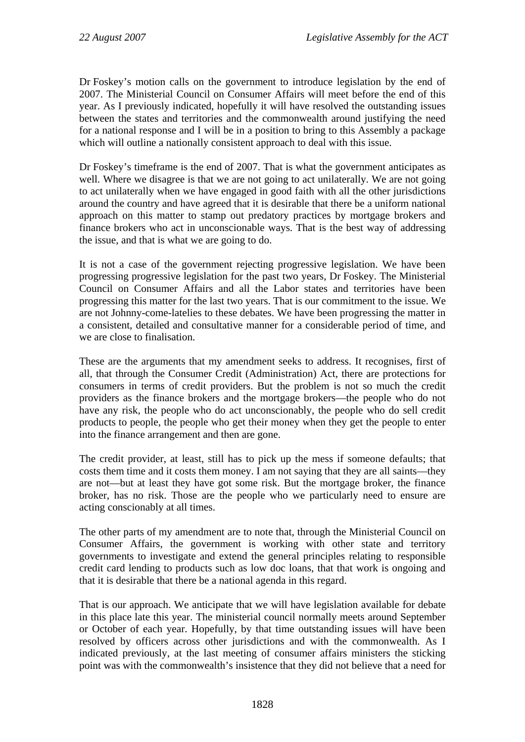Dr Foskey's motion calls on the government to introduce legislation by the end of 2007. The Ministerial Council on Consumer Affairs will meet before the end of this year. As I previously indicated, hopefully it will have resolved the outstanding issues between the states and territories and the commonwealth around justifying the need for a national response and I will be in a position to bring to this Assembly a package which will outline a nationally consistent approach to deal with this issue.

Dr Foskey's timeframe is the end of 2007. That is what the government anticipates as well. Where we disagree is that we are not going to act unilaterally. We are not going to act unilaterally when we have engaged in good faith with all the other jurisdictions around the country and have agreed that it is desirable that there be a uniform national approach on this matter to stamp out predatory practices by mortgage brokers and finance brokers who act in unconscionable ways. That is the best way of addressing the issue, and that is what we are going to do.

It is not a case of the government rejecting progressive legislation. We have been progressing progressive legislation for the past two years, Dr Foskey. The Ministerial Council on Consumer Affairs and all the Labor states and territories have been progressing this matter for the last two years. That is our commitment to the issue. We are not Johnny-come-latelies to these debates. We have been progressing the matter in a consistent, detailed and consultative manner for a considerable period of time, and we are close to finalisation.

These are the arguments that my amendment seeks to address. It recognises, first of all, that through the Consumer Credit (Administration) Act, there are protections for consumers in terms of credit providers. But the problem is not so much the credit providers as the finance brokers and the mortgage brokers—the people who do not have any risk, the people who do act unconscionably, the people who do sell credit products to people, the people who get their money when they get the people to enter into the finance arrangement and then are gone.

The credit provider, at least, still has to pick up the mess if someone defaults; that costs them time and it costs them money. I am not saying that they are all saints—they are not—but at least they have got some risk. But the mortgage broker, the finance broker, has no risk. Those are the people who we particularly need to ensure are acting conscionably at all times.

The other parts of my amendment are to note that, through the Ministerial Council on Consumer Affairs, the government is working with other state and territory governments to investigate and extend the general principles relating to responsible credit card lending to products such as low doc loans, that that work is ongoing and that it is desirable that there be a national agenda in this regard.

That is our approach. We anticipate that we will have legislation available for debate in this place late this year. The ministerial council normally meets around September or October of each year. Hopefully, by that time outstanding issues will have been resolved by officers across other jurisdictions and with the commonwealth. As I indicated previously, at the last meeting of consumer affairs ministers the sticking point was with the commonwealth's insistence that they did not believe that a need for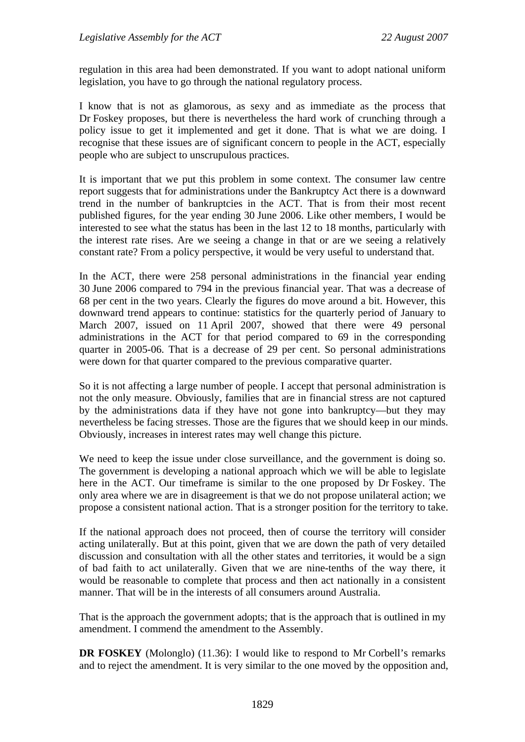regulation in this area had been demonstrated. If you want to adopt national uniform legislation, you have to go through the national regulatory process.

I know that is not as glamorous, as sexy and as immediate as the process that Dr Foskey proposes, but there is nevertheless the hard work of crunching through a policy issue to get it implemented and get it done. That is what we are doing. I recognise that these issues are of significant concern to people in the ACT, especially people who are subject to unscrupulous practices.

It is important that we put this problem in some context. The consumer law centre report suggests that for administrations under the Bankruptcy Act there is a downward trend in the number of bankruptcies in the ACT. That is from their most recent published figures, for the year ending 30 June 2006. Like other members, I would be interested to see what the status has been in the last 12 to 18 months, particularly with the interest rate rises. Are we seeing a change in that or are we seeing a relatively constant rate? From a policy perspective, it would be very useful to understand that.

In the ACT, there were 258 personal administrations in the financial year ending 30 June 2006 compared to 794 in the previous financial year. That was a decrease of 68 per cent in the two years. Clearly the figures do move around a bit. However, this downward trend appears to continue: statistics for the quarterly period of January to March 2007, issued on 11 April 2007, showed that there were 49 personal administrations in the ACT for that period compared to 69 in the corresponding quarter in 2005-06. That is a decrease of 29 per cent. So personal administrations were down for that quarter compared to the previous comparative quarter.

So it is not affecting a large number of people. I accept that personal administration is not the only measure. Obviously, families that are in financial stress are not captured by the administrations data if they have not gone into bankruptcy—but they may nevertheless be facing stresses. Those are the figures that we should keep in our minds. Obviously, increases in interest rates may well change this picture.

We need to keep the issue under close surveillance, and the government is doing so. The government is developing a national approach which we will be able to legislate here in the ACT. Our timeframe is similar to the one proposed by Dr Foskey. The only area where we are in disagreement is that we do not propose unilateral action; we propose a consistent national action. That is a stronger position for the territory to take.

If the national approach does not proceed, then of course the territory will consider acting unilaterally. But at this point, given that we are down the path of very detailed discussion and consultation with all the other states and territories, it would be a sign of bad faith to act unilaterally. Given that we are nine-tenths of the way there, it would be reasonable to complete that process and then act nationally in a consistent manner. That will be in the interests of all consumers around Australia.

That is the approach the government adopts; that is the approach that is outlined in my amendment. I commend the amendment to the Assembly.

**DR FOSKEY** (Molonglo) (11.36): I would like to respond to Mr Corbell's remarks and to reject the amendment. It is very similar to the one moved by the opposition and,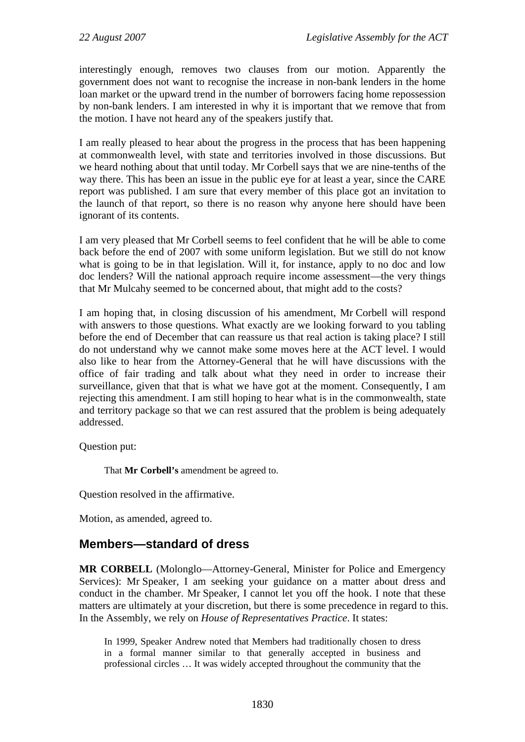<span id="page-19-0"></span>interestingly enough, removes two clauses from our motion. Apparently the government does not want to recognise the increase in non-bank lenders in the home loan market or the upward trend in the number of borrowers facing home repossession by non-bank lenders. I am interested in why it is important that we remove that from the motion. I have not heard any of the speakers justify that.

I am really pleased to hear about the progress in the process that has been happening at commonwealth level, with state and territories involved in those discussions. But we heard nothing about that until today. Mr Corbell says that we are nine-tenths of the way there. This has been an issue in the public eye for at least a year, since the CARE report was published. I am sure that every member of this place got an invitation to the launch of that report, so there is no reason why anyone here should have been ignorant of its contents.

I am very pleased that Mr Corbell seems to feel confident that he will be able to come back before the end of 2007 with some uniform legislation. But we still do not know what is going to be in that legislation. Will it, for instance, apply to no doc and low doc lenders? Will the national approach require income assessment—the very things that Mr Mulcahy seemed to be concerned about, that might add to the costs?

I am hoping that, in closing discussion of his amendment, Mr Corbell will respond with answers to those questions. What exactly are we looking forward to you tabling before the end of December that can reassure us that real action is taking place? I still do not understand why we cannot make some moves here at the ACT level. I would also like to hear from the Attorney-General that he will have discussions with the office of fair trading and talk about what they need in order to increase their surveillance, given that that is what we have got at the moment. Consequently, I am rejecting this amendment. I am still hoping to hear what is in the commonwealth, state and territory package so that we can rest assured that the problem is being adequately addressed.

Question put:

That **Mr Corbell's** amendment be agreed to.

Question resolved in the affirmative.

Motion, as amended, agreed to.

## **Members—standard of dress**

**MR CORBELL** (Molonglo—Attorney-General, Minister for Police and Emergency Services): Mr Speaker, I am seeking your guidance on a matter about dress and conduct in the chamber. Mr Speaker, I cannot let you off the hook. I note that these matters are ultimately at your discretion, but there is some precedence in regard to this. In the Assembly, we rely on *House of Representatives Practice*. It states:

In 1999, Speaker Andrew noted that Members had traditionally chosen to dress in a formal manner similar to that generally accepted in business and professional circles … It was widely accepted throughout the community that the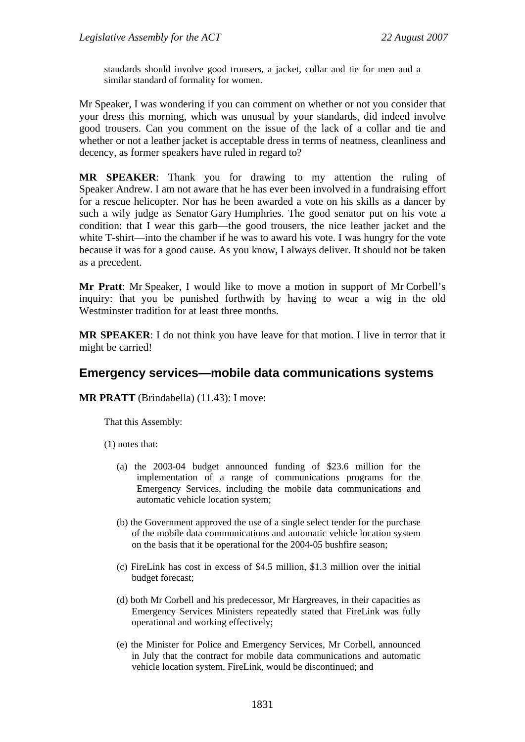<span id="page-20-0"></span>standards should involve good trousers, a jacket, collar and tie for men and a similar standard of formality for women.

Mr Speaker, I was wondering if you can comment on whether or not you consider that your dress this morning, which was unusual by your standards, did indeed involve good trousers. Can you comment on the issue of the lack of a collar and tie and whether or not a leather jacket is acceptable dress in terms of neatness, cleanliness and decency, as former speakers have ruled in regard to?

**MR SPEAKER**: Thank you for drawing to my attention the ruling of Speaker Andrew. I am not aware that he has ever been involved in a fundraising effort for a rescue helicopter. Nor has he been awarded a vote on his skills as a dancer by such a wily judge as Senator Gary Humphries. The good senator put on his vote a condition: that I wear this garb—the good trousers, the nice leather jacket and the white T-shirt—into the chamber if he was to award his vote. I was hungry for the vote because it was for a good cause. As you know, I always deliver. It should not be taken as a precedent.

**Mr Pratt**: Mr Speaker, I would like to move a motion in support of Mr Corbell's inquiry: that you be punished forthwith by having to wear a wig in the old Westminster tradition for at least three months.

**MR SPEAKER**: I do not think you have leave for that motion. I live in terror that it might be carried!

## **Emergency services—mobile data communications systems**

**MR PRATT** (Brindabella) (11.43): I move:

That this Assembly:

(1) notes that:

- (a) the 2003-04 budget announced funding of \$23.6 million for the implementation of a range of communications programs for the Emergency Services, including the mobile data communications and automatic vehicle location system;
- (b) the Government approved the use of a single select tender for the purchase of the mobile data communications and automatic vehicle location system on the basis that it be operational for the 2004-05 bushfire season;
- (c) FireLink has cost in excess of \$4.5 million, \$1.3 million over the initial budget forecast;
- (d) both Mr Corbell and his predecessor, Mr Hargreaves, in their capacities as Emergency Services Ministers repeatedly stated that FireLink was fully operational and working effectively;
- (e) the Minister for Police and Emergency Services, Mr Corbell, announced in July that the contract for mobile data communications and automatic vehicle location system, FireLink, would be discontinued; and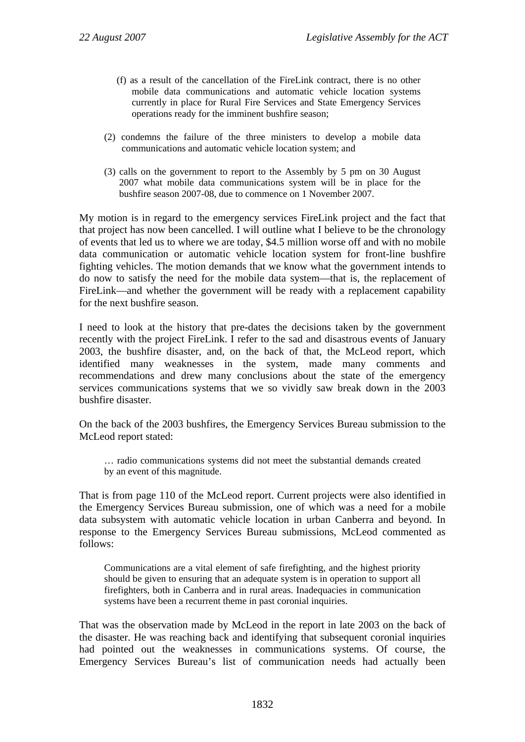- (f) as a result of the cancellation of the FireLink contract, there is no other mobile data communications and automatic vehicle location systems currently in place for Rural Fire Services and State Emergency Services operations ready for the imminent bushfire season;
- (2) condemns the failure of the three ministers to develop a mobile data communications and automatic vehicle location system; and
- (3) calls on the government to report to the Assembly by 5 pm on 30 August 2007 what mobile data communications system will be in place for the bushfire season 2007-08, due to commence on 1 November 2007.

My motion is in regard to the emergency services FireLink project and the fact that that project has now been cancelled. I will outline what I believe to be the chronology of events that led us to where we are today, \$4.5 million worse off and with no mobile data communication or automatic vehicle location system for front-line bushfire fighting vehicles. The motion demands that we know what the government intends to do now to satisfy the need for the mobile data system—that is, the replacement of FireLink—and whether the government will be ready with a replacement capability for the next bushfire season.

I need to look at the history that pre-dates the decisions taken by the government recently with the project FireLink. I refer to the sad and disastrous events of January 2003, the bushfire disaster, and, on the back of that, the McLeod report, which identified many weaknesses in the system, made many comments and recommendations and drew many conclusions about the state of the emergency services communications systems that we so vividly saw break down in the 2003 bushfire disaster.

On the back of the 2003 bushfires, the Emergency Services Bureau submission to the McLeod report stated:

… radio communications systems did not meet the substantial demands created by an event of this magnitude.

That is from page 110 of the McLeod report. Current projects were also identified in the Emergency Services Bureau submission, one of which was a need for a mobile data subsystem with automatic vehicle location in urban Canberra and beyond. In response to the Emergency Services Bureau submissions, McLeod commented as follows:

Communications are a vital element of safe firefighting, and the highest priority should be given to ensuring that an adequate system is in operation to support all firefighters, both in Canberra and in rural areas. Inadequacies in communication systems have been a recurrent theme in past coronial inquiries.

That was the observation made by McLeod in the report in late 2003 on the back of the disaster. He was reaching back and identifying that subsequent coronial inquiries had pointed out the weaknesses in communications systems. Of course, the Emergency Services Bureau's list of communication needs had actually been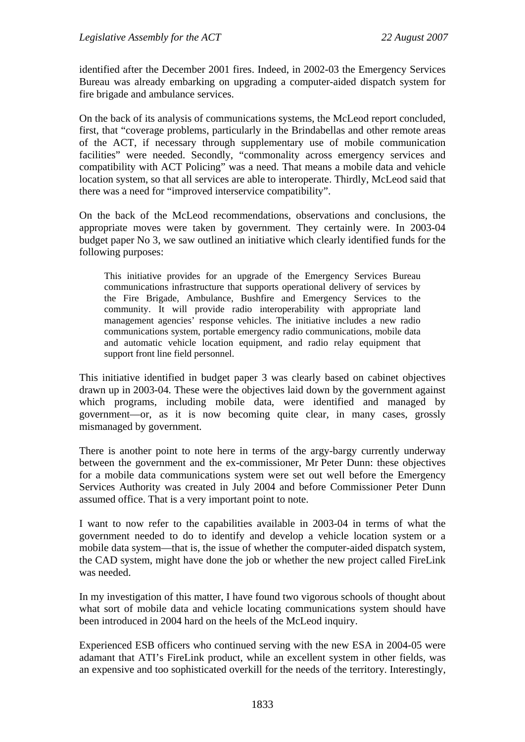identified after the December 2001 fires. Indeed, in 2002-03 the Emergency Services Bureau was already embarking on upgrading a computer-aided dispatch system for fire brigade and ambulance services.

On the back of its analysis of communications systems, the McLeod report concluded, first, that "coverage problems, particularly in the Brindabellas and other remote areas of the ACT, if necessary through supplementary use of mobile communication facilities" were needed. Secondly, "commonality across emergency services and compatibility with ACT Policing" was a need. That means a mobile data and vehicle location system, so that all services are able to interoperate. Thirdly, McLeod said that there was a need for "improved interservice compatibility".

On the back of the McLeod recommendations, observations and conclusions, the appropriate moves were taken by government. They certainly were. In 2003-04 budget paper No 3, we saw outlined an initiative which clearly identified funds for the following purposes:

This initiative provides for an upgrade of the Emergency Services Bureau communications infrastructure that supports operational delivery of services by the Fire Brigade, Ambulance, Bushfire and Emergency Services to the community. It will provide radio interoperability with appropriate land management agencies' response vehicles. The initiative includes a new radio communications system, portable emergency radio communications, mobile data and automatic vehicle location equipment, and radio relay equipment that support front line field personnel.

This initiative identified in budget paper 3 was clearly based on cabinet objectives drawn up in 2003-04. These were the objectives laid down by the government against which programs, including mobile data, were identified and managed by government—or, as it is now becoming quite clear, in many cases, grossly mismanaged by government.

There is another point to note here in terms of the argy-bargy currently underway between the government and the ex-commissioner, Mr Peter Dunn: these objectives for a mobile data communications system were set out well before the Emergency Services Authority was created in July 2004 and before Commissioner Peter Dunn assumed office. That is a very important point to note.

I want to now refer to the capabilities available in 2003-04 in terms of what the government needed to do to identify and develop a vehicle location system or a mobile data system—that is, the issue of whether the computer-aided dispatch system, the CAD system, might have done the job or whether the new project called FireLink was needed.

In my investigation of this matter, I have found two vigorous schools of thought about what sort of mobile data and vehicle locating communications system should have been introduced in 2004 hard on the heels of the McLeod inquiry.

Experienced ESB officers who continued serving with the new ESA in 2004-05 were adamant that ATI's FireLink product, while an excellent system in other fields, was an expensive and too sophisticated overkill for the needs of the territory. Interestingly,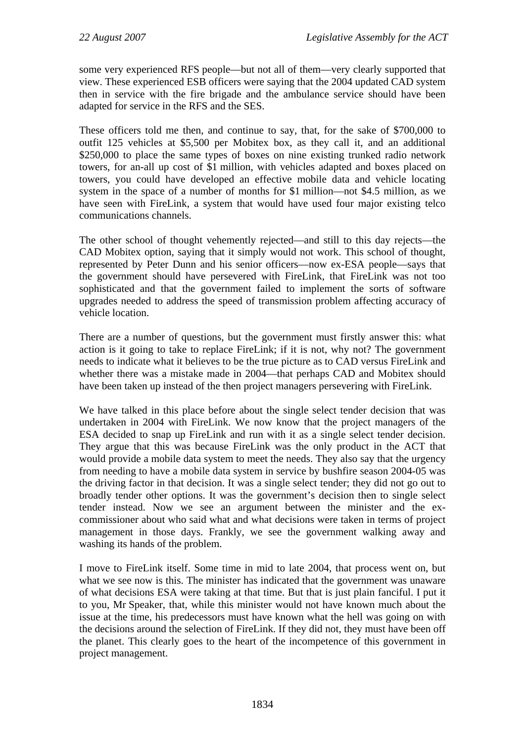some very experienced RFS people—but not all of them—very clearly supported that view. These experienced ESB officers were saying that the 2004 updated CAD system then in service with the fire brigade and the ambulance service should have been adapted for service in the RFS and the SES.

These officers told me then, and continue to say, that, for the sake of \$700,000 to outfit 125 vehicles at \$5,500 per Mobitex box, as they call it, and an additional \$250,000 to place the same types of boxes on nine existing trunked radio network towers, for an-all up cost of \$1 million, with vehicles adapted and boxes placed on towers, you could have developed an effective mobile data and vehicle locating system in the space of a number of months for \$1 million—not \$4.5 million, as we have seen with FireLink, a system that would have used four major existing telco communications channels.

The other school of thought vehemently rejected—and still to this day rejects—the CAD Mobitex option, saying that it simply would not work. This school of thought, represented by Peter Dunn and his senior officers—now ex-ESA people—says that the government should have persevered with FireLink, that FireLink was not too sophisticated and that the government failed to implement the sorts of software upgrades needed to address the speed of transmission problem affecting accuracy of vehicle location.

There are a number of questions, but the government must firstly answer this: what action is it going to take to replace FireLink; if it is not, why not? The government needs to indicate what it believes to be the true picture as to CAD versus FireLink and whether there was a mistake made in 2004—that perhaps CAD and Mobitex should have been taken up instead of the then project managers persevering with FireLink.

We have talked in this place before about the single select tender decision that was undertaken in 2004 with FireLink. We now know that the project managers of the ESA decided to snap up FireLink and run with it as a single select tender decision. They argue that this was because FireLink was the only product in the ACT that would provide a mobile data system to meet the needs. They also say that the urgency from needing to have a mobile data system in service by bushfire season 2004-05 was the driving factor in that decision. It was a single select tender; they did not go out to broadly tender other options. It was the government's decision then to single select tender instead. Now we see an argument between the minister and the excommissioner about who said what and what decisions were taken in terms of project management in those days. Frankly, we see the government walking away and washing its hands of the problem.

I move to FireLink itself. Some time in mid to late 2004, that process went on, but what we see now is this. The minister has indicated that the government was unaware of what decisions ESA were taking at that time. But that is just plain fanciful. I put it to you, Mr Speaker, that, while this minister would not have known much about the issue at the time, his predecessors must have known what the hell was going on with the decisions around the selection of FireLink. If they did not, they must have been off the planet. This clearly goes to the heart of the incompetence of this government in project management.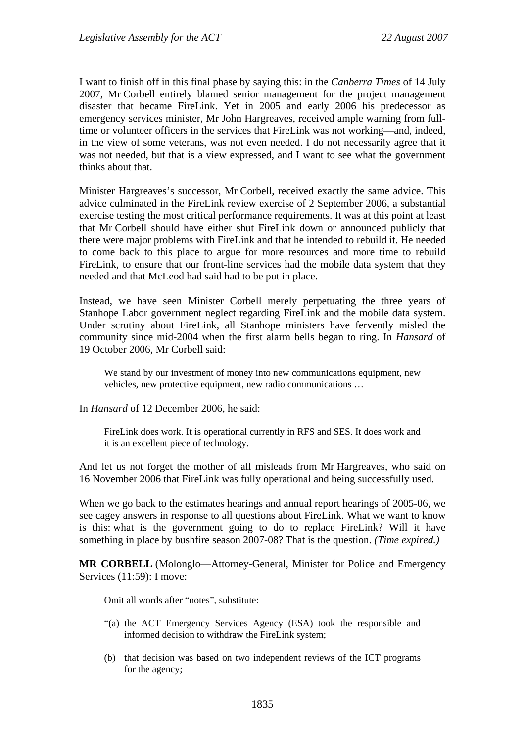I want to finish off in this final phase by saying this: in the *Canberra Times* of 14 July 2007, Mr Corbell entirely blamed senior management for the project management disaster that became FireLink. Yet in 2005 and early 2006 his predecessor as emergency services minister, Mr John Hargreaves, received ample warning from fulltime or volunteer officers in the services that FireLink was not working—and, indeed, in the view of some veterans, was not even needed. I do not necessarily agree that it was not needed, but that is a view expressed, and I want to see what the government thinks about that.

Minister Hargreaves's successor, Mr Corbell, received exactly the same advice. This advice culminated in the FireLink review exercise of 2 September 2006, a substantial exercise testing the most critical performance requirements. It was at this point at least that Mr Corbell should have either shut FireLink down or announced publicly that there were major problems with FireLink and that he intended to rebuild it. He needed to come back to this place to argue for more resources and more time to rebuild FireLink, to ensure that our front-line services had the mobile data system that they needed and that McLeod had said had to be put in place.

Instead, we have seen Minister Corbell merely perpetuating the three years of Stanhope Labor government neglect regarding FireLink and the mobile data system. Under scrutiny about FireLink, all Stanhope ministers have fervently misled the community since mid-2004 when the first alarm bells began to ring. In *Hansard* of 19 October 2006, Mr Corbell said:

We stand by our investment of money into new communications equipment, new vehicles, new protective equipment, new radio communications …

In *Hansard* of 12 December 2006, he said:

FireLink does work. It is operational currently in RFS and SES. It does work and it is an excellent piece of technology.

And let us not forget the mother of all misleads from Mr Hargreaves, who said on 16 November 2006 that FireLink was fully operational and being successfully used.

When we go back to the estimates hearings and annual report hearings of 2005-06, we see cagey answers in response to all questions about FireLink. What we want to know is this: what is the government going to do to replace FireLink? Will it have something in place by bushfire season 2007-08? That is the question. *(Time expired.)*

**MR CORBELL** (Molonglo—Attorney-General, Minister for Police and Emergency Services (11:59): I move:

Omit all words after "notes", substitute:

- "(a) the ACT Emergency Services Agency (ESA) took the responsible and informed decision to withdraw the FireLink system;
- (b) that decision was based on two independent reviews of the ICT programs for the agency;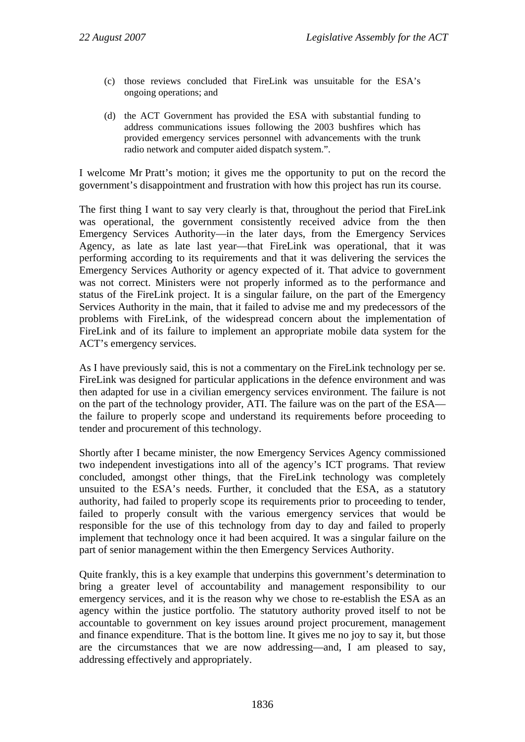- (c) those reviews concluded that FireLink was unsuitable for the ESA's ongoing operations; and
- (d) the ACT Government has provided the ESA with substantial funding to address communications issues following the 2003 bushfires which has provided emergency services personnel with advancements with the trunk radio network and computer aided dispatch system.".

I welcome Mr Pratt's motion; it gives me the opportunity to put on the record the government's disappointment and frustration with how this project has run its course.

The first thing I want to say very clearly is that, throughout the period that FireLink was operational, the government consistently received advice from the then Emergency Services Authority—in the later days, from the Emergency Services Agency, as late as late last year—that FireLink was operational, that it was performing according to its requirements and that it was delivering the services the Emergency Services Authority or agency expected of it. That advice to government was not correct. Ministers were not properly informed as to the performance and status of the FireLink project. It is a singular failure, on the part of the Emergency Services Authority in the main, that it failed to advise me and my predecessors of the problems with FireLink, of the widespread concern about the implementation of FireLink and of its failure to implement an appropriate mobile data system for the ACT's emergency services.

As I have previously said, this is not a commentary on the FireLink technology per se. FireLink was designed for particular applications in the defence environment and was then adapted for use in a civilian emergency services environment. The failure is not on the part of the technology provider, ATI. The failure was on the part of the ESA the failure to properly scope and understand its requirements before proceeding to tender and procurement of this technology.

Shortly after I became minister, the now Emergency Services Agency commissioned two independent investigations into all of the agency's ICT programs. That review concluded, amongst other things, that the FireLink technology was completely unsuited to the ESA's needs. Further, it concluded that the ESA, as a statutory authority, had failed to properly scope its requirements prior to proceeding to tender, failed to properly consult with the various emergency services that would be responsible for the use of this technology from day to day and failed to properly implement that technology once it had been acquired. It was a singular failure on the part of senior management within the then Emergency Services Authority.

Quite frankly, this is a key example that underpins this government's determination to bring a greater level of accountability and management responsibility to our emergency services, and it is the reason why we chose to re-establish the ESA as an agency within the justice portfolio. The statutory authority proved itself to not be accountable to government on key issues around project procurement, management and finance expenditure. That is the bottom line. It gives me no joy to say it, but those are the circumstances that we are now addressing—and, I am pleased to say, addressing effectively and appropriately.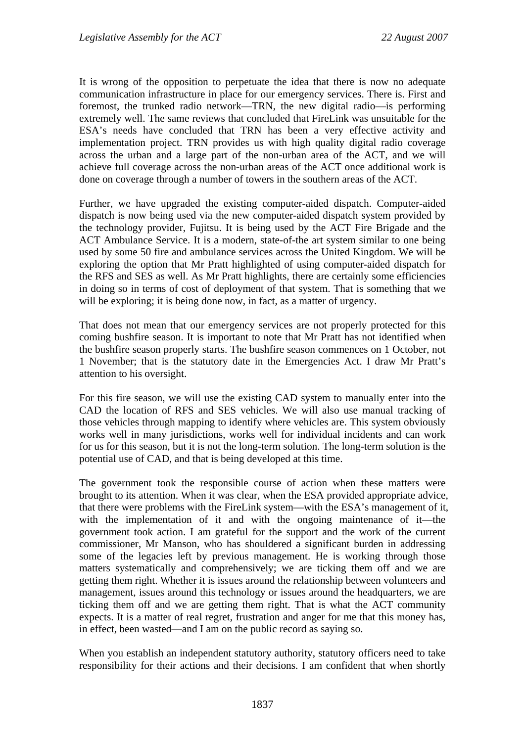It is wrong of the opposition to perpetuate the idea that there is now no adequate communication infrastructure in place for our emergency services. There is. First and foremost, the trunked radio network—TRN, the new digital radio—is performing extremely well. The same reviews that concluded that FireLink was unsuitable for the ESA's needs have concluded that TRN has been a very effective activity and implementation project. TRN provides us with high quality digital radio coverage across the urban and a large part of the non-urban area of the ACT, and we will achieve full coverage across the non-urban areas of the ACT once additional work is done on coverage through a number of towers in the southern areas of the ACT.

Further, we have upgraded the existing computer-aided dispatch. Computer-aided dispatch is now being used via the new computer-aided dispatch system provided by the technology provider, Fujitsu. It is being used by the ACT Fire Brigade and the ACT Ambulance Service. It is a modern, state-of-the art system similar to one being used by some 50 fire and ambulance services across the United Kingdom. We will be exploring the option that Mr Pratt highlighted of using computer-aided dispatch for the RFS and SES as well. As Mr Pratt highlights, there are certainly some efficiencies in doing so in terms of cost of deployment of that system. That is something that we will be exploring; it is being done now, in fact, as a matter of urgency.

That does not mean that our emergency services are not properly protected for this coming bushfire season. It is important to note that Mr Pratt has not identified when the bushfire season properly starts. The bushfire season commences on 1 October, not 1 November; that is the statutory date in the Emergencies Act. I draw Mr Pratt's attention to his oversight.

For this fire season, we will use the existing CAD system to manually enter into the CAD the location of RFS and SES vehicles. We will also use manual tracking of those vehicles through mapping to identify where vehicles are. This system obviously works well in many jurisdictions, works well for individual incidents and can work for us for this season, but it is not the long-term solution. The long-term solution is the potential use of CAD, and that is being developed at this time.

The government took the responsible course of action when these matters were brought to its attention. When it was clear, when the ESA provided appropriate advice, that there were problems with the FireLink system—with the ESA's management of it, with the implementation of it and with the ongoing maintenance of it—the government took action. I am grateful for the support and the work of the current commissioner, Mr Manson, who has shouldered a significant burden in addressing some of the legacies left by previous management. He is working through those matters systematically and comprehensively; we are ticking them off and we are getting them right. Whether it is issues around the relationship between volunteers and management, issues around this technology or issues around the headquarters, we are ticking them off and we are getting them right. That is what the ACT community expects. It is a matter of real regret, frustration and anger for me that this money has, in effect, been wasted—and I am on the public record as saying so.

When you establish an independent statutory authority, statutory officers need to take responsibility for their actions and their decisions. I am confident that when shortly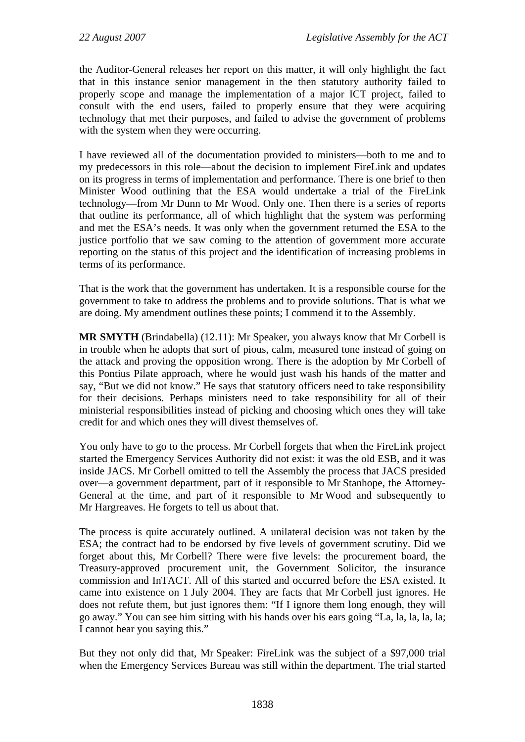the Auditor-General releases her report on this matter, it will only highlight the fact that in this instance senior management in the then statutory authority failed to properly scope and manage the implementation of a major ICT project, failed to consult with the end users, failed to properly ensure that they were acquiring technology that met their purposes, and failed to advise the government of problems with the system when they were occurring.

I have reviewed all of the documentation provided to ministers—both to me and to my predecessors in this role—about the decision to implement FireLink and updates on its progress in terms of implementation and performance. There is one brief to then Minister Wood outlining that the ESA would undertake a trial of the FireLink technology—from Mr Dunn to Mr Wood. Only one. Then there is a series of reports that outline its performance, all of which highlight that the system was performing and met the ESA's needs. It was only when the government returned the ESA to the justice portfolio that we saw coming to the attention of government more accurate reporting on the status of this project and the identification of increasing problems in terms of its performance.

That is the work that the government has undertaken. It is a responsible course for the government to take to address the problems and to provide solutions. That is what we are doing. My amendment outlines these points; I commend it to the Assembly.

**MR SMYTH** (Brindabella) (12.11): Mr Speaker, you always know that Mr Corbell is in trouble when he adopts that sort of pious, calm, measured tone instead of going on the attack and proving the opposition wrong. There is the adoption by Mr Corbell of this Pontius Pilate approach, where he would just wash his hands of the matter and say, "But we did not know." He says that statutory officers need to take responsibility for their decisions. Perhaps ministers need to take responsibility for all of their ministerial responsibilities instead of picking and choosing which ones they will take credit for and which ones they will divest themselves of.

You only have to go to the process. Mr Corbell forgets that when the FireLink project started the Emergency Services Authority did not exist: it was the old ESB, and it was inside JACS. Mr Corbell omitted to tell the Assembly the process that JACS presided over—a government department, part of it responsible to Mr Stanhope, the Attorney-General at the time, and part of it responsible to Mr Wood and subsequently to Mr Hargreaves. He forgets to tell us about that.

The process is quite accurately outlined. A unilateral decision was not taken by the ESA; the contract had to be endorsed by five levels of government scrutiny. Did we forget about this, Mr Corbell? There were five levels: the procurement board, the Treasury-approved procurement unit, the Government Solicitor, the insurance commission and InTACT. All of this started and occurred before the ESA existed. It came into existence on 1 July 2004. They are facts that Mr Corbell just ignores. He does not refute them, but just ignores them: "If I ignore them long enough, they will go away." You can see him sitting with his hands over his ears going "La, la, la, la, la; I cannot hear you saying this."

But they not only did that, Mr Speaker: FireLink was the subject of a \$97,000 trial when the Emergency Services Bureau was still within the department. The trial started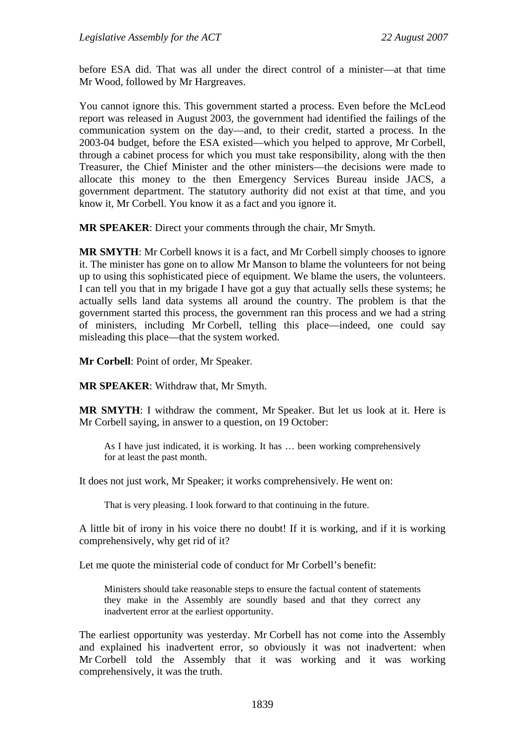before ESA did. That was all under the direct control of a minister—at that time Mr Wood, followed by Mr Hargreaves.

You cannot ignore this. This government started a process. Even before the McLeod report was released in August 2003, the government had identified the failings of the communication system on the day—and, to their credit, started a process. In the 2003-04 budget, before the ESA existed—which you helped to approve, Mr Corbell, through a cabinet process for which you must take responsibility, along with the then Treasurer, the Chief Minister and the other ministers—the decisions were made to allocate this money to the then Emergency Services Bureau inside JACS, a government department. The statutory authority did not exist at that time, and you know it, Mr Corbell. You know it as a fact and you ignore it.

**MR SPEAKER**: Direct your comments through the chair, Mr Smyth.

**MR SMYTH**: Mr Corbell knows it is a fact, and Mr Corbell simply chooses to ignore it. The minister has gone on to allow Mr Manson to blame the volunteers for not being up to using this sophisticated piece of equipment. We blame the users, the volunteers. I can tell you that in my brigade I have got a guy that actually sells these systems; he actually sells land data systems all around the country. The problem is that the government started this process, the government ran this process and we had a string of ministers, including Mr Corbell, telling this place—indeed, one could say misleading this place—that the system worked.

**Mr Corbell**: Point of order, Mr Speaker.

**MR SPEAKER**: Withdraw that, Mr Smyth.

**MR SMYTH**: I withdraw the comment, Mr Speaker. But let us look at it. Here is Mr Corbell saying, in answer to a question, on 19 October:

As I have just indicated, it is working. It has … been working comprehensively for at least the past month.

It does not just work, Mr Speaker; it works comprehensively. He went on:

That is very pleasing. I look forward to that continuing in the future.

A little bit of irony in his voice there no doubt! If it is working, and if it is working comprehensively, why get rid of it?

Let me quote the ministerial code of conduct for Mr Corbell's benefit:

Ministers should take reasonable steps to ensure the factual content of statements they make in the Assembly are soundly based and that they correct any inadvertent error at the earliest opportunity.

The earliest opportunity was yesterday. Mr Corbell has not come into the Assembly and explained his inadvertent error, so obviously it was not inadvertent: when Mr Corbell told the Assembly that it was working and it was working comprehensively, it was the truth.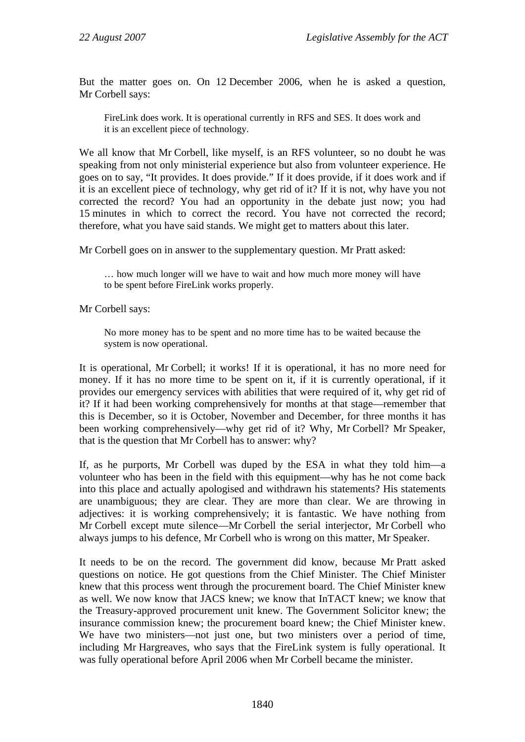But the matter goes on. On 12 December 2006, when he is asked a question, Mr Corbell says:

FireLink does work. It is operational currently in RFS and SES. It does work and it is an excellent piece of technology.

We all know that Mr Corbell, like myself, is an RFS volunteer, so no doubt he was speaking from not only ministerial experience but also from volunteer experience. He goes on to say, "It provides. It does provide." If it does provide, if it does work and if it is an excellent piece of technology, why get rid of it? If it is not, why have you not corrected the record? You had an opportunity in the debate just now; you had 15 minutes in which to correct the record. You have not corrected the record; therefore, what you have said stands. We might get to matters about this later.

Mr Corbell goes on in answer to the supplementary question. Mr Pratt asked:

… how much longer will we have to wait and how much more money will have to be spent before FireLink works properly.

Mr Corbell says:

No more money has to be spent and no more time has to be waited because the system is now operational.

It is operational, Mr Corbell; it works! If it is operational, it has no more need for money. If it has no more time to be spent on it, if it is currently operational, if it provides our emergency services with abilities that were required of it, why get rid of it? If it had been working comprehensively for months at that stage—remember that this is December, so it is October, November and December, for three months it has been working comprehensively—why get rid of it? Why, Mr Corbell? Mr Speaker, that is the question that Mr Corbell has to answer: why?

If, as he purports, Mr Corbell was duped by the ESA in what they told him—a volunteer who has been in the field with this equipment—why has he not come back into this place and actually apologised and withdrawn his statements? His statements are unambiguous; they are clear. They are more than clear. We are throwing in adjectives: it is working comprehensively; it is fantastic. We have nothing from Mr Corbell except mute silence—Mr Corbell the serial interjector, Mr Corbell who always jumps to his defence, Mr Corbell who is wrong on this matter, Mr Speaker.

It needs to be on the record. The government did know, because Mr Pratt asked questions on notice. He got questions from the Chief Minister. The Chief Minister knew that this process went through the procurement board. The Chief Minister knew as well. We now know that JACS knew; we know that InTACT knew; we know that the Treasury-approved procurement unit knew. The Government Solicitor knew; the insurance commission knew; the procurement board knew; the Chief Minister knew. We have two ministers—not just one, but two ministers over a period of time, including Mr Hargreaves, who says that the FireLink system is fully operational. It was fully operational before April 2006 when Mr Corbell became the minister.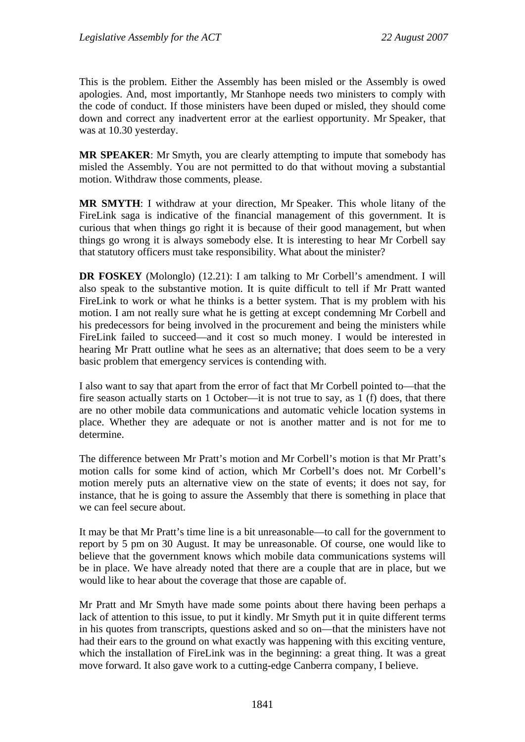This is the problem. Either the Assembly has been misled or the Assembly is owed apologies. And, most importantly, Mr Stanhope needs two ministers to comply with the code of conduct. If those ministers have been duped or misled, they should come down and correct any inadvertent error at the earliest opportunity. Mr Speaker, that was at 10.30 yesterday.

**MR SPEAKER**: Mr Smyth, you are clearly attempting to impute that somebody has misled the Assembly. You are not permitted to do that without moving a substantial motion. Withdraw those comments, please.

**MR SMYTH**: I withdraw at your direction, Mr Speaker. This whole litany of the FireLink saga is indicative of the financial management of this government. It is curious that when things go right it is because of their good management, but when things go wrong it is always somebody else. It is interesting to hear Mr Corbell say that statutory officers must take responsibility. What about the minister?

**DR FOSKEY** (Molonglo) (12.21): I am talking to Mr Corbell's amendment. I will also speak to the substantive motion. It is quite difficult to tell if Mr Pratt wanted FireLink to work or what he thinks is a better system. That is my problem with his motion. I am not really sure what he is getting at except condemning Mr Corbell and his predecessors for being involved in the procurement and being the ministers while FireLink failed to succeed—and it cost so much money. I would be interested in hearing Mr Pratt outline what he sees as an alternative; that does seem to be a very basic problem that emergency services is contending with.

I also want to say that apart from the error of fact that Mr Corbell pointed to—that the fire season actually starts on 1 October—it is not true to say, as 1 (f) does, that there are no other mobile data communications and automatic vehicle location systems in place. Whether they are adequate or not is another matter and is not for me to determine.

The difference between Mr Pratt's motion and Mr Corbell's motion is that Mr Pratt's motion calls for some kind of action, which Mr Corbell's does not. Mr Corbell's motion merely puts an alternative view on the state of events; it does not say, for instance, that he is going to assure the Assembly that there is something in place that we can feel secure about.

It may be that Mr Pratt's time line is a bit unreasonable—to call for the government to report by 5 pm on 30 August. It may be unreasonable. Of course, one would like to believe that the government knows which mobile data communications systems will be in place. We have already noted that there are a couple that are in place, but we would like to hear about the coverage that those are capable of.

Mr Pratt and Mr Smyth have made some points about there having been perhaps a lack of attention to this issue, to put it kindly. Mr Smyth put it in quite different terms in his quotes from transcripts, questions asked and so on—that the ministers have not had their ears to the ground on what exactly was happening with this exciting venture, which the installation of FireLink was in the beginning: a great thing. It was a great move forward. It also gave work to a cutting-edge Canberra company, I believe.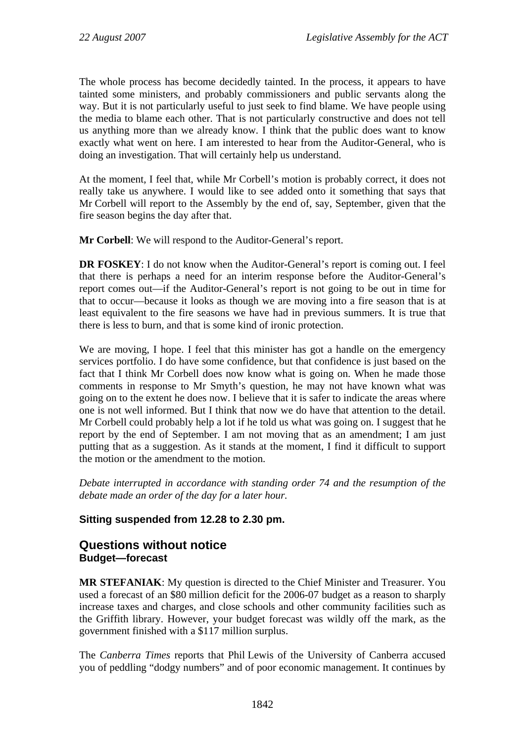<span id="page-31-0"></span>The whole process has become decidedly tainted. In the process, it appears to have tainted some ministers, and probably commissioners and public servants along the way. But it is not particularly useful to just seek to find blame. We have people using the media to blame each other. That is not particularly constructive and does not tell us anything more than we already know. I think that the public does want to know exactly what went on here. I am interested to hear from the Auditor-General, who is doing an investigation. That will certainly help us understand.

At the moment, I feel that, while Mr Corbell's motion is probably correct, it does not really take us anywhere. I would like to see added onto it something that says that Mr Corbell will report to the Assembly by the end of, say, September, given that the fire season begins the day after that.

**Mr Corbell**: We will respond to the Auditor-General's report.

**DR FOSKEY**: I do not know when the Auditor-General's report is coming out. I feel that there is perhaps a need for an interim response before the Auditor-General's report comes out—if the Auditor-General's report is not going to be out in time for that to occur—because it looks as though we are moving into a fire season that is at least equivalent to the fire seasons we have had in previous summers. It is true that there is less to burn, and that is some kind of ironic protection.

We are moving, I hope. I feel that this minister has got a handle on the emergency services portfolio. I do have some confidence, but that confidence is just based on the fact that I think Mr Corbell does now know what is going on. When he made those comments in response to Mr Smyth's question, he may not have known what was going on to the extent he does now. I believe that it is safer to indicate the areas where one is not well informed. But I think that now we do have that attention to the detail. Mr Corbell could probably help a lot if he told us what was going on. I suggest that he report by the end of September. I am not moving that as an amendment; I am just putting that as a suggestion. As it stands at the moment, I find it difficult to support the motion or the amendment to the motion.

*Debate interrupted in accordance with standing order 74 and the resumption of the debate made an order of the day for a later hour.* 

## **Sitting suspended from 12.28 to 2.30 pm.**

## **Questions without notice Budget—forecast**

**MR STEFANIAK**: My question is directed to the Chief Minister and Treasurer. You used a forecast of an \$80 million deficit for the 2006-07 budget as a reason to sharply increase taxes and charges, and close schools and other community facilities such as the Griffith library. However, your budget forecast was wildly off the mark, as the government finished with a \$117 million surplus.

The *Canberra Times* reports that Phil Lewis of the University of Canberra accused you of peddling "dodgy numbers" and of poor economic management. It continues by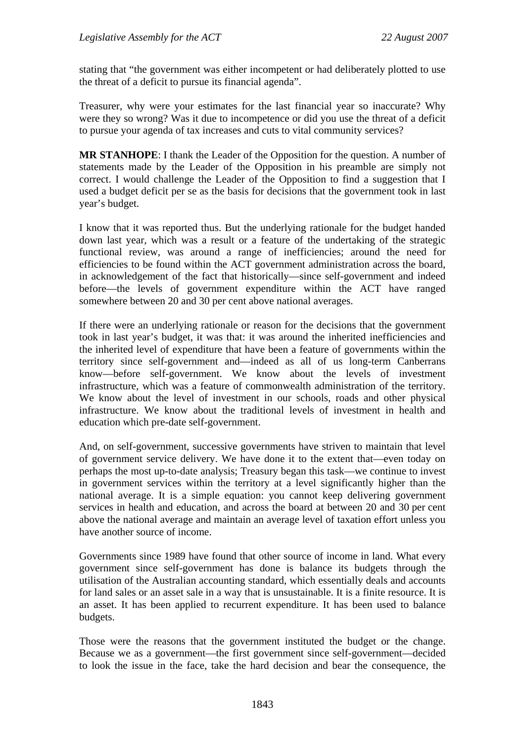stating that "the government was either incompetent or had deliberately plotted to use the threat of a deficit to pursue its financial agenda".

Treasurer, why were your estimates for the last financial year so inaccurate? Why were they so wrong? Was it due to incompetence or did you use the threat of a deficit to pursue your agenda of tax increases and cuts to vital community services?

**MR STANHOPE**: I thank the Leader of the Opposition for the question. A number of statements made by the Leader of the Opposition in his preamble are simply not correct. I would challenge the Leader of the Opposition to find a suggestion that I used a budget deficit per se as the basis for decisions that the government took in last year's budget.

I know that it was reported thus. But the underlying rationale for the budget handed down last year, which was a result or a feature of the undertaking of the strategic functional review, was around a range of inefficiencies; around the need for efficiencies to be found within the ACT government administration across the board, in acknowledgement of the fact that historically—since self-government and indeed before—the levels of government expenditure within the ACT have ranged somewhere between 20 and 30 per cent above national averages.

If there were an underlying rationale or reason for the decisions that the government took in last year's budget, it was that: it was around the inherited inefficiencies and the inherited level of expenditure that have been a feature of governments within the territory since self-government and—indeed as all of us long-term Canberrans know—before self-government. We know about the levels of investment infrastructure, which was a feature of commonwealth administration of the territory. We know about the level of investment in our schools, roads and other physical infrastructure. We know about the traditional levels of investment in health and education which pre-date self-government.

And, on self-government, successive governments have striven to maintain that level of government service delivery. We have done it to the extent that—even today on perhaps the most up-to-date analysis; Treasury began this task—we continue to invest in government services within the territory at a level significantly higher than the national average. It is a simple equation: you cannot keep delivering government services in health and education, and across the board at between 20 and 30 per cent above the national average and maintain an average level of taxation effort unless you have another source of income.

Governments since 1989 have found that other source of income in land. What every government since self-government has done is balance its budgets through the utilisation of the Australian accounting standard, which essentially deals and accounts for land sales or an asset sale in a way that is unsustainable. It is a finite resource. It is an asset. It has been applied to recurrent expenditure. It has been used to balance budgets.

Those were the reasons that the government instituted the budget or the change. Because we as a government—the first government since self-government—decided to look the issue in the face, take the hard decision and bear the consequence, the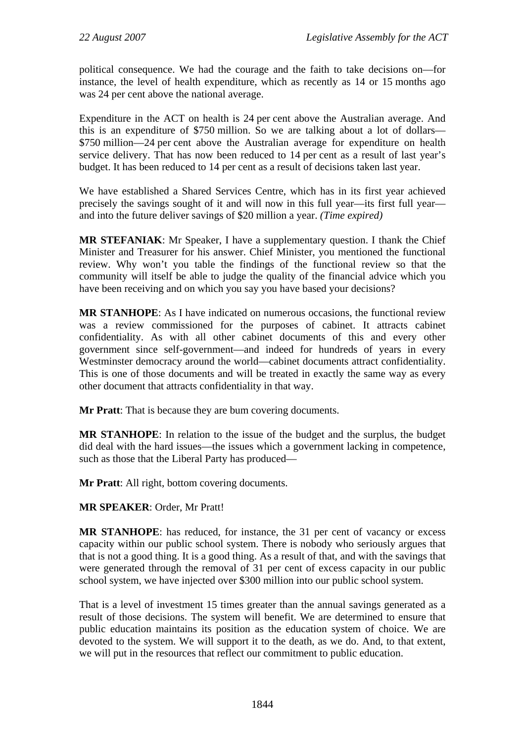political consequence. We had the courage and the faith to take decisions on—for instance, the level of health expenditure, which as recently as 14 or 15 months ago was 24 per cent above the national average.

Expenditure in the ACT on health is 24 per cent above the Australian average. And this is an expenditure of \$750 million. So we are talking about a lot of dollars— \$750 million—24 per cent above the Australian average for expenditure on health service delivery. That has now been reduced to 14 per cent as a result of last year's budget. It has been reduced to 14 per cent as a result of decisions taken last year.

We have established a Shared Services Centre, which has in its first year achieved precisely the savings sought of it and will now in this full year—its first full year and into the future deliver savings of \$20 million a year. *(Time expired)*

**MR STEFANIAK**: Mr Speaker, I have a supplementary question. I thank the Chief Minister and Treasurer for his answer. Chief Minister, you mentioned the functional review. Why won't you table the findings of the functional review so that the community will itself be able to judge the quality of the financial advice which you have been receiving and on which you say you have based your decisions?

**MR STANHOPE**: As I have indicated on numerous occasions, the functional review was a review commissioned for the purposes of cabinet. It attracts cabinet confidentiality. As with all other cabinet documents of this and every other government since self-government—and indeed for hundreds of years in every Westminster democracy around the world—cabinet documents attract confidentiality. This is one of those documents and will be treated in exactly the same way as every other document that attracts confidentiality in that way.

**Mr Pratt**: That is because they are bum covering documents.

**MR STANHOPE**: In relation to the issue of the budget and the surplus, the budget did deal with the hard issues—the issues which a government lacking in competence, such as those that the Liberal Party has produced—

**Mr Pratt**: All right, bottom covering documents.

**MR SPEAKER**: Order, Mr Pratt!

**MR STANHOPE**: has reduced, for instance, the 31 per cent of vacancy or excess capacity within our public school system. There is nobody who seriously argues that that is not a good thing. It is a good thing. As a result of that, and with the savings that were generated through the removal of 31 per cent of excess capacity in our public school system, we have injected over \$300 million into our public school system.

That is a level of investment 15 times greater than the annual savings generated as a result of those decisions. The system will benefit. We are determined to ensure that public education maintains its position as the education system of choice. We are devoted to the system. We will support it to the death, as we do. And, to that extent, we will put in the resources that reflect our commitment to public education.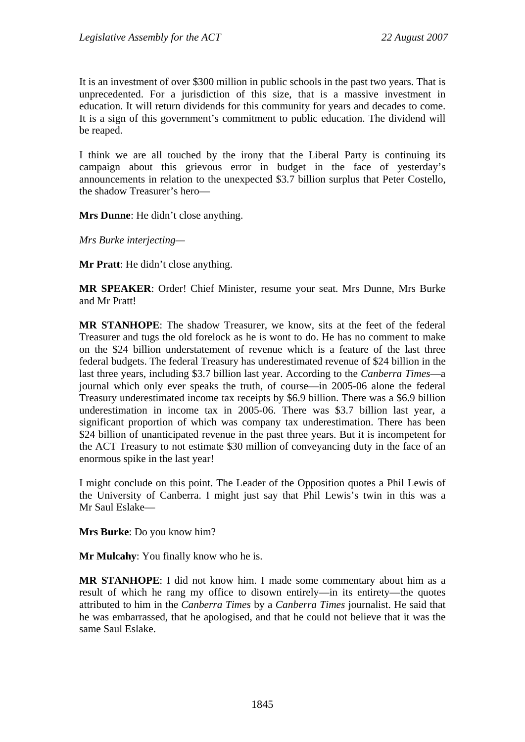It is an investment of over \$300 million in public schools in the past two years. That is unprecedented. For a jurisdiction of this size, that is a massive investment in education. It will return dividends for this community for years and decades to come. It is a sign of this government's commitment to public education. The dividend will be reaped.

I think we are all touched by the irony that the Liberal Party is continuing its campaign about this grievous error in budget in the face of yesterday's announcements in relation to the unexpected \$3.7 billion surplus that Peter Costello, the shadow Treasurer's hero—

**Mrs Dunne**: He didn't close anything.

*Mrs Burke interjecting—* 

**Mr Pratt**: He didn't close anything.

**MR SPEAKER**: Order! Chief Minister, resume your seat. Mrs Dunne, Mrs Burke and Mr Pratt!

**MR STANHOPE**: The shadow Treasurer, we know, sits at the feet of the federal Treasurer and tugs the old forelock as he is wont to do. He has no comment to make on the \$24 billion understatement of revenue which is a feature of the last three federal budgets. The federal Treasury has underestimated revenue of \$24 billion in the last three years, including \$3.7 billion last year. According to the *Canberra Times*—a journal which only ever speaks the truth, of course—in 2005-06 alone the federal Treasury underestimated income tax receipts by \$6.9 billion. There was a \$6.9 billion underestimation in income tax in 2005-06. There was \$3.7 billion last year, a significant proportion of which was company tax underestimation. There has been \$24 billion of unanticipated revenue in the past three years. But it is incompetent for the ACT Treasury to not estimate \$30 million of conveyancing duty in the face of an enormous spike in the last year!

I might conclude on this point. The Leader of the Opposition quotes a Phil Lewis of the University of Canberra. I might just say that Phil Lewis's twin in this was a Mr Saul Eslake—

**Mrs Burke**: Do you know him?

**Mr Mulcahy**: You finally know who he is.

**MR STANHOPE**: I did not know him. I made some commentary about him as a result of which he rang my office to disown entirely—in its entirety—the quotes attributed to him in the *Canberra Times* by a *Canberra Times* journalist. He said that he was embarrassed, that he apologised, and that he could not believe that it was the same Saul Eslake.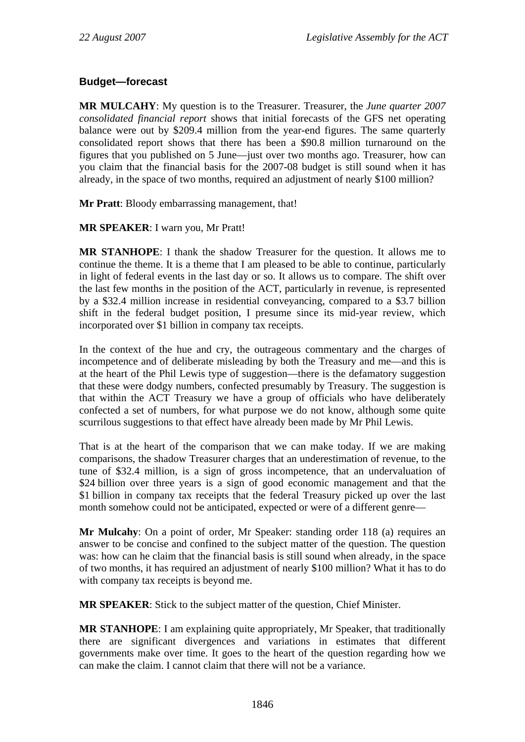### <span id="page-35-0"></span>**Budget—forecast**

**MR MULCAHY**: My question is to the Treasurer. Treasurer, the *June quarter 2007 consolidated financial report* shows that initial forecasts of the GFS net operating balance were out by \$209.4 million from the year-end figures. The same quarterly consolidated report shows that there has been a \$90.8 million turnaround on the figures that you published on 5 June—just over two months ago. Treasurer, how can you claim that the financial basis for the 2007-08 budget is still sound when it has already, in the space of two months, required an adjustment of nearly \$100 million?

**Mr Pratt**: Bloody embarrassing management, that!

**MR SPEAKER**: I warn you, Mr Pratt!

**MR STANHOPE**: I thank the shadow Treasurer for the question. It allows me to continue the theme. It is a theme that I am pleased to be able to continue, particularly in light of federal events in the last day or so. It allows us to compare. The shift over the last few months in the position of the ACT, particularly in revenue, is represented by a \$32.4 million increase in residential conveyancing, compared to a \$3.7 billion shift in the federal budget position, I presume since its mid-year review, which incorporated over \$1 billion in company tax receipts.

In the context of the hue and cry, the outrageous commentary and the charges of incompetence and of deliberate misleading by both the Treasury and me—and this is at the heart of the Phil Lewis type of suggestion—there is the defamatory suggestion that these were dodgy numbers, confected presumably by Treasury. The suggestion is that within the ACT Treasury we have a group of officials who have deliberately confected a set of numbers, for what purpose we do not know, although some quite scurrilous suggestions to that effect have already been made by Mr Phil Lewis.

That is at the heart of the comparison that we can make today. If we are making comparisons, the shadow Treasurer charges that an underestimation of revenue, to the tune of \$32.4 million, is a sign of gross incompetence, that an undervaluation of \$24 billion over three years is a sign of good economic management and that the \$1 billion in company tax receipts that the federal Treasury picked up over the last month somehow could not be anticipated, expected or were of a different genre—

**Mr Mulcahy**: On a point of order, Mr Speaker: standing order 118 (a) requires an answer to be concise and confined to the subject matter of the question. The question was: how can he claim that the financial basis is still sound when already, in the space of two months, it has required an adjustment of nearly \$100 million? What it has to do with company tax receipts is beyond me.

**MR SPEAKER**: Stick to the subject matter of the question, Chief Minister.

**MR STANHOPE**: I am explaining quite appropriately, Mr Speaker, that traditionally there are significant divergences and variations in estimates that different governments make over time. It goes to the heart of the question regarding how we can make the claim. I cannot claim that there will not be a variance.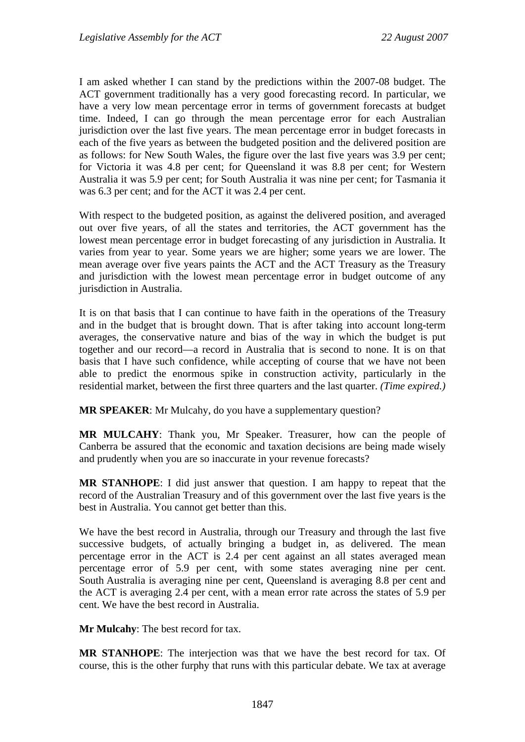I am asked whether I can stand by the predictions within the 2007-08 budget. The ACT government traditionally has a very good forecasting record. In particular, we have a very low mean percentage error in terms of government forecasts at budget time. Indeed, I can go through the mean percentage error for each Australian jurisdiction over the last five years. The mean percentage error in budget forecasts in each of the five years as between the budgeted position and the delivered position are as follows: for New South Wales, the figure over the last five years was 3.9 per cent; for Victoria it was 4.8 per cent; for Queensland it was 8.8 per cent; for Western Australia it was 5.9 per cent; for South Australia it was nine per cent; for Tasmania it was 6.3 per cent; and for the ACT it was 2.4 per cent.

With respect to the budgeted position, as against the delivered position, and averaged out over five years, of all the states and territories, the ACT government has the lowest mean percentage error in budget forecasting of any jurisdiction in Australia. It varies from year to year. Some years we are higher; some years we are lower. The mean average over five years paints the ACT and the ACT Treasury as the Treasury and jurisdiction with the lowest mean percentage error in budget outcome of any jurisdiction in Australia.

It is on that basis that I can continue to have faith in the operations of the Treasury and in the budget that is brought down. That is after taking into account long-term averages, the conservative nature and bias of the way in which the budget is put together and our record—a record in Australia that is second to none. It is on that basis that I have such confidence, while accepting of course that we have not been able to predict the enormous spike in construction activity, particularly in the residential market, between the first three quarters and the last quarter. *(Time expired.)*

**MR SPEAKER**: Mr Mulcahy, do you have a supplementary question?

**MR MULCAHY**: Thank you, Mr Speaker. Treasurer, how can the people of Canberra be assured that the economic and taxation decisions are being made wisely and prudently when you are so inaccurate in your revenue forecasts?

**MR STANHOPE**: I did just answer that question. I am happy to repeat that the record of the Australian Treasury and of this government over the last five years is the best in Australia. You cannot get better than this.

We have the best record in Australia, through our Treasury and through the last five successive budgets, of actually bringing a budget in, as delivered. The mean percentage error in the ACT is 2.4 per cent against an all states averaged mean percentage error of 5.9 per cent, with some states averaging nine per cent. South Australia is averaging nine per cent, Queensland is averaging 8.8 per cent and the ACT is averaging 2.4 per cent, with a mean error rate across the states of 5.9 per cent. We have the best record in Australia.

**Mr Mulcahy**: The best record for tax.

**MR STANHOPE**: The interjection was that we have the best record for tax. Of course, this is the other furphy that runs with this particular debate. We tax at average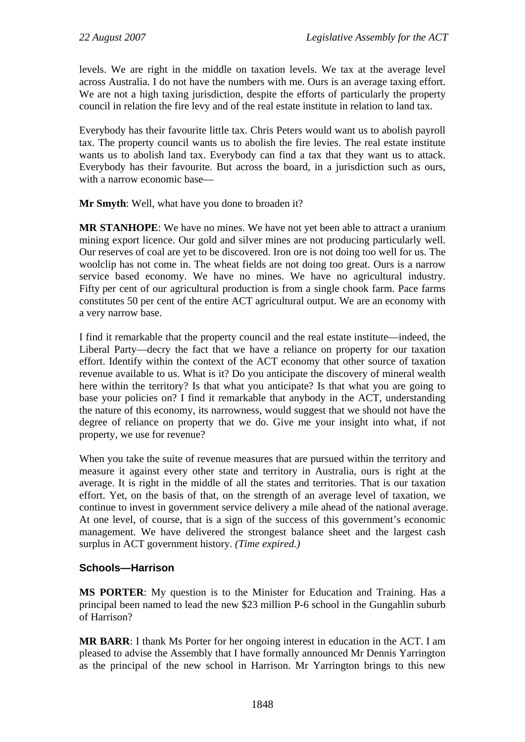levels. We are right in the middle on taxation levels. We tax at the average level across Australia. I do not have the numbers with me. Ours is an average taxing effort. We are not a high taxing jurisdiction, despite the efforts of particularly the property council in relation the fire levy and of the real estate institute in relation to land tax.

Everybody has their favourite little tax. Chris Peters would want us to abolish payroll tax. The property council wants us to abolish the fire levies. The real estate institute wants us to abolish land tax. Everybody can find a tax that they want us to attack. Everybody has their favourite. But across the board, in a jurisdiction such as ours, with a narrow economic base—

**Mr Smyth**: Well, what have you done to broaden it?

**MR STANHOPE**: We have no mines. We have not yet been able to attract a uranium mining export licence. Our gold and silver mines are not producing particularly well. Our reserves of coal are yet to be discovered. Iron ore is not doing too well for us. The woolclip has not come in. The wheat fields are not doing too great. Ours is a narrow service based economy. We have no mines. We have no agricultural industry. Fifty per cent of our agricultural production is from a single chook farm. Pace farms constitutes 50 per cent of the entire ACT agricultural output. We are an economy with a very narrow base.

I find it remarkable that the property council and the real estate institute—indeed, the Liberal Party—decry the fact that we have a reliance on property for our taxation effort. Identify within the context of the ACT economy that other source of taxation revenue available to us. What is it? Do you anticipate the discovery of mineral wealth here within the territory? Is that what you anticipate? Is that what you are going to base your policies on? I find it remarkable that anybody in the ACT, understanding the nature of this economy, its narrowness, would suggest that we should not have the degree of reliance on property that we do. Give me your insight into what, if not property, we use for revenue?

When you take the suite of revenue measures that are pursued within the territory and measure it against every other state and territory in Australia, ours is right at the average. It is right in the middle of all the states and territories. That is our taxation effort. Yet, on the basis of that, on the strength of an average level of taxation, we continue to invest in government service delivery a mile ahead of the national average. At one level, of course, that is a sign of the success of this government's economic management. We have delivered the strongest balance sheet and the largest cash surplus in ACT government history. *(Time expired.)*

## **Schools—Harrison**

**MS PORTER**: My question is to the Minister for Education and Training. Has a principal been named to lead the new \$23 million P-6 school in the Gungahlin suburb of Harrison?

**MR BARR**: I thank Ms Porter for her ongoing interest in education in the ACT. I am pleased to advise the Assembly that I have formally announced Mr Dennis Yarrington as the principal of the new school in Harrison. Mr Yarrington brings to this new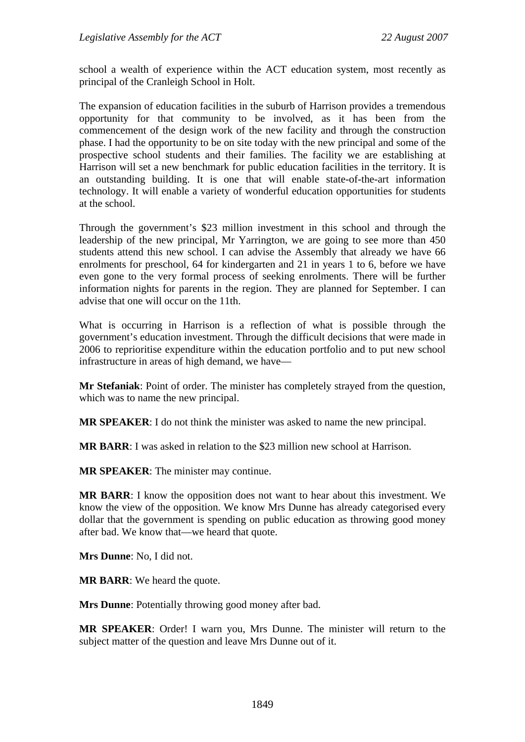school a wealth of experience within the ACT education system, most recently as principal of the Cranleigh School in Holt.

The expansion of education facilities in the suburb of Harrison provides a tremendous opportunity for that community to be involved, as it has been from the commencement of the design work of the new facility and through the construction phase. I had the opportunity to be on site today with the new principal and some of the prospective school students and their families. The facility we are establishing at Harrison will set a new benchmark for public education facilities in the territory. It is an outstanding building. It is one that will enable state-of-the-art information technology. It will enable a variety of wonderful education opportunities for students at the school.

Through the government's \$23 million investment in this school and through the leadership of the new principal, Mr Yarrington, we are going to see more than 450 students attend this new school. I can advise the Assembly that already we have 66 enrolments for preschool, 64 for kindergarten and 21 in years 1 to 6, before we have even gone to the very formal process of seeking enrolments. There will be further information nights for parents in the region. They are planned for September. I can advise that one will occur on the 11th.

What is occurring in Harrison is a reflection of what is possible through the government's education investment. Through the difficult decisions that were made in 2006 to reprioritise expenditure within the education portfolio and to put new school infrastructure in areas of high demand, we have—

**Mr Stefaniak**: Point of order. The minister has completely strayed from the question, which was to name the new principal.

**MR SPEAKER**: I do not think the minister was asked to name the new principal.

**MR BARR**: I was asked in relation to the \$23 million new school at Harrison.

**MR SPEAKER**: The minister may continue.

**MR BARR**: I know the opposition does not want to hear about this investment. We know the view of the opposition. We know Mrs Dunne has already categorised every dollar that the government is spending on public education as throwing good money after bad. We know that—we heard that quote.

**Mrs Dunne**: No, I did not.

**MR BARR**: We heard the quote.

**Mrs Dunne**: Potentially throwing good money after bad.

**MR SPEAKER**: Order! I warn you, Mrs Dunne. The minister will return to the subject matter of the question and leave Mrs Dunne out of it.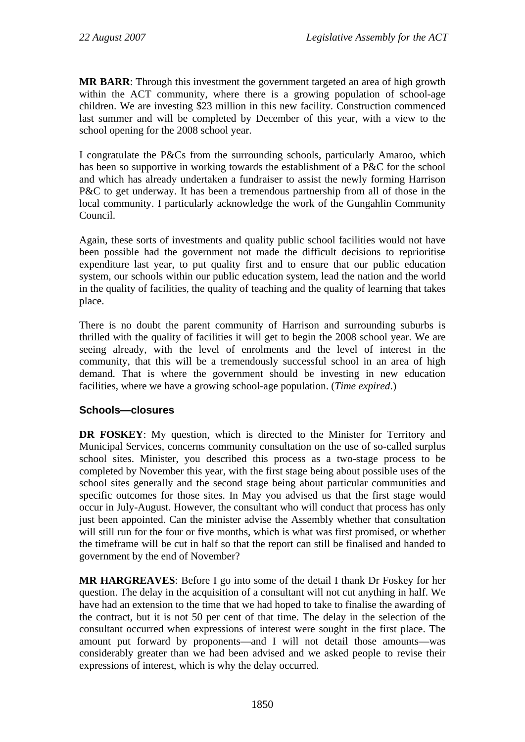**MR BARR**: Through this investment the government targeted an area of high growth within the ACT community, where there is a growing population of school-age children. We are investing \$23 million in this new facility. Construction commenced last summer and will be completed by December of this year, with a view to the school opening for the 2008 school year.

I congratulate the P&Cs from the surrounding schools, particularly Amaroo, which has been so supportive in working towards the establishment of a P&C for the school and which has already undertaken a fundraiser to assist the newly forming Harrison P&C to get underway. It has been a tremendous partnership from all of those in the local community. I particularly acknowledge the work of the Gungahlin Community Council.

Again, these sorts of investments and quality public school facilities would not have been possible had the government not made the difficult decisions to reprioritise expenditure last year, to put quality first and to ensure that our public education system, our schools within our public education system, lead the nation and the world in the quality of facilities, the quality of teaching and the quality of learning that takes place.

There is no doubt the parent community of Harrison and surrounding suburbs is thrilled with the quality of facilities it will get to begin the 2008 school year. We are seeing already, with the level of enrolments and the level of interest in the community, that this will be a tremendously successful school in an area of high demand. That is where the government should be investing in new education facilities, where we have a growing school-age population. (*Time expired*.)

## **Schools—closures**

**DR FOSKEY:** My question, which is directed to the Minister for Territory and Municipal Services, concerns community consultation on the use of so-called surplus school sites. Minister, you described this process as a two-stage process to be completed by November this year, with the first stage being about possible uses of the school sites generally and the second stage being about particular communities and specific outcomes for those sites. In May you advised us that the first stage would occur in July-August. However, the consultant who will conduct that process has only just been appointed. Can the minister advise the Assembly whether that consultation will still run for the four or five months, which is what was first promised, or whether the timeframe will be cut in half so that the report can still be finalised and handed to government by the end of November?

**MR HARGREAVES**: Before I go into some of the detail I thank Dr Foskey for her question. The delay in the acquisition of a consultant will not cut anything in half. We have had an extension to the time that we had hoped to take to finalise the awarding of the contract, but it is not 50 per cent of that time. The delay in the selection of the consultant occurred when expressions of interest were sought in the first place. The amount put forward by proponents—and I will not detail those amounts—was considerably greater than we had been advised and we asked people to revise their expressions of interest, which is why the delay occurred.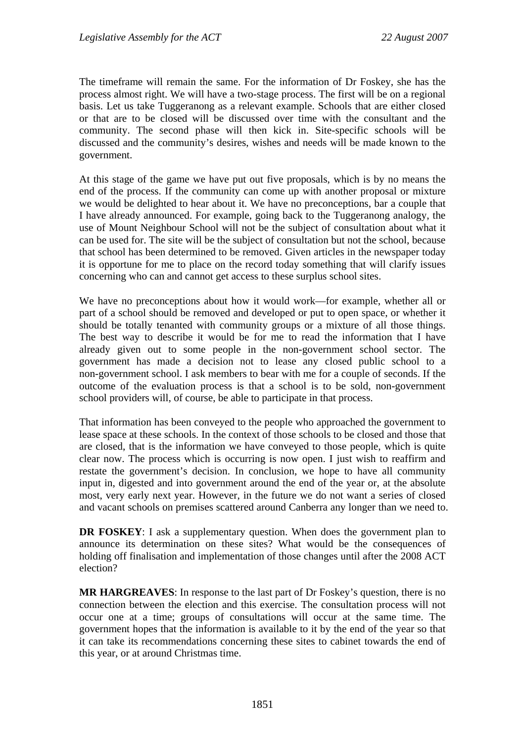The timeframe will remain the same. For the information of Dr Foskey, she has the process almost right. We will have a two-stage process. The first will be on a regional basis. Let us take Tuggeranong as a relevant example. Schools that are either closed or that are to be closed will be discussed over time with the consultant and the community. The second phase will then kick in. Site-specific schools will be discussed and the community's desires, wishes and needs will be made known to the government.

At this stage of the game we have put out five proposals, which is by no means the end of the process. If the community can come up with another proposal or mixture we would be delighted to hear about it. We have no preconceptions, bar a couple that I have already announced. For example, going back to the Tuggeranong analogy, the use of Mount Neighbour School will not be the subject of consultation about what it can be used for. The site will be the subject of consultation but not the school, because that school has been determined to be removed. Given articles in the newspaper today it is opportune for me to place on the record today something that will clarify issues concerning who can and cannot get access to these surplus school sites.

We have no preconceptions about how it would work—for example, whether all or part of a school should be removed and developed or put to open space, or whether it should be totally tenanted with community groups or a mixture of all those things. The best way to describe it would be for me to read the information that I have already given out to some people in the non-government school sector. The government has made a decision not to lease any closed public school to a non-government school. I ask members to bear with me for a couple of seconds. If the outcome of the evaluation process is that a school is to be sold, non-government school providers will, of course, be able to participate in that process.

That information has been conveyed to the people who approached the government to lease space at these schools. In the context of those schools to be closed and those that are closed, that is the information we have conveyed to those people, which is quite clear now. The process which is occurring is now open. I just wish to reaffirm and restate the government's decision. In conclusion, we hope to have all community input in, digested and into government around the end of the year or, at the absolute most, very early next year. However, in the future we do not want a series of closed and vacant schools on premises scattered around Canberra any longer than we need to.

**DR FOSKEY:** I ask a supplementary question. When does the government plan to announce its determination on these sites? What would be the consequences of holding off finalisation and implementation of those changes until after the 2008 ACT election?

**MR HARGREAVES**: In response to the last part of Dr Foskey's question, there is no connection between the election and this exercise. The consultation process will not occur one at a time; groups of consultations will occur at the same time. The government hopes that the information is available to it by the end of the year so that it can take its recommendations concerning these sites to cabinet towards the end of this year, or at around Christmas time.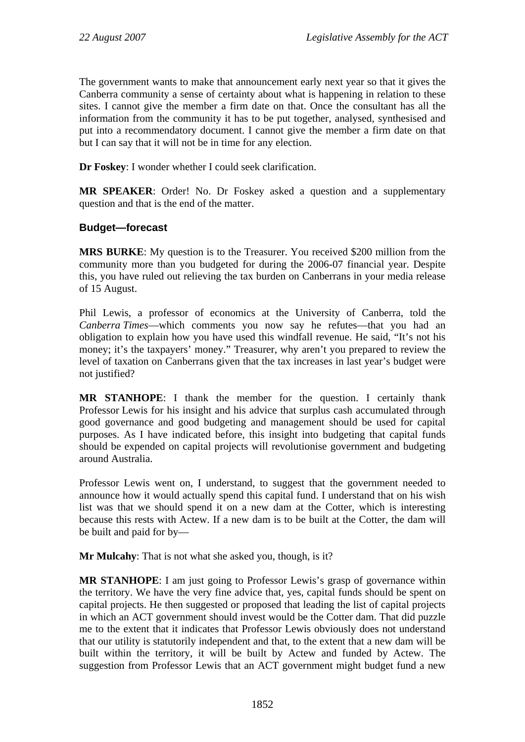The government wants to make that announcement early next year so that it gives the Canberra community a sense of certainty about what is happening in relation to these sites. I cannot give the member a firm date on that. Once the consultant has all the information from the community it has to be put together, analysed, synthesised and put into a recommendatory document. I cannot give the member a firm date on that but I can say that it will not be in time for any election.

**Dr Foskey**: I wonder whether I could seek clarification.

**MR SPEAKER**: Order! No. Dr Foskey asked a question and a supplementary question and that is the end of the matter.

## **Budget—forecast**

**MRS BURKE**: My question is to the Treasurer. You received \$200 million from the community more than you budgeted for during the 2006-07 financial year. Despite this, you have ruled out relieving the tax burden on Canberrans in your media release of 15 August.

Phil Lewis, a professor of economics at the University of Canberra, told the *Canberra Times*—which comments you now say he refutes—that you had an obligation to explain how you have used this windfall revenue. He said, "It's not his money; it's the taxpayers' money." Treasurer, why aren't you prepared to review the level of taxation on Canberrans given that the tax increases in last year's budget were not justified?

**MR STANHOPE**: I thank the member for the question. I certainly thank Professor Lewis for his insight and his advice that surplus cash accumulated through good governance and good budgeting and management should be used for capital purposes. As I have indicated before, this insight into budgeting that capital funds should be expended on capital projects will revolutionise government and budgeting around Australia.

Professor Lewis went on, I understand, to suggest that the government needed to announce how it would actually spend this capital fund. I understand that on his wish list was that we should spend it on a new dam at the Cotter, which is interesting because this rests with Actew. If a new dam is to be built at the Cotter, the dam will be built and paid for by—

**Mr Mulcahy**: That is not what she asked you, though, is it?

**MR STANHOPE**: I am just going to Professor Lewis's grasp of governance within the territory. We have the very fine advice that, yes, capital funds should be spent on capital projects. He then suggested or proposed that leading the list of capital projects in which an ACT government should invest would be the Cotter dam. That did puzzle me to the extent that it indicates that Professor Lewis obviously does not understand that our utility is statutorily independent and that, to the extent that a new dam will be built within the territory, it will be built by Actew and funded by Actew. The suggestion from Professor Lewis that an ACT government might budget fund a new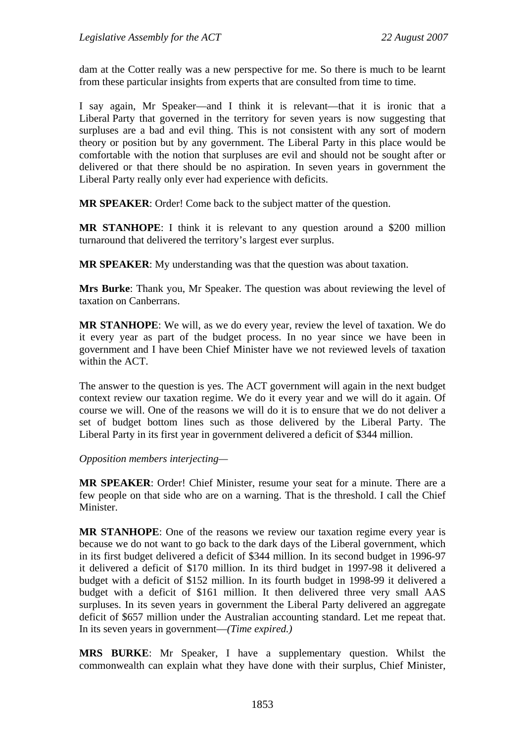dam at the Cotter really was a new perspective for me. So there is much to be learnt from these particular insights from experts that are consulted from time to time.

I say again, Mr Speaker—and I think it is relevant—that it is ironic that a Liberal Party that governed in the territory for seven years is now suggesting that surpluses are a bad and evil thing. This is not consistent with any sort of modern theory or position but by any government. The Liberal Party in this place would be comfortable with the notion that surpluses are evil and should not be sought after or delivered or that there should be no aspiration. In seven years in government the Liberal Party really only ever had experience with deficits.

**MR SPEAKER**: Order! Come back to the subject matter of the question.

**MR STANHOPE**: I think it is relevant to any question around a \$200 million turnaround that delivered the territory's largest ever surplus.

**MR SPEAKER**: My understanding was that the question was about taxation.

**Mrs Burke**: Thank you, Mr Speaker. The question was about reviewing the level of taxation on Canberrans.

**MR STANHOPE**: We will, as we do every year, review the level of taxation. We do it every year as part of the budget process. In no year since we have been in government and I have been Chief Minister have we not reviewed levels of taxation within the ACT.

The answer to the question is yes. The ACT government will again in the next budget context review our taxation regime. We do it every year and we will do it again. Of course we will. One of the reasons we will do it is to ensure that we do not deliver a set of budget bottom lines such as those delivered by the Liberal Party. The Liberal Party in its first year in government delivered a deficit of \$344 million.

*Opposition members interjecting—* 

**MR SPEAKER**: Order! Chief Minister, resume your seat for a minute. There are a few people on that side who are on a warning. That is the threshold. I call the Chief Minister.

**MR STANHOPE**: One of the reasons we review our taxation regime every year is because we do not want to go back to the dark days of the Liberal government, which in its first budget delivered a deficit of \$344 million. In its second budget in 1996-97 it delivered a deficit of \$170 million. In its third budget in 1997-98 it delivered a budget with a deficit of \$152 million. In its fourth budget in 1998-99 it delivered a budget with a deficit of \$161 million. It then delivered three very small AAS surpluses. In its seven years in government the Liberal Party delivered an aggregate deficit of \$657 million under the Australian accounting standard. Let me repeat that. In its seven years in government—*(Time expired.)*

**MRS BURKE**: Mr Speaker, I have a supplementary question. Whilst the commonwealth can explain what they have done with their surplus, Chief Minister,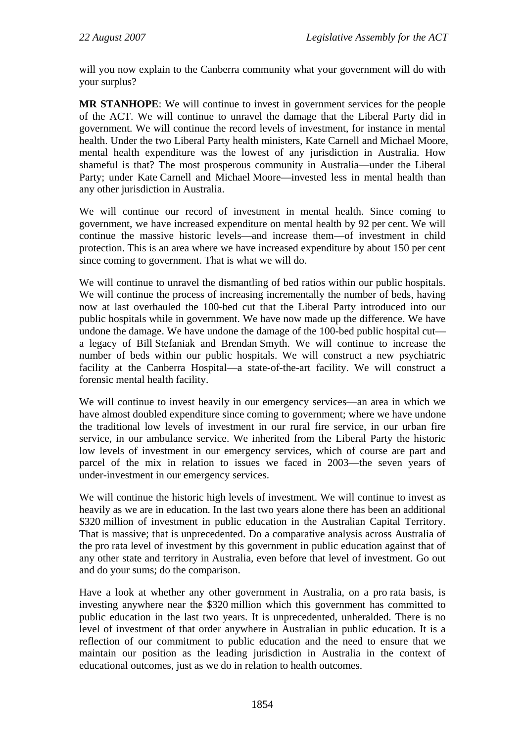will you now explain to the Canberra community what your government will do with your surplus?

**MR STANHOPE**: We will continue to invest in government services for the people of the ACT. We will continue to unravel the damage that the Liberal Party did in government. We will continue the record levels of investment, for instance in mental health. Under the two Liberal Party health ministers, Kate Carnell and Michael Moore, mental health expenditure was the lowest of any jurisdiction in Australia. How shameful is that? The most prosperous community in Australia—under the Liberal Party; under Kate Carnell and Michael Moore—invested less in mental health than any other jurisdiction in Australia.

We will continue our record of investment in mental health. Since coming to government, we have increased expenditure on mental health by 92 per cent. We will continue the massive historic levels—and increase them—of investment in child protection. This is an area where we have increased expenditure by about 150 per cent since coming to government. That is what we will do.

We will continue to unravel the dismantling of bed ratios within our public hospitals. We will continue the process of increasing incrementally the number of beds, having now at last overhauled the 100-bed cut that the Liberal Party introduced into our public hospitals while in government. We have now made up the difference. We have undone the damage. We have undone the damage of the 100-bed public hospital cut a legacy of Bill Stefaniak and Brendan Smyth. We will continue to increase the number of beds within our public hospitals. We will construct a new psychiatric facility at the Canberra Hospital—a state-of-the-art facility. We will construct a forensic mental health facility.

We will continue to invest heavily in our emergency services—an area in which we have almost doubled expenditure since coming to government; where we have undone the traditional low levels of investment in our rural fire service, in our urban fire service, in our ambulance service. We inherited from the Liberal Party the historic low levels of investment in our emergency services, which of course are part and parcel of the mix in relation to issues we faced in 2003—the seven years of under-investment in our emergency services.

We will continue the historic high levels of investment. We will continue to invest as heavily as we are in education. In the last two years alone there has been an additional \$320 million of investment in public education in the Australian Capital Territory. That is massive; that is unprecedented. Do a comparative analysis across Australia of the pro rata level of investment by this government in public education against that of any other state and territory in Australia, even before that level of investment. Go out and do your sums; do the comparison.

Have a look at whether any other government in Australia, on a pro rata basis, is investing anywhere near the \$320 million which this government has committed to public education in the last two years. It is unprecedented, unheralded. There is no level of investment of that order anywhere in Australian in public education. It is a reflection of our commitment to public education and the need to ensure that we maintain our position as the leading jurisdiction in Australia in the context of educational outcomes, just as we do in relation to health outcomes.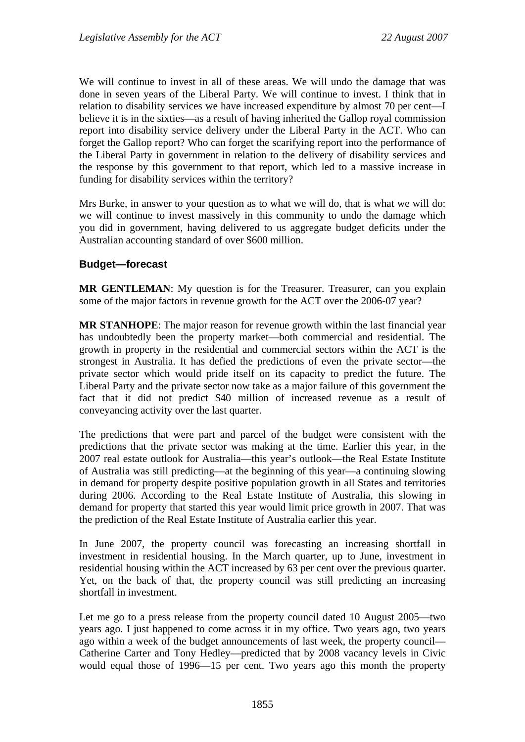We will continue to invest in all of these areas. We will undo the damage that was done in seven years of the Liberal Party. We will continue to invest. I think that in relation to disability services we have increased expenditure by almost 70 per cent—I believe it is in the sixties—as a result of having inherited the Gallop royal commission report into disability service delivery under the Liberal Party in the ACT. Who can forget the Gallop report? Who can forget the scarifying report into the performance of the Liberal Party in government in relation to the delivery of disability services and the response by this government to that report, which led to a massive increase in funding for disability services within the territory?

Mrs Burke, in answer to your question as to what we will do, that is what we will do: we will continue to invest massively in this community to undo the damage which you did in government, having delivered to us aggregate budget deficits under the Australian accounting standard of over \$600 million.

#### **Budget—forecast**

**MR GENTLEMAN**: My question is for the Treasurer. Treasurer, can you explain some of the major factors in revenue growth for the ACT over the 2006-07 year?

**MR STANHOPE**: The major reason for revenue growth within the last financial year has undoubtedly been the property market—both commercial and residential. The growth in property in the residential and commercial sectors within the ACT is the strongest in Australia. It has defied the predictions of even the private sector—the private sector which would pride itself on its capacity to predict the future. The Liberal Party and the private sector now take as a major failure of this government the fact that it did not predict \$40 million of increased revenue as a result of conveyancing activity over the last quarter.

The predictions that were part and parcel of the budget were consistent with the predictions that the private sector was making at the time. Earlier this year, in the 2007 real estate outlook for Australia—this year's outlook—the Real Estate Institute of Australia was still predicting—at the beginning of this year—a continuing slowing in demand for property despite positive population growth in all States and territories during 2006. According to the Real Estate Institute of Australia, this slowing in demand for property that started this year would limit price growth in 2007. That was the prediction of the Real Estate Institute of Australia earlier this year.

In June 2007, the property council was forecasting an increasing shortfall in investment in residential housing. In the March quarter, up to June, investment in residential housing within the ACT increased by 63 per cent over the previous quarter. Yet, on the back of that, the property council was still predicting an increasing shortfall in investment.

Let me go to a press release from the property council dated 10 August 2005—two years ago. I just happened to come across it in my office. Two years ago, two years ago within a week of the budget announcements of last week, the property council— Catherine Carter and Tony Hedley—predicted that by 2008 vacancy levels in Civic would equal those of 1996—15 per cent. Two years ago this month the property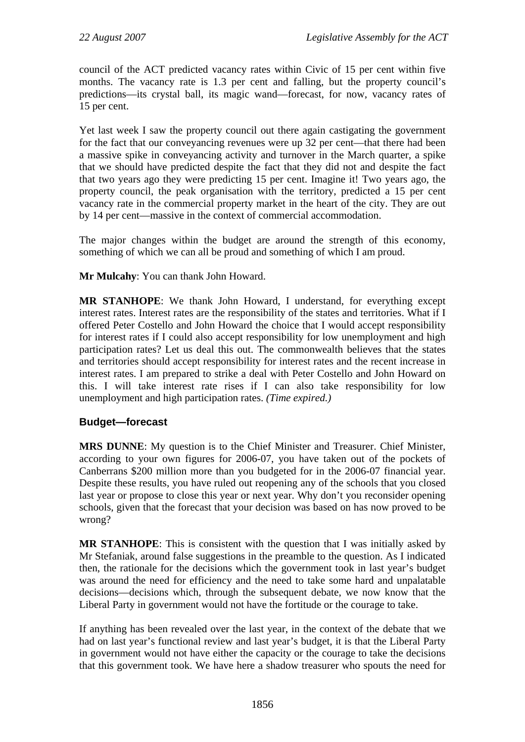council of the ACT predicted vacancy rates within Civic of 15 per cent within five months. The vacancy rate is 1.3 per cent and falling, but the property council's predictions—its crystal ball, its magic wand—forecast, for now, vacancy rates of 15 per cent.

Yet last week I saw the property council out there again castigating the government for the fact that our conveyancing revenues were up 32 per cent—that there had been a massive spike in conveyancing activity and turnover in the March quarter, a spike that we should have predicted despite the fact that they did not and despite the fact that two years ago they were predicting 15 per cent. Imagine it! Two years ago, the property council, the peak organisation with the territory, predicted a 15 per cent vacancy rate in the commercial property market in the heart of the city. They are out by 14 per cent—massive in the context of commercial accommodation.

The major changes within the budget are around the strength of this economy, something of which we can all be proud and something of which I am proud.

**Mr Mulcahy**: You can thank John Howard.

**MR STANHOPE**: We thank John Howard, I understand, for everything except interest rates. Interest rates are the responsibility of the states and territories. What if I offered Peter Costello and John Howard the choice that I would accept responsibility for interest rates if I could also accept responsibility for low unemployment and high participation rates? Let us deal this out. The commonwealth believes that the states and territories should accept responsibility for interest rates and the recent increase in interest rates. I am prepared to strike a deal with Peter Costello and John Howard on this. I will take interest rate rises if I can also take responsibility for low unemployment and high participation rates. *(Time expired.)*

#### **Budget—forecast**

**MRS DUNNE**: My question is to the Chief Minister and Treasurer. Chief Minister, according to your own figures for 2006-07, you have taken out of the pockets of Canberrans \$200 million more than you budgeted for in the 2006-07 financial year. Despite these results, you have ruled out reopening any of the schools that you closed last year or propose to close this year or next year. Why don't you reconsider opening schools, given that the forecast that your decision was based on has now proved to be wrong?

**MR STANHOPE**: This is consistent with the question that I was initially asked by Mr Stefaniak, around false suggestions in the preamble to the question. As I indicated then, the rationale for the decisions which the government took in last year's budget was around the need for efficiency and the need to take some hard and unpalatable decisions—decisions which, through the subsequent debate, we now know that the Liberal Party in government would not have the fortitude or the courage to take.

If anything has been revealed over the last year, in the context of the debate that we had on last year's functional review and last year's budget, it is that the Liberal Party in government would not have either the capacity or the courage to take the decisions that this government took. We have here a shadow treasurer who spouts the need for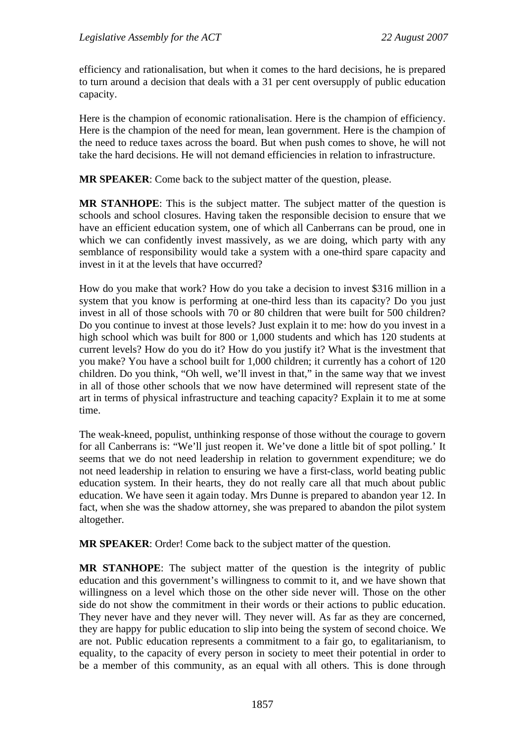efficiency and rationalisation, but when it comes to the hard decisions, he is prepared to turn around a decision that deals with a 31 per cent oversupply of public education capacity.

Here is the champion of economic rationalisation. Here is the champion of efficiency. Here is the champion of the need for mean, lean government. Here is the champion of the need to reduce taxes across the board. But when push comes to shove, he will not take the hard decisions. He will not demand efficiencies in relation to infrastructure.

**MR SPEAKER**: Come back to the subject matter of the question, please.

**MR STANHOPE**: This is the subject matter. The subject matter of the question is schools and school closures. Having taken the responsible decision to ensure that we have an efficient education system, one of which all Canberrans can be proud, one in which we can confidently invest massively, as we are doing, which party with any semblance of responsibility would take a system with a one-third spare capacity and invest in it at the levels that have occurred?

How do you make that work? How do you take a decision to invest \$316 million in a system that you know is performing at one-third less than its capacity? Do you just invest in all of those schools with 70 or 80 children that were built for 500 children? Do you continue to invest at those levels? Just explain it to me: how do you invest in a high school which was built for 800 or 1,000 students and which has 120 students at current levels? How do you do it? How do you justify it? What is the investment that you make? You have a school built for 1,000 children; it currently has a cohort of 120 children. Do you think, "Oh well, we'll invest in that," in the same way that we invest in all of those other schools that we now have determined will represent state of the art in terms of physical infrastructure and teaching capacity? Explain it to me at some time.

The weak-kneed, populist, unthinking response of those without the courage to govern for all Canberrans is: "We'll just reopen it. We've done a little bit of spot polling.' It seems that we do not need leadership in relation to government expenditure; we do not need leadership in relation to ensuring we have a first-class, world beating public education system. In their hearts, they do not really care all that much about public education. We have seen it again today. Mrs Dunne is prepared to abandon year 12. In fact, when she was the shadow attorney, she was prepared to abandon the pilot system altogether.

**MR SPEAKER**: Order! Come back to the subject matter of the question.

**MR STANHOPE**: The subject matter of the question is the integrity of public education and this government's willingness to commit to it, and we have shown that willingness on a level which those on the other side never will. Those on the other side do not show the commitment in their words or their actions to public education. They never have and they never will. They never will. As far as they are concerned, they are happy for public education to slip into being the system of second choice. We are not. Public education represents a commitment to a fair go, to egalitarianism, to equality, to the capacity of every person in society to meet their potential in order to be a member of this community, as an equal with all others. This is done through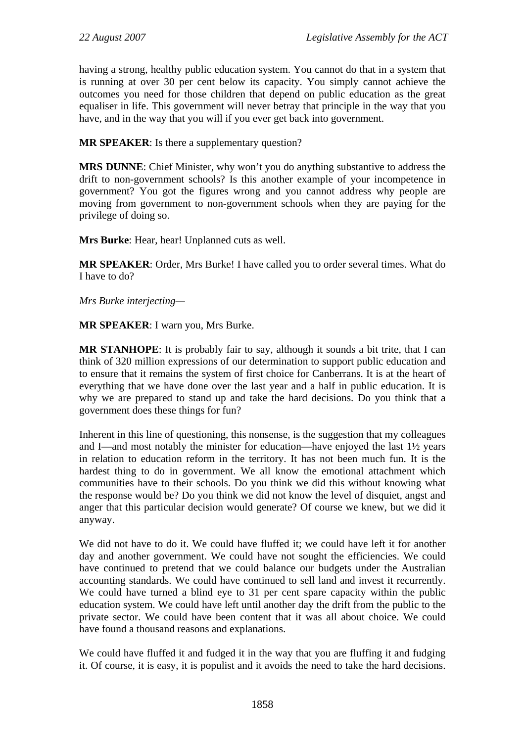having a strong, healthy public education system. You cannot do that in a system that is running at over 30 per cent below its capacity. You simply cannot achieve the outcomes you need for those children that depend on public education as the great equaliser in life. This government will never betray that principle in the way that you have, and in the way that you will if you ever get back into government.

**MR SPEAKER**: Is there a supplementary question?

**MRS DUNNE**: Chief Minister, why won't you do anything substantive to address the drift to non-government schools? Is this another example of your incompetence in government? You got the figures wrong and you cannot address why people are moving from government to non-government schools when they are paying for the privilege of doing so.

**Mrs Burke**: Hear, hear! Unplanned cuts as well.

**MR SPEAKER**: Order, Mrs Burke! I have called you to order several times. What do I have to do?

*Mrs Burke interjecting—* 

**MR SPEAKER**: I warn you, Mrs Burke.

**MR STANHOPE**: It is probably fair to say, although it sounds a bit trite, that I can think of 320 million expressions of our determination to support public education and to ensure that it remains the system of first choice for Canberrans. It is at the heart of everything that we have done over the last year and a half in public education. It is why we are prepared to stand up and take the hard decisions. Do you think that a government does these things for fun?

Inherent in this line of questioning, this nonsense, is the suggestion that my colleagues and I—and most notably the minister for education—have enjoyed the last 1½ years in relation to education reform in the territory. It has not been much fun. It is the hardest thing to do in government. We all know the emotional attachment which communities have to their schools. Do you think we did this without knowing what the response would be? Do you think we did not know the level of disquiet, angst and anger that this particular decision would generate? Of course we knew, but we did it anyway.

We did not have to do it. We could have fluffed it; we could have left it for another day and another government. We could have not sought the efficiencies. We could have continued to pretend that we could balance our budgets under the Australian accounting standards. We could have continued to sell land and invest it recurrently. We could have turned a blind eye to 31 per cent spare capacity within the public education system. We could have left until another day the drift from the public to the private sector. We could have been content that it was all about choice. We could have found a thousand reasons and explanations.

We could have fluffed it and fudged it in the way that you are fluffing it and fudging it. Of course, it is easy, it is populist and it avoids the need to take the hard decisions.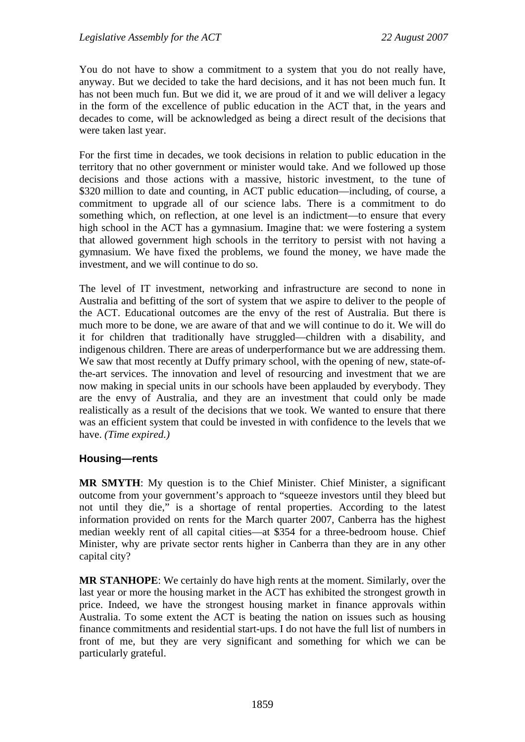You do not have to show a commitment to a system that you do not really have, anyway. But we decided to take the hard decisions, and it has not been much fun. It has not been much fun. But we did it, we are proud of it and we will deliver a legacy in the form of the excellence of public education in the ACT that, in the years and decades to come, will be acknowledged as being a direct result of the decisions that were taken last year.

For the first time in decades, we took decisions in relation to public education in the territory that no other government or minister would take. And we followed up those decisions and those actions with a massive, historic investment, to the tune of \$320 million to date and counting, in ACT public education—including, of course, a commitment to upgrade all of our science labs. There is a commitment to do something which, on reflection, at one level is an indictment—to ensure that every high school in the ACT has a gymnasium. Imagine that: we were fostering a system that allowed government high schools in the territory to persist with not having a gymnasium. We have fixed the problems, we found the money, we have made the investment, and we will continue to do so.

The level of IT investment, networking and infrastructure are second to none in Australia and befitting of the sort of system that we aspire to deliver to the people of the ACT. Educational outcomes are the envy of the rest of Australia. But there is much more to be done, we are aware of that and we will continue to do it. We will do it for children that traditionally have struggled—children with a disability, and indigenous children. There are areas of underperformance but we are addressing them. We saw that most recently at Duffy primary school, with the opening of new, state-ofthe-art services. The innovation and level of resourcing and investment that we are now making in special units in our schools have been applauded by everybody. They are the envy of Australia, and they are an investment that could only be made realistically as a result of the decisions that we took. We wanted to ensure that there was an efficient system that could be invested in with confidence to the levels that we have. *(Time expired.)*

#### **Housing—rents**

**MR SMYTH**: My question is to the Chief Minister. Chief Minister, a significant outcome from your government's approach to "squeeze investors until they bleed but not until they die," is a shortage of rental properties. According to the latest information provided on rents for the March quarter 2007, Canberra has the highest median weekly rent of all capital cities—at \$354 for a three-bedroom house. Chief Minister, why are private sector rents higher in Canberra than they are in any other capital city?

**MR STANHOPE**: We certainly do have high rents at the moment. Similarly, over the last year or more the housing market in the ACT has exhibited the strongest growth in price. Indeed, we have the strongest housing market in finance approvals within Australia. To some extent the ACT is beating the nation on issues such as housing finance commitments and residential start-ups. I do not have the full list of numbers in front of me, but they are very significant and something for which we can be particularly grateful.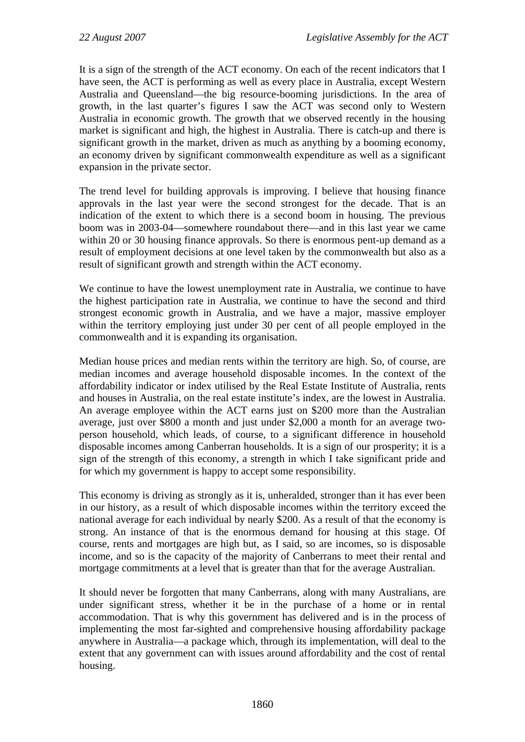It is a sign of the strength of the ACT economy. On each of the recent indicators that I have seen, the ACT is performing as well as every place in Australia, except Western Australia and Queensland—the big resource-booming jurisdictions. In the area of growth, in the last quarter's figures I saw the ACT was second only to Western Australia in economic growth. The growth that we observed recently in the housing market is significant and high, the highest in Australia. There is catch-up and there is significant growth in the market, driven as much as anything by a booming economy, an economy driven by significant commonwealth expenditure as well as a significant expansion in the private sector.

The trend level for building approvals is improving. I believe that housing finance approvals in the last year were the second strongest for the decade. That is an indication of the extent to which there is a second boom in housing. The previous boom was in 2003-04—somewhere roundabout there—and in this last year we came within 20 or 30 housing finance approvals. So there is enormous pent-up demand as a result of employment decisions at one level taken by the commonwealth but also as a result of significant growth and strength within the ACT economy.

We continue to have the lowest unemployment rate in Australia, we continue to have the highest participation rate in Australia, we continue to have the second and third strongest economic growth in Australia, and we have a major, massive employer within the territory employing just under 30 per cent of all people employed in the commonwealth and it is expanding its organisation.

Median house prices and median rents within the territory are high. So, of course, are median incomes and average household disposable incomes. In the context of the affordability indicator or index utilised by the Real Estate Institute of Australia, rents and houses in Australia, on the real estate institute's index, are the lowest in Australia. An average employee within the ACT earns just on \$200 more than the Australian average, just over \$800 a month and just under \$2,000 a month for an average twoperson household, which leads, of course, to a significant difference in household disposable incomes among Canberran households. It is a sign of our prosperity; it is a sign of the strength of this economy, a strength in which I take significant pride and for which my government is happy to accept some responsibility.

This economy is driving as strongly as it is, unheralded, stronger than it has ever been in our history, as a result of which disposable incomes within the territory exceed the national average for each individual by nearly \$200. As a result of that the economy is strong. An instance of that is the enormous demand for housing at this stage. Of course, rents and mortgages are high but, as I said, so are incomes, so is disposable income, and so is the capacity of the majority of Canberrans to meet their rental and mortgage commitments at a level that is greater than that for the average Australian.

It should never be forgotten that many Canberrans, along with many Australians, are under significant stress, whether it be in the purchase of a home or in rental accommodation. That is why this government has delivered and is in the process of implementing the most far-sighted and comprehensive housing affordability package anywhere in Australia—a package which, through its implementation, will deal to the extent that any government can with issues around affordability and the cost of rental housing.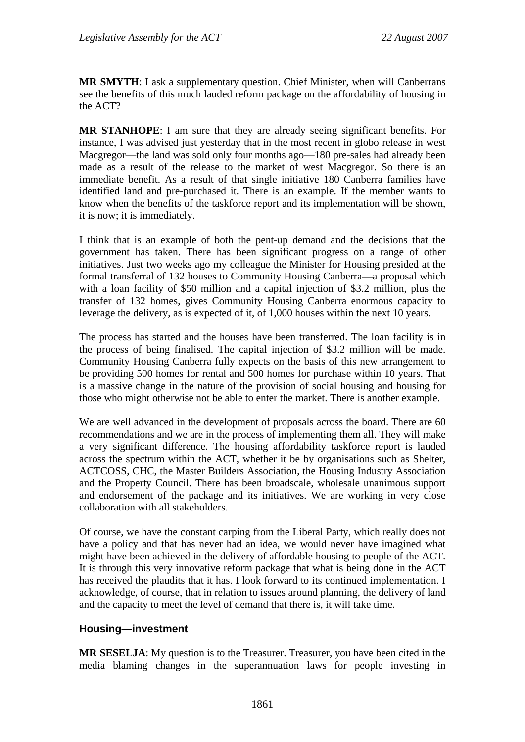**MR SMYTH**: I ask a supplementary question. Chief Minister, when will Canberrans see the benefits of this much lauded reform package on the affordability of housing in the ACT?

**MR STANHOPE**: I am sure that they are already seeing significant benefits. For instance, I was advised just yesterday that in the most recent in globo release in west Macgregor—the land was sold only four months ago—180 pre-sales had already been made as a result of the release to the market of west Macgregor. So there is an immediate benefit. As a result of that single initiative 180 Canberra families have identified land and pre-purchased it. There is an example. If the member wants to know when the benefits of the taskforce report and its implementation will be shown, it is now; it is immediately.

I think that is an example of both the pent-up demand and the decisions that the government has taken. There has been significant progress on a range of other initiatives. Just two weeks ago my colleague the Minister for Housing presided at the formal transferral of 132 houses to Community Housing Canberra—a proposal which with a loan facility of \$50 million and a capital injection of \$3.2 million, plus the transfer of 132 homes, gives Community Housing Canberra enormous capacity to leverage the delivery, as is expected of it, of 1,000 houses within the next 10 years.

The process has started and the houses have been transferred. The loan facility is in the process of being finalised. The capital injection of \$3.2 million will be made. Community Housing Canberra fully expects on the basis of this new arrangement to be providing 500 homes for rental and 500 homes for purchase within 10 years. That is a massive change in the nature of the provision of social housing and housing for those who might otherwise not be able to enter the market. There is another example.

We are well advanced in the development of proposals across the board. There are 60 recommendations and we are in the process of implementing them all. They will make a very significant difference. The housing affordability taskforce report is lauded across the spectrum within the ACT, whether it be by organisations such as Shelter, ACTCOSS, CHC, the Master Builders Association, the Housing Industry Association and the Property Council. There has been broadscale, wholesale unanimous support and endorsement of the package and its initiatives. We are working in very close collaboration with all stakeholders.

Of course, we have the constant carping from the Liberal Party, which really does not have a policy and that has never had an idea, we would never have imagined what might have been achieved in the delivery of affordable housing to people of the ACT. It is through this very innovative reform package that what is being done in the ACT has received the plaudits that it has. I look forward to its continued implementation. I acknowledge, of course, that in relation to issues around planning, the delivery of land and the capacity to meet the level of demand that there is, it will take time.

#### **Housing—investment**

**MR SESELJA**: My question is to the Treasurer. Treasurer, you have been cited in the media blaming changes in the superannuation laws for people investing in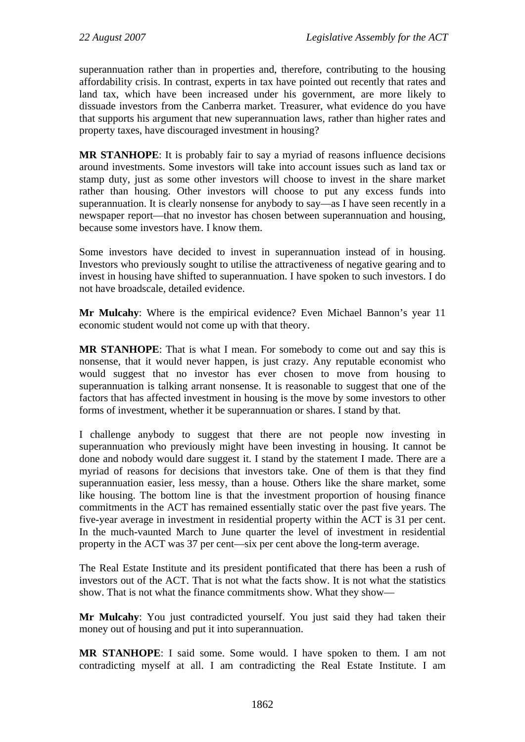superannuation rather than in properties and, therefore, contributing to the housing affordability crisis. In contrast, experts in tax have pointed out recently that rates and land tax, which have been increased under his government, are more likely to dissuade investors from the Canberra market. Treasurer, what evidence do you have that supports his argument that new superannuation laws, rather than higher rates and property taxes, have discouraged investment in housing?

**MR STANHOPE**: It is probably fair to say a myriad of reasons influence decisions around investments. Some investors will take into account issues such as land tax or stamp duty, just as some other investors will choose to invest in the share market rather than housing. Other investors will choose to put any excess funds into superannuation. It is clearly nonsense for anybody to say—as I have seen recently in a newspaper report—that no investor has chosen between superannuation and housing, because some investors have. I know them.

Some investors have decided to invest in superannuation instead of in housing. Investors who previously sought to utilise the attractiveness of negative gearing and to invest in housing have shifted to superannuation. I have spoken to such investors. I do not have broadscale, detailed evidence.

**Mr Mulcahy**: Where is the empirical evidence? Even Michael Bannon's year 11 economic student would not come up with that theory.

**MR STANHOPE**: That is what I mean. For somebody to come out and say this is nonsense, that it would never happen, is just crazy. Any reputable economist who would suggest that no investor has ever chosen to move from housing to superannuation is talking arrant nonsense. It is reasonable to suggest that one of the factors that has affected investment in housing is the move by some investors to other forms of investment, whether it be superannuation or shares. I stand by that.

I challenge anybody to suggest that there are not people now investing in superannuation who previously might have been investing in housing. It cannot be done and nobody would dare suggest it. I stand by the statement I made. There are a myriad of reasons for decisions that investors take. One of them is that they find superannuation easier, less messy, than a house. Others like the share market, some like housing. The bottom line is that the investment proportion of housing finance commitments in the ACT has remained essentially static over the past five years. The five-year average in investment in residential property within the ACT is 31 per cent. In the much-vaunted March to June quarter the level of investment in residential property in the ACT was 37 per cent—six per cent above the long-term average.

The Real Estate Institute and its president pontificated that there has been a rush of investors out of the ACT. That is not what the facts show. It is not what the statistics show. That is not what the finance commitments show. What they show—

**Mr Mulcahy**: You just contradicted yourself. You just said they had taken their money out of housing and put it into superannuation.

**MR STANHOPE**: I said some. Some would. I have spoken to them. I am not contradicting myself at all. I am contradicting the Real Estate Institute. I am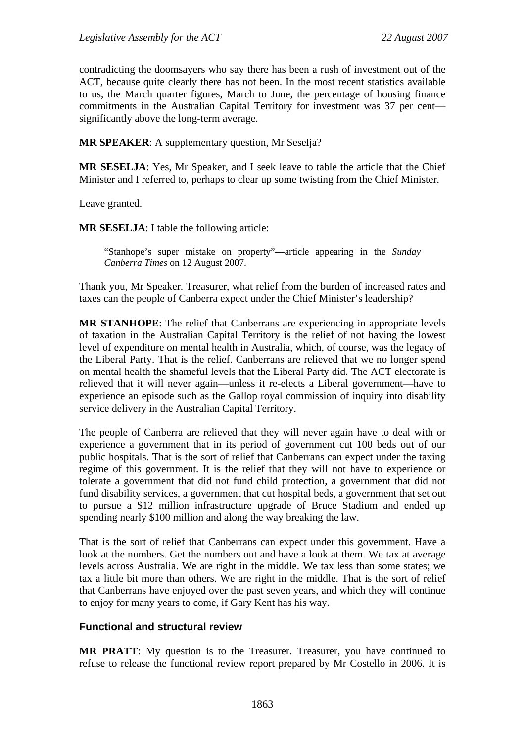contradicting the doomsayers who say there has been a rush of investment out of the ACT, because quite clearly there has not been. In the most recent statistics available to us, the March quarter figures, March to June, the percentage of housing finance commitments in the Australian Capital Territory for investment was 37 per cent significantly above the long-term average.

**MR SPEAKER**: A supplementary question, Mr Seselja?

**MR SESELJA**: Yes, Mr Speaker, and I seek leave to table the article that the Chief Minister and I referred to, perhaps to clear up some twisting from the Chief Minister.

Leave granted.

**MR SESELJA**: I table the following article:

"Stanhope's super mistake on property"—article appearing in the *Sunday Canberra Times* on 12 August 2007.

Thank you, Mr Speaker. Treasurer, what relief from the burden of increased rates and taxes can the people of Canberra expect under the Chief Minister's leadership?

**MR STANHOPE**: The relief that Canberrans are experiencing in appropriate levels of taxation in the Australian Capital Territory is the relief of not having the lowest level of expenditure on mental health in Australia, which, of course, was the legacy of the Liberal Party. That is the relief. Canberrans are relieved that we no longer spend on mental health the shameful levels that the Liberal Party did. The ACT electorate is relieved that it will never again—unless it re-elects a Liberal government—have to experience an episode such as the Gallop royal commission of inquiry into disability service delivery in the Australian Capital Territory.

The people of Canberra are relieved that they will never again have to deal with or experience a government that in its period of government cut 100 beds out of our public hospitals. That is the sort of relief that Canberrans can expect under the taxing regime of this government. It is the relief that they will not have to experience or tolerate a government that did not fund child protection, a government that did not fund disability services, a government that cut hospital beds, a government that set out to pursue a \$12 million infrastructure upgrade of Bruce Stadium and ended up spending nearly \$100 million and along the way breaking the law.

That is the sort of relief that Canberrans can expect under this government. Have a look at the numbers. Get the numbers out and have a look at them. We tax at average levels across Australia. We are right in the middle. We tax less than some states; we tax a little bit more than others. We are right in the middle. That is the sort of relief that Canberrans have enjoyed over the past seven years, and which they will continue to enjoy for many years to come, if Gary Kent has his way.

#### **Functional and structural review**

**MR PRATT**: My question is to the Treasurer. Treasurer, you have continued to refuse to release the functional review report prepared by Mr Costello in 2006. It is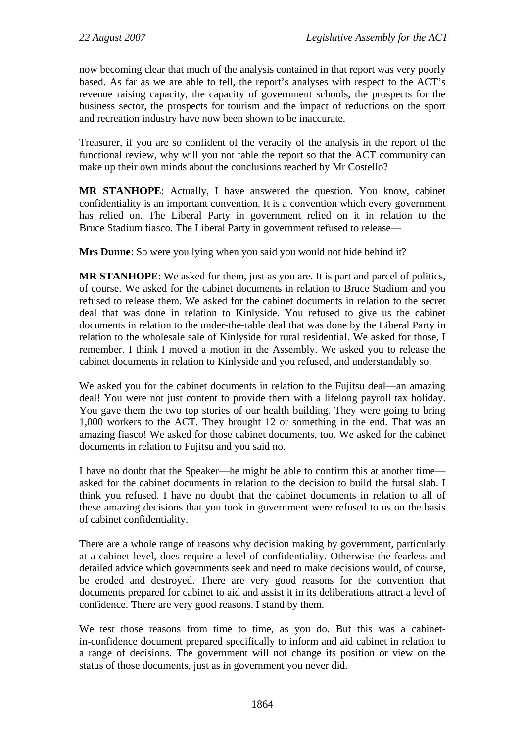now becoming clear that much of the analysis contained in that report was very poorly based. As far as we are able to tell, the report's analyses with respect to the ACT's revenue raising capacity, the capacity of government schools, the prospects for the business sector, the prospects for tourism and the impact of reductions on the sport and recreation industry have now been shown to be inaccurate.

Treasurer, if you are so confident of the veracity of the analysis in the report of the functional review, why will you not table the report so that the ACT community can make up their own minds about the conclusions reached by Mr Costello?

**MR STANHOPE**: Actually, I have answered the question. You know, cabinet confidentiality is an important convention. It is a convention which every government has relied on. The Liberal Party in government relied on it in relation to the Bruce Stadium fiasco. The Liberal Party in government refused to release—

**Mrs Dunne**: So were you lying when you said you would not hide behind it?

**MR STANHOPE**: We asked for them, just as you are. It is part and parcel of politics, of course. We asked for the cabinet documents in relation to Bruce Stadium and you refused to release them. We asked for the cabinet documents in relation to the secret deal that was done in relation to Kinlyside. You refused to give us the cabinet documents in relation to the under-the-table deal that was done by the Liberal Party in relation to the wholesale sale of Kinlyside for rural residential. We asked for those, I remember. I think I moved a motion in the Assembly. We asked you to release the cabinet documents in relation to Kinlyside and you refused, and understandably so.

We asked you for the cabinet documents in relation to the Fujitsu deal—an amazing deal! You were not just content to provide them with a lifelong payroll tax holiday. You gave them the two top stories of our health building. They were going to bring 1,000 workers to the ACT. They brought 12 or something in the end. That was an amazing fiasco! We asked for those cabinet documents, too. We asked for the cabinet documents in relation to Fujitsu and you said no.

I have no doubt that the Speaker—he might be able to confirm this at another time asked for the cabinet documents in relation to the decision to build the futsal slab. I think you refused. I have no doubt that the cabinet documents in relation to all of these amazing decisions that you took in government were refused to us on the basis of cabinet confidentiality.

There are a whole range of reasons why decision making by government, particularly at a cabinet level, does require a level of confidentiality. Otherwise the fearless and detailed advice which governments seek and need to make decisions would, of course, be eroded and destroyed. There are very good reasons for the convention that documents prepared for cabinet to aid and assist it in its deliberations attract a level of confidence. There are very good reasons. I stand by them.

We test those reasons from time to time, as you do. But this was a cabinetin-confidence document prepared specifically to inform and aid cabinet in relation to a range of decisions. The government will not change its position or view on the status of those documents, just as in government you never did.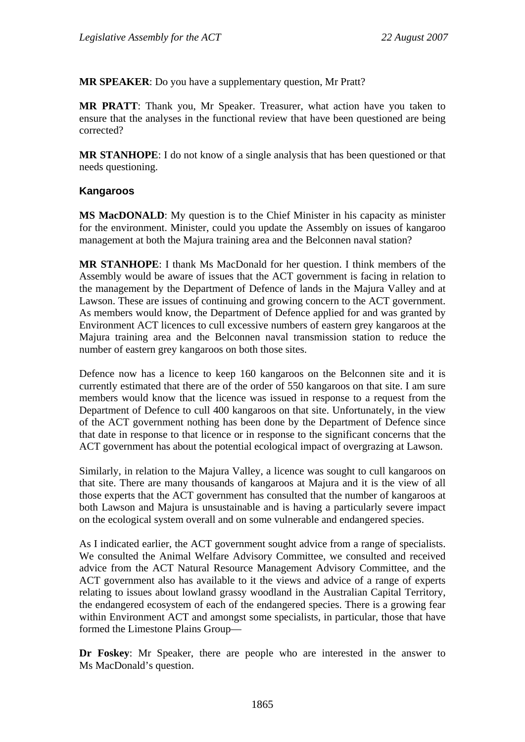**MR SPEAKER**: Do you have a supplementary question, Mr Pratt?

**MR PRATT**: Thank you, Mr Speaker. Treasurer, what action have you taken to ensure that the analyses in the functional review that have been questioned are being corrected?

**MR STANHOPE**: I do not know of a single analysis that has been questioned or that needs questioning.

#### **Kangaroos**

**MS MacDONALD**: My question is to the Chief Minister in his capacity as minister for the environment. Minister, could you update the Assembly on issues of kangaroo management at both the Majura training area and the Belconnen naval station?

**MR STANHOPE**: I thank Ms MacDonald for her question. I think members of the Assembly would be aware of issues that the ACT government is facing in relation to the management by the Department of Defence of lands in the Majura Valley and at Lawson. These are issues of continuing and growing concern to the ACT government. As members would know, the Department of Defence applied for and was granted by Environment ACT licences to cull excessive numbers of eastern grey kangaroos at the Majura training area and the Belconnen naval transmission station to reduce the number of eastern grey kangaroos on both those sites.

Defence now has a licence to keep 160 kangaroos on the Belconnen site and it is currently estimated that there are of the order of 550 kangaroos on that site. I am sure members would know that the licence was issued in response to a request from the Department of Defence to cull 400 kangaroos on that site. Unfortunately, in the view of the ACT government nothing has been done by the Department of Defence since that date in response to that licence or in response to the significant concerns that the ACT government has about the potential ecological impact of overgrazing at Lawson.

Similarly, in relation to the Majura Valley, a licence was sought to cull kangaroos on that site. There are many thousands of kangaroos at Majura and it is the view of all those experts that the ACT government has consulted that the number of kangaroos at both Lawson and Majura is unsustainable and is having a particularly severe impact on the ecological system overall and on some vulnerable and endangered species.

As I indicated earlier, the ACT government sought advice from a range of specialists. We consulted the Animal Welfare Advisory Committee, we consulted and received advice from the ACT Natural Resource Management Advisory Committee, and the ACT government also has available to it the views and advice of a range of experts relating to issues about lowland grassy woodland in the Australian Capital Territory, the endangered ecosystem of each of the endangered species. There is a growing fear within Environment ACT and amongst some specialists, in particular, those that have formed the Limestone Plains Group—

**Dr Foskey**: Mr Speaker, there are people who are interested in the answer to Ms MacDonald's question.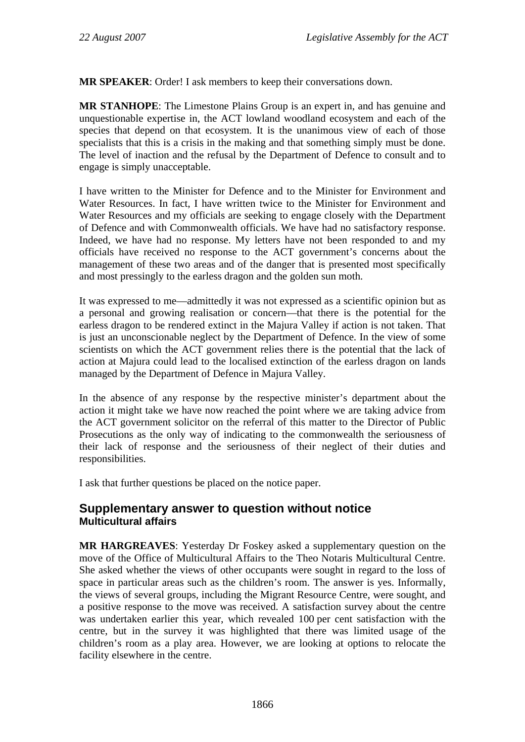**MR SPEAKER**: Order! I ask members to keep their conversations down.

**MR STANHOPE**: The Limestone Plains Group is an expert in, and has genuine and unquestionable expertise in, the ACT lowland woodland ecosystem and each of the species that depend on that ecosystem. It is the unanimous view of each of those specialists that this is a crisis in the making and that something simply must be done. The level of inaction and the refusal by the Department of Defence to consult and to engage is simply unacceptable.

I have written to the Minister for Defence and to the Minister for Environment and Water Resources. In fact, I have written twice to the Minister for Environment and Water Resources and my officials are seeking to engage closely with the Department of Defence and with Commonwealth officials. We have had no satisfactory response. Indeed, we have had no response. My letters have not been responded to and my officials have received no response to the ACT government's concerns about the management of these two areas and of the danger that is presented most specifically and most pressingly to the earless dragon and the golden sun moth.

It was expressed to me—admittedly it was not expressed as a scientific opinion but as a personal and growing realisation or concern—that there is the potential for the earless dragon to be rendered extinct in the Majura Valley if action is not taken. That is just an unconscionable neglect by the Department of Defence. In the view of some scientists on which the ACT government relies there is the potential that the lack of action at Majura could lead to the localised extinction of the earless dragon on lands managed by the Department of Defence in Majura Valley.

In the absence of any response by the respective minister's department about the action it might take we have now reached the point where we are taking advice from the ACT government solicitor on the referral of this matter to the Director of Public Prosecutions as the only way of indicating to the commonwealth the seriousness of their lack of response and the seriousness of their neglect of their duties and responsibilities.

I ask that further questions be placed on the notice paper.

## **Supplementary answer to question without notice Multicultural affairs**

**MR HARGREAVES**: Yesterday Dr Foskey asked a supplementary question on the move of the Office of Multicultural Affairs to the Theo Notaris Multicultural Centre. She asked whether the views of other occupants were sought in regard to the loss of space in particular areas such as the children's room. The answer is yes. Informally, the views of several groups, including the Migrant Resource Centre, were sought, and a positive response to the move was received. A satisfaction survey about the centre was undertaken earlier this year, which revealed 100 per cent satisfaction with the centre, but in the survey it was highlighted that there was limited usage of the children's room as a play area. However, we are looking at options to relocate the facility elsewhere in the centre.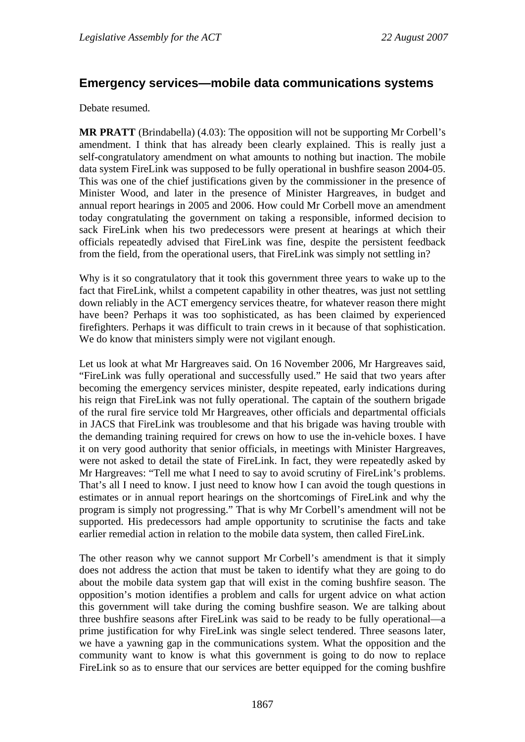## **Emergency services—mobile data communications systems**

Debate resumed.

**MR PRATT** (Brindabella) (4.03): The opposition will not be supporting Mr Corbell's amendment. I think that has already been clearly explained. This is really just a self-congratulatory amendment on what amounts to nothing but inaction. The mobile data system FireLink was supposed to be fully operational in bushfire season 2004-05. This was one of the chief justifications given by the commissioner in the presence of Minister Wood, and later in the presence of Minister Hargreaves, in budget and annual report hearings in 2005 and 2006. How could Mr Corbell move an amendment today congratulating the government on taking a responsible, informed decision to sack FireLink when his two predecessors were present at hearings at which their officials repeatedly advised that FireLink was fine, despite the persistent feedback from the field, from the operational users, that FireLink was simply not settling in?

Why is it so congratulatory that it took this government three years to wake up to the fact that FireLink, whilst a competent capability in other theatres, was just not settling down reliably in the ACT emergency services theatre, for whatever reason there might have been? Perhaps it was too sophisticated, as has been claimed by experienced firefighters. Perhaps it was difficult to train crews in it because of that sophistication. We do know that ministers simply were not vigilant enough.

Let us look at what Mr Hargreaves said. On 16 November 2006, Mr Hargreaves said, "FireLink was fully operational and successfully used." He said that two years after becoming the emergency services minister, despite repeated, early indications during his reign that FireLink was not fully operational. The captain of the southern brigade of the rural fire service told Mr Hargreaves, other officials and departmental officials in JACS that FireLink was troublesome and that his brigade was having trouble with the demanding training required for crews on how to use the in-vehicle boxes. I have it on very good authority that senior officials, in meetings with Minister Hargreaves, were not asked to detail the state of FireLink. In fact, they were repeatedly asked by Mr Hargreaves: "Tell me what I need to say to avoid scrutiny of FireLink's problems. That's all I need to know. I just need to know how I can avoid the tough questions in estimates or in annual report hearings on the shortcomings of FireLink and why the program is simply not progressing." That is why Mr Corbell's amendment will not be supported. His predecessors had ample opportunity to scrutinise the facts and take earlier remedial action in relation to the mobile data system, then called FireLink.

The other reason why we cannot support Mr Corbell's amendment is that it simply does not address the action that must be taken to identify what they are going to do about the mobile data system gap that will exist in the coming bushfire season. The opposition's motion identifies a problem and calls for urgent advice on what action this government will take during the coming bushfire season. We are talking about three bushfire seasons after FireLink was said to be ready to be fully operational—a prime justification for why FireLink was single select tendered. Three seasons later, we have a yawning gap in the communications system. What the opposition and the community want to know is what this government is going to do now to replace FireLink so as to ensure that our services are better equipped for the coming bushfire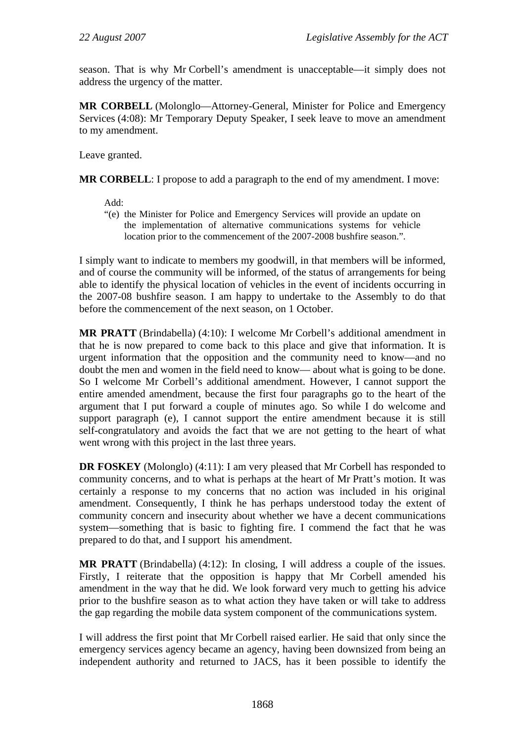season. That is why Mr Corbell's amendment is unacceptable—it simply does not address the urgency of the matter.

**MR CORBELL** (Molonglo—Attorney-General, Minister for Police and Emergency Services (4:08): Mr Temporary Deputy Speaker, I seek leave to move an amendment to my amendment.

Leave granted.

**MR CORBELL:** I propose to add a paragraph to the end of my amendment. I move:

Add:

"(e) the Minister for Police and Emergency Services will provide an update on the implementation of alternative communications systems for vehicle location prior to the commencement of the 2007-2008 bushfire season.".

I simply want to indicate to members my goodwill, in that members will be informed, and of course the community will be informed, of the status of arrangements for being able to identify the physical location of vehicles in the event of incidents occurring in the 2007-08 bushfire season. I am happy to undertake to the Assembly to do that before the commencement of the next season, on 1 October.

**MR PRATT** (Brindabella) (4:10): I welcome Mr Corbell's additional amendment in that he is now prepared to come back to this place and give that information. It is urgent information that the opposition and the community need to know—and no doubt the men and women in the field need to know— about what is going to be done. So I welcome Mr Corbell's additional amendment. However, I cannot support the entire amended amendment, because the first four paragraphs go to the heart of the argument that I put forward a couple of minutes ago. So while I do welcome and support paragraph (e), I cannot support the entire amendment because it is still self-congratulatory and avoids the fact that we are not getting to the heart of what went wrong with this project in the last three years.

**DR FOSKEY** (Molonglo) (4:11): I am very pleased that Mr Corbell has responded to community concerns, and to what is perhaps at the heart of Mr Pratt's motion. It was certainly a response to my concerns that no action was included in his original amendment. Consequently, I think he has perhaps understood today the extent of community concern and insecurity about whether we have a decent communications system—something that is basic to fighting fire. I commend the fact that he was prepared to do that, and I support his amendment.

**MR PRATT** (Brindabella) (4:12): In closing, I will address a couple of the issues. Firstly, I reiterate that the opposition is happy that Mr Corbell amended his amendment in the way that he did. We look forward very much to getting his advice prior to the bushfire season as to what action they have taken or will take to address the gap regarding the mobile data system component of the communications system.

I will address the first point that Mr Corbell raised earlier. He said that only since the emergency services agency became an agency, having been downsized from being an independent authority and returned to JACS, has it been possible to identify the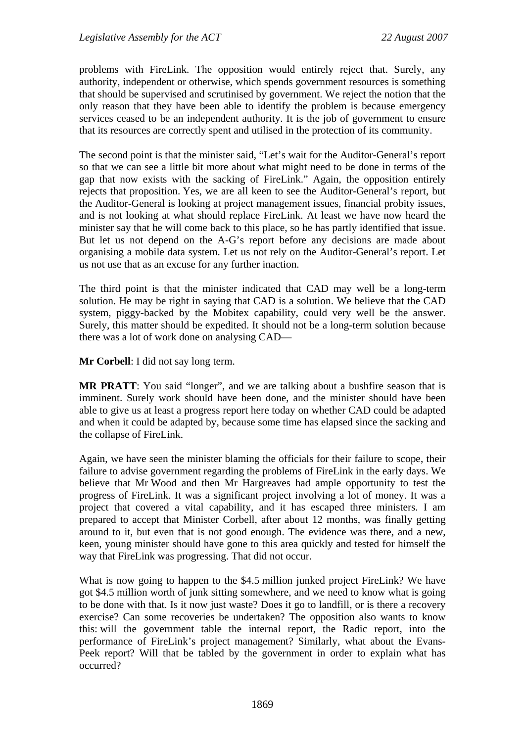problems with FireLink. The opposition would entirely reject that. Surely, any authority, independent or otherwise, which spends government resources is something that should be supervised and scrutinised by government. We reject the notion that the only reason that they have been able to identify the problem is because emergency services ceased to be an independent authority. It is the job of government to ensure that its resources are correctly spent and utilised in the protection of its community.

The second point is that the minister said, "Let's wait for the Auditor-General's report so that we can see a little bit more about what might need to be done in terms of the gap that now exists with the sacking of FireLink." Again, the opposition entirely rejects that proposition. Yes, we are all keen to see the Auditor-General's report, but the Auditor-General is looking at project management issues, financial probity issues, and is not looking at what should replace FireLink. At least we have now heard the minister say that he will come back to this place, so he has partly identified that issue. But let us not depend on the A-G's report before any decisions are made about organising a mobile data system. Let us not rely on the Auditor-General's report. Let us not use that as an excuse for any further inaction.

The third point is that the minister indicated that CAD may well be a long-term solution. He may be right in saying that CAD is a solution. We believe that the CAD system, piggy-backed by the Mobitex capability, could very well be the answer. Surely, this matter should be expedited. It should not be a long-term solution because there was a lot of work done on analysing CAD—

**Mr Corbell**: I did not say long term.

**MR PRATT:** You said "longer", and we are talking about a bushfire season that is imminent. Surely work should have been done, and the minister should have been able to give us at least a progress report here today on whether CAD could be adapted and when it could be adapted by, because some time has elapsed since the sacking and the collapse of FireLink.

Again, we have seen the minister blaming the officials for their failure to scope, their failure to advise government regarding the problems of FireLink in the early days. We believe that Mr Wood and then Mr Hargreaves had ample opportunity to test the progress of FireLink. It was a significant project involving a lot of money. It was a project that covered a vital capability, and it has escaped three ministers. I am prepared to accept that Minister Corbell, after about 12 months, was finally getting around to it, but even that is not good enough. The evidence was there, and a new, keen, young minister should have gone to this area quickly and tested for himself the way that FireLink was progressing. That did not occur.

What is now going to happen to the \$4.5 million junked project FireLink? We have got \$4.5 million worth of junk sitting somewhere, and we need to know what is going to be done with that. Is it now just waste? Does it go to landfill, or is there a recovery exercise? Can some recoveries be undertaken? The opposition also wants to know this: will the government table the internal report, the Radic report, into the performance of FireLink's project management? Similarly, what about the Evans-Peek report? Will that be tabled by the government in order to explain what has occurred?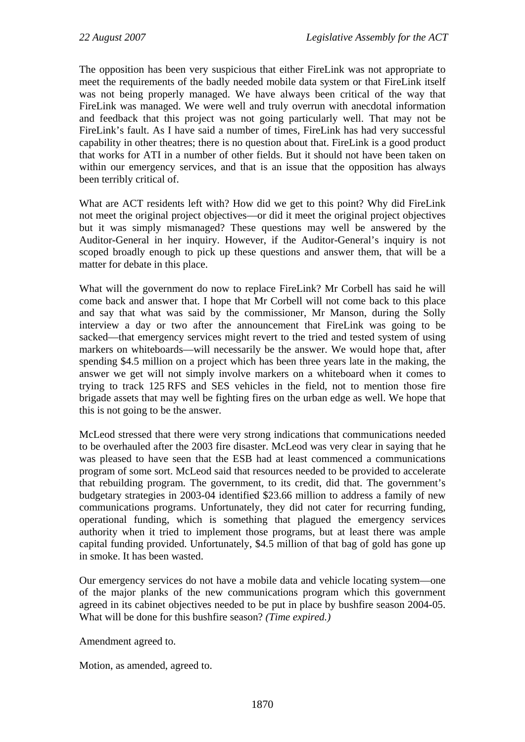The opposition has been very suspicious that either FireLink was not appropriate to meet the requirements of the badly needed mobile data system or that FireLink itself was not being properly managed. We have always been critical of the way that FireLink was managed. We were well and truly overrun with anecdotal information and feedback that this project was not going particularly well. That may not be FireLink's fault. As I have said a number of times, FireLink has had very successful capability in other theatres; there is no question about that. FireLink is a good product that works for ATI in a number of other fields. But it should not have been taken on within our emergency services, and that is an issue that the opposition has always been terribly critical of.

What are ACT residents left with? How did we get to this point? Why did FireLink not meet the original project objectives—or did it meet the original project objectives but it was simply mismanaged? These questions may well be answered by the Auditor-General in her inquiry. However, if the Auditor-General's inquiry is not scoped broadly enough to pick up these questions and answer them, that will be a matter for debate in this place.

What will the government do now to replace FireLink? Mr Corbell has said he will come back and answer that. I hope that Mr Corbell will not come back to this place and say that what was said by the commissioner, Mr Manson, during the Solly interview a day or two after the announcement that FireLink was going to be sacked—that emergency services might revert to the tried and tested system of using markers on whiteboards—will necessarily be the answer. We would hope that, after spending \$4.5 million on a project which has been three years late in the making, the answer we get will not simply involve markers on a whiteboard when it comes to trying to track 125 RFS and SES vehicles in the field, not to mention those fire brigade assets that may well be fighting fires on the urban edge as well. We hope that this is not going to be the answer.

McLeod stressed that there were very strong indications that communications needed to be overhauled after the 2003 fire disaster. McLeod was very clear in saying that he was pleased to have seen that the ESB had at least commenced a communications program of some sort. McLeod said that resources needed to be provided to accelerate that rebuilding program. The government, to its credit, did that. The government's budgetary strategies in 2003-04 identified \$23.66 million to address a family of new communications programs. Unfortunately, they did not cater for recurring funding, operational funding, which is something that plagued the emergency services authority when it tried to implement those programs, but at least there was ample capital funding provided. Unfortunately, \$4.5 million of that bag of gold has gone up in smoke. It has been wasted.

Our emergency services do not have a mobile data and vehicle locating system—one of the major planks of the new communications program which this government agreed in its cabinet objectives needed to be put in place by bushfire season 2004-05. What will be done for this bushfire season? *(Time expired.)*

Amendment agreed to.

Motion, as amended, agreed to.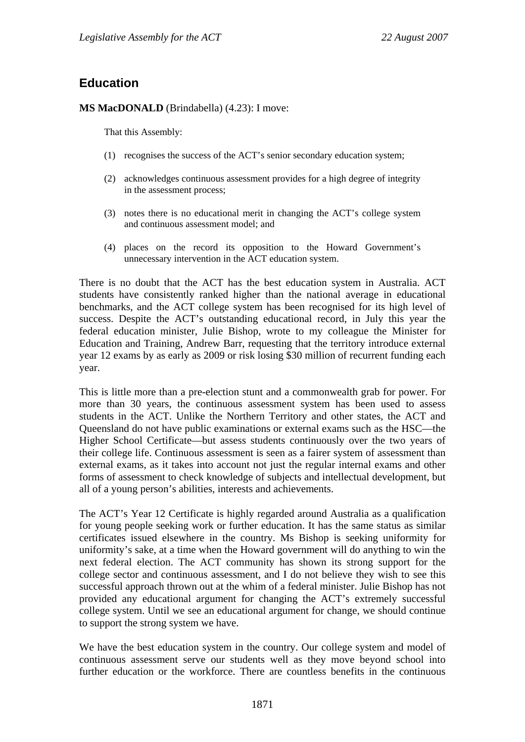# **Education**

#### **MS MacDONALD** (Brindabella) (4.23): I move:

That this Assembly:

- (1) recognises the success of the ACT's senior secondary education system;
- (2) acknowledges continuous assessment provides for a high degree of integrity in the assessment process;
- (3) notes there is no educational merit in changing the ACT's college system and continuous assessment model; and
- (4) places on the record its opposition to the Howard Government's unnecessary intervention in the ACT education system.

There is no doubt that the ACT has the best education system in Australia. ACT students have consistently ranked higher than the national average in educational benchmarks, and the ACT college system has been recognised for its high level of success. Despite the ACT's outstanding educational record, in July this year the federal education minister, Julie Bishop, wrote to my colleague the Minister for Education and Training, Andrew Barr, requesting that the territory introduce external year 12 exams by as early as 2009 or risk losing \$30 million of recurrent funding each year.

This is little more than a pre-election stunt and a commonwealth grab for power. For more than 30 years, the continuous assessment system has been used to assess students in the ACT. Unlike the Northern Territory and other states, the ACT and Queensland do not have public examinations or external exams such as the HSC—the Higher School Certificate—but assess students continuously over the two years of their college life. Continuous assessment is seen as a fairer system of assessment than external exams, as it takes into account not just the regular internal exams and other forms of assessment to check knowledge of subjects and intellectual development, but all of a young person's abilities, interests and achievements.

The ACT's Year 12 Certificate is highly regarded around Australia as a qualification for young people seeking work or further education. It has the same status as similar certificates issued elsewhere in the country. Ms Bishop is seeking uniformity for uniformity's sake, at a time when the Howard government will do anything to win the next federal election. The ACT community has shown its strong support for the college sector and continuous assessment, and I do not believe they wish to see this successful approach thrown out at the whim of a federal minister. Julie Bishop has not provided any educational argument for changing the ACT's extremely successful college system. Until we see an educational argument for change, we should continue to support the strong system we have.

We have the best education system in the country. Our college system and model of continuous assessment serve our students well as they move beyond school into further education or the workforce. There are countless benefits in the continuous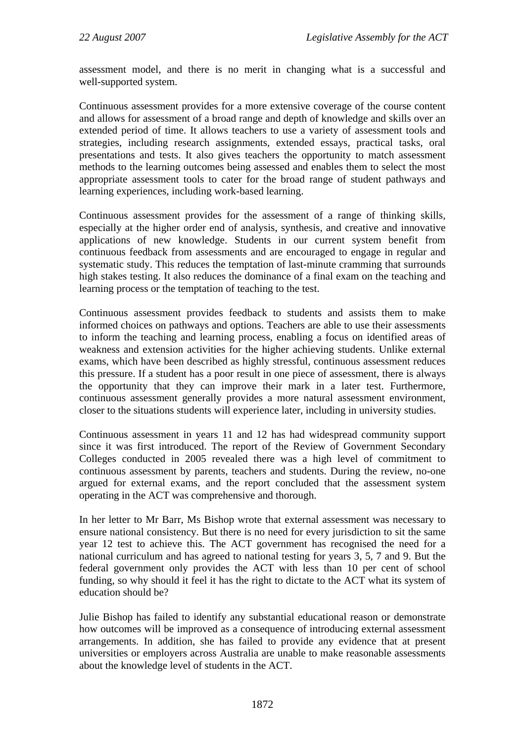assessment model, and there is no merit in changing what is a successful and well-supported system.

Continuous assessment provides for a more extensive coverage of the course content and allows for assessment of a broad range and depth of knowledge and skills over an extended period of time. It allows teachers to use a variety of assessment tools and strategies, including research assignments, extended essays, practical tasks, oral presentations and tests. It also gives teachers the opportunity to match assessment methods to the learning outcomes being assessed and enables them to select the most appropriate assessment tools to cater for the broad range of student pathways and learning experiences, including work-based learning.

Continuous assessment provides for the assessment of a range of thinking skills, especially at the higher order end of analysis, synthesis, and creative and innovative applications of new knowledge. Students in our current system benefit from continuous feedback from assessments and are encouraged to engage in regular and systematic study. This reduces the temptation of last-minute cramming that surrounds high stakes testing. It also reduces the dominance of a final exam on the teaching and learning process or the temptation of teaching to the test.

Continuous assessment provides feedback to students and assists them to make informed choices on pathways and options. Teachers are able to use their assessments to inform the teaching and learning process, enabling a focus on identified areas of weakness and extension activities for the higher achieving students. Unlike external exams, which have been described as highly stressful, continuous assessment reduces this pressure. If a student has a poor result in one piece of assessment, there is always the opportunity that they can improve their mark in a later test. Furthermore, continuous assessment generally provides a more natural assessment environment, closer to the situations students will experience later, including in university studies.

Continuous assessment in years 11 and 12 has had widespread community support since it was first introduced. The report of the Review of Government Secondary Colleges conducted in 2005 revealed there was a high level of commitment to continuous assessment by parents, teachers and students. During the review, no-one argued for external exams, and the report concluded that the assessment system operating in the ACT was comprehensive and thorough.

In her letter to Mr Barr, Ms Bishop wrote that external assessment was necessary to ensure national consistency. But there is no need for every jurisdiction to sit the same year 12 test to achieve this. The ACT government has recognised the need for a national curriculum and has agreed to national testing for years 3, 5, 7 and 9. But the federal government only provides the ACT with less than 10 per cent of school funding, so why should it feel it has the right to dictate to the ACT what its system of education should be?

Julie Bishop has failed to identify any substantial educational reason or demonstrate how outcomes will be improved as a consequence of introducing external assessment arrangements. In addition, she has failed to provide any evidence that at present universities or employers across Australia are unable to make reasonable assessments about the knowledge level of students in the ACT.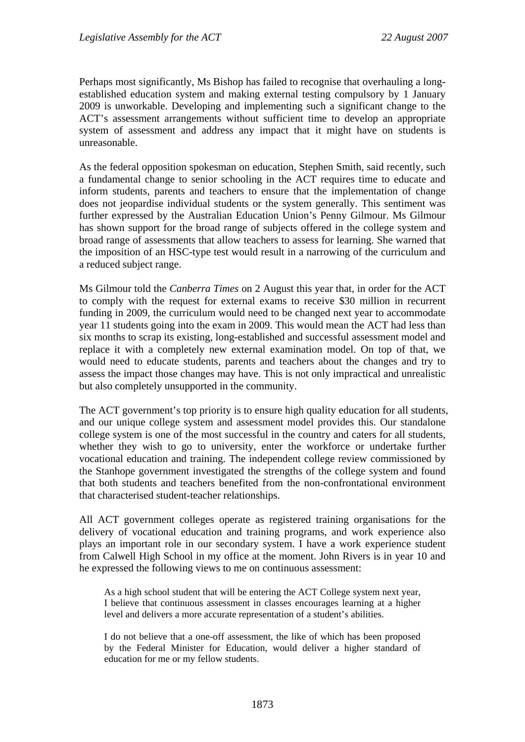Perhaps most significantly, Ms Bishop has failed to recognise that overhauling a longestablished education system and making external testing compulsory by 1 January 2009 is unworkable. Developing and implementing such a significant change to the ACT's assessment arrangements without sufficient time to develop an appropriate system of assessment and address any impact that it might have on students is unreasonable.

As the federal opposition spokesman on education, Stephen Smith, said recently, such a fundamental change to senior schooling in the ACT requires time to educate and inform students, parents and teachers to ensure that the implementation of change does not jeopardise individual students or the system generally. This sentiment was further expressed by the Australian Education Union's Penny Gilmour. Ms Gilmour has shown support for the broad range of subjects offered in the college system and broad range of assessments that allow teachers to assess for learning. She warned that the imposition of an HSC-type test would result in a narrowing of the curriculum and a reduced subject range.

Ms Gilmour told the *Canberra Times* on 2 August this year that, in order for the ACT to comply with the request for external exams to receive \$30 million in recurrent funding in 2009, the curriculum would need to be changed next year to accommodate year 11 students going into the exam in 2009. This would mean the ACT had less than six months to scrap its existing, long-established and successful assessment model and replace it with a completely new external examination model. On top of that, we would need to educate students, parents and teachers about the changes and try to assess the impact those changes may have. This is not only impractical and unrealistic but also completely unsupported in the community.

The ACT government's top priority is to ensure high quality education for all students, and our unique college system and assessment model provides this. Our standalone college system is one of the most successful in the country and caters for all students, whether they wish to go to university, enter the workforce or undertake further vocational education and training. The independent college review commissioned by the Stanhope government investigated the strengths of the college system and found that both students and teachers benefited from the non-confrontational environment that characterised student-teacher relationships.

All ACT government colleges operate as registered training organisations for the delivery of vocational education and training programs, and work experience also plays an important role in our secondary system. I have a work experience student from Calwell High School in my office at the moment. John Rivers is in year 10 and he expressed the following views to me on continuous assessment:

As a high school student that will be entering the ACT College system next year, I believe that continuous assessment in classes encourages learning at a higher level and delivers a more accurate representation of a student's abilities.

I do not believe that a one-off assessment, the like of which has been proposed by the Federal Minister for Education, would deliver a higher standard of education for me or my fellow students.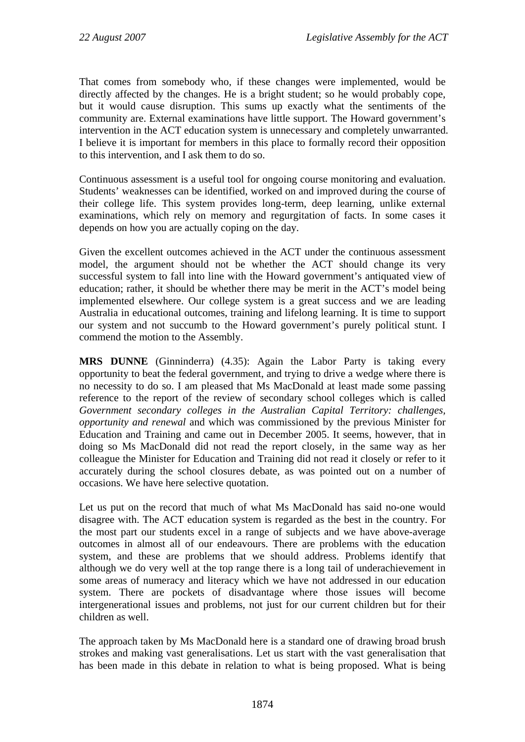That comes from somebody who, if these changes were implemented, would be directly affected by the changes. He is a bright student; so he would probably cope, but it would cause disruption. This sums up exactly what the sentiments of the community are. External examinations have little support. The Howard government's intervention in the ACT education system is unnecessary and completely unwarranted. I believe it is important for members in this place to formally record their opposition to this intervention, and I ask them to do so.

Continuous assessment is a useful tool for ongoing course monitoring and evaluation. Students' weaknesses can be identified, worked on and improved during the course of their college life. This system provides long-term, deep learning, unlike external examinations, which rely on memory and regurgitation of facts. In some cases it depends on how you are actually coping on the day.

Given the excellent outcomes achieved in the ACT under the continuous assessment model, the argument should not be whether the ACT should change its very successful system to fall into line with the Howard government's antiquated view of education; rather, it should be whether there may be merit in the ACT's model being implemented elsewhere. Our college system is a great success and we are leading Australia in educational outcomes, training and lifelong learning. It is time to support our system and not succumb to the Howard government's purely political stunt. I commend the motion to the Assembly.

**MRS DUNNE** (Ginninderra) (4.35): Again the Labor Party is taking every opportunity to beat the federal government, and trying to drive a wedge where there is no necessity to do so. I am pleased that Ms MacDonald at least made some passing reference to the report of the review of secondary school colleges which is called *Government secondary colleges in the Australian Capital Territory: challenges, opportunity and renewal* and which was commissioned by the previous Minister for Education and Training and came out in December 2005. It seems, however, that in doing so Ms MacDonald did not read the report closely, in the same way as her colleague the Minister for Education and Training did not read it closely or refer to it accurately during the school closures debate, as was pointed out on a number of occasions. We have here selective quotation.

Let us put on the record that much of what Ms MacDonald has said no-one would disagree with. The ACT education system is regarded as the best in the country. For the most part our students excel in a range of subjects and we have above-average outcomes in almost all of our endeavours. There are problems with the education system, and these are problems that we should address. Problems identify that although we do very well at the top range there is a long tail of underachievement in some areas of numeracy and literacy which we have not addressed in our education system. There are pockets of disadvantage where those issues will become intergenerational issues and problems, not just for our current children but for their children as well.

The approach taken by Ms MacDonald here is a standard one of drawing broad brush strokes and making vast generalisations. Let us start with the vast generalisation that has been made in this debate in relation to what is being proposed. What is being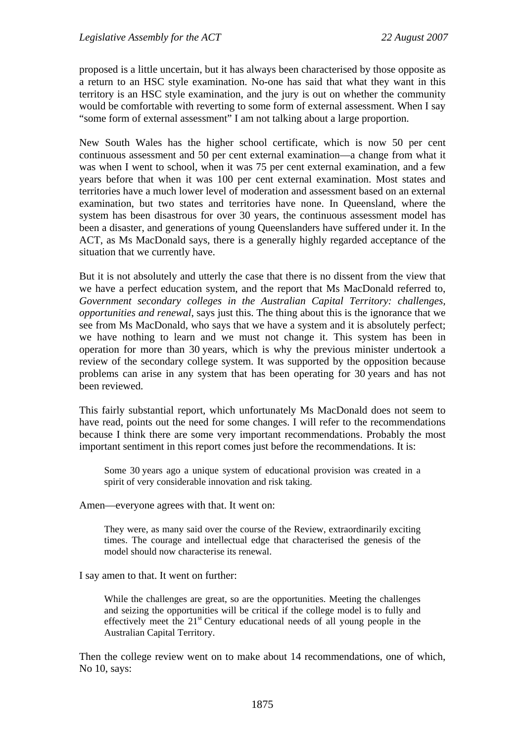proposed is a little uncertain, but it has always been characterised by those opposite as a return to an HSC style examination. No-one has said that what they want in this territory is an HSC style examination, and the jury is out on whether the community would be comfortable with reverting to some form of external assessment. When I say "some form of external assessment" I am not talking about a large proportion.

New South Wales has the higher school certificate, which is now 50 per cent continuous assessment and 50 per cent external examination—a change from what it was when I went to school, when it was 75 per cent external examination, and a few years before that when it was 100 per cent external examination. Most states and territories have a much lower level of moderation and assessment based on an external examination, but two states and territories have none. In Queensland, where the system has been disastrous for over 30 years, the continuous assessment model has been a disaster, and generations of young Queenslanders have suffered under it. In the ACT, as Ms MacDonald says, there is a generally highly regarded acceptance of the situation that we currently have.

But it is not absolutely and utterly the case that there is no dissent from the view that we have a perfect education system, and the report that Ms MacDonald referred to, *Government secondary colleges in the Australian Capital Territory: challenges, opportunities and renewal*, says just this. The thing about this is the ignorance that we see from Ms MacDonald, who says that we have a system and it is absolutely perfect; we have nothing to learn and we must not change it. This system has been in operation for more than 30 years, which is why the previous minister undertook a review of the secondary college system. It was supported by the opposition because problems can arise in any system that has been operating for 30 years and has not been reviewed.

This fairly substantial report, which unfortunately Ms MacDonald does not seem to have read, points out the need for some changes. I will refer to the recommendations because I think there are some very important recommendations. Probably the most important sentiment in this report comes just before the recommendations. It is:

Some 30 years ago a unique system of educational provision was created in a spirit of very considerable innovation and risk taking.

Amen—everyone agrees with that. It went on:

They were, as many said over the course of the Review, extraordinarily exciting times. The courage and intellectual edge that characterised the genesis of the model should now characterise its renewal.

I say amen to that. It went on further:

While the challenges are great, so are the opportunities. Meeting the challenges and seizing the opportunities will be critical if the college model is to fully and effectively meet the 21st Century educational needs of all young people in the Australian Capital Territory.

Then the college review went on to make about 14 recommendations, one of which, No 10, says: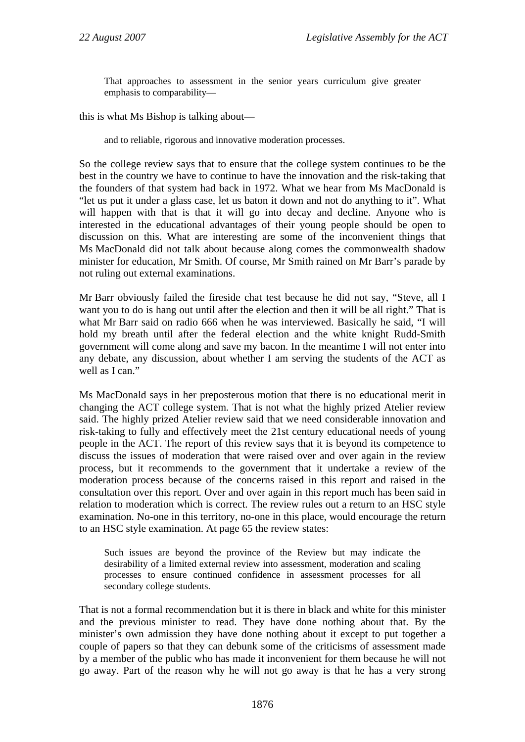That approaches to assessment in the senior years curriculum give greater emphasis to comparability—

this is what Ms Bishop is talking about—

and to reliable, rigorous and innovative moderation processes.

So the college review says that to ensure that the college system continues to be the best in the country we have to continue to have the innovation and the risk-taking that the founders of that system had back in 1972. What we hear from Ms MacDonald is "let us put it under a glass case, let us baton it down and not do anything to it". What will happen with that is that it will go into decay and decline. Anyone who is interested in the educational advantages of their young people should be open to discussion on this. What are interesting are some of the inconvenient things that Ms MacDonald did not talk about because along comes the commonwealth shadow minister for education, Mr Smith. Of course, Mr Smith rained on Mr Barr's parade by not ruling out external examinations.

Mr Barr obviously failed the fireside chat test because he did not say, "Steve, all I want you to do is hang out until after the election and then it will be all right." That is what Mr Barr said on radio 666 when he was interviewed. Basically he said, "I will hold my breath until after the federal election and the white knight Rudd-Smith government will come along and save my bacon. In the meantime I will not enter into any debate, any discussion, about whether I am serving the students of the ACT as well as I can."

Ms MacDonald says in her preposterous motion that there is no educational merit in changing the ACT college system. That is not what the highly prized Atelier review said. The highly prized Atelier review said that we need considerable innovation and risk-taking to fully and effectively meet the 21st century educational needs of young people in the ACT. The report of this review says that it is beyond its competence to discuss the issues of moderation that were raised over and over again in the review process, but it recommends to the government that it undertake a review of the moderation process because of the concerns raised in this report and raised in the consultation over this report. Over and over again in this report much has been said in relation to moderation which is correct. The review rules out a return to an HSC style examination. No-one in this territory, no-one in this place, would encourage the return to an HSC style examination. At page 65 the review states:

Such issues are beyond the province of the Review but may indicate the desirability of a limited external review into assessment, moderation and scaling processes to ensure continued confidence in assessment processes for all secondary college students.

That is not a formal recommendation but it is there in black and white for this minister and the previous minister to read. They have done nothing about that. By the minister's own admission they have done nothing about it except to put together a couple of papers so that they can debunk some of the criticisms of assessment made by a member of the public who has made it inconvenient for them because he will not go away. Part of the reason why he will not go away is that he has a very strong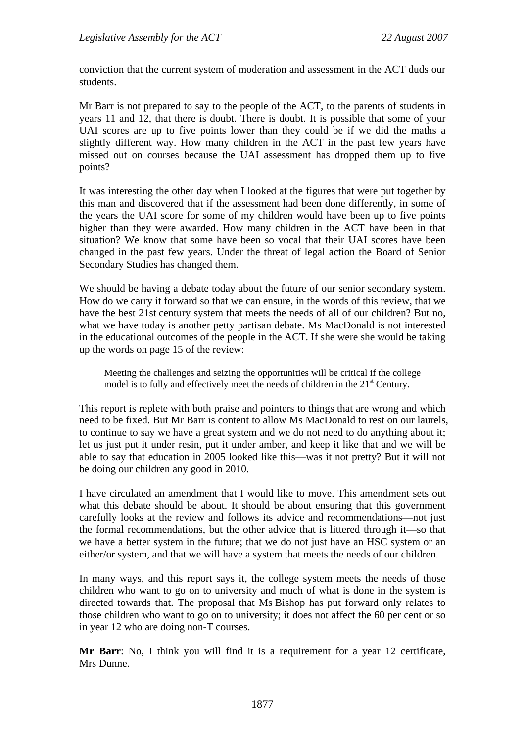conviction that the current system of moderation and assessment in the ACT duds our students.

Mr Barr is not prepared to say to the people of the ACT, to the parents of students in years 11 and 12, that there is doubt. There is doubt. It is possible that some of your UAI scores are up to five points lower than they could be if we did the maths a slightly different way. How many children in the ACT in the past few years have missed out on courses because the UAI assessment has dropped them up to five points?

It was interesting the other day when I looked at the figures that were put together by this man and discovered that if the assessment had been done differently, in some of the years the UAI score for some of my children would have been up to five points higher than they were awarded. How many children in the ACT have been in that situation? We know that some have been so vocal that their UAI scores have been changed in the past few years. Under the threat of legal action the Board of Senior Secondary Studies has changed them.

We should be having a debate today about the future of our senior secondary system. How do we carry it forward so that we can ensure, in the words of this review, that we have the best 21st century system that meets the needs of all of our children? But no, what we have today is another petty partisan debate. Ms MacDonald is not interested in the educational outcomes of the people in the ACT. If she were she would be taking up the words on page 15 of the review:

Meeting the challenges and seizing the opportunities will be critical if the college model is to fully and effectively meet the needs of children in the 21<sup>st</sup> Century.

This report is replete with both praise and pointers to things that are wrong and which need to be fixed. But Mr Barr is content to allow Ms MacDonald to rest on our laurels, to continue to say we have a great system and we do not need to do anything about it; let us just put it under resin, put it under amber, and keep it like that and we will be able to say that education in 2005 looked like this—was it not pretty? But it will not be doing our children any good in 2010.

I have circulated an amendment that I would like to move. This amendment sets out what this debate should be about. It should be about ensuring that this government carefully looks at the review and follows its advice and recommendations—not just the formal recommendations, but the other advice that is littered through it—so that we have a better system in the future; that we do not just have an HSC system or an either/or system, and that we will have a system that meets the needs of our children.

In many ways, and this report says it, the college system meets the needs of those children who want to go on to university and much of what is done in the system is directed towards that. The proposal that Ms Bishop has put forward only relates to those children who want to go on to university; it does not affect the 60 per cent or so in year 12 who are doing non-T courses.

**Mr Barr**: No, I think you will find it is a requirement for a year 12 certificate, Mrs Dunne.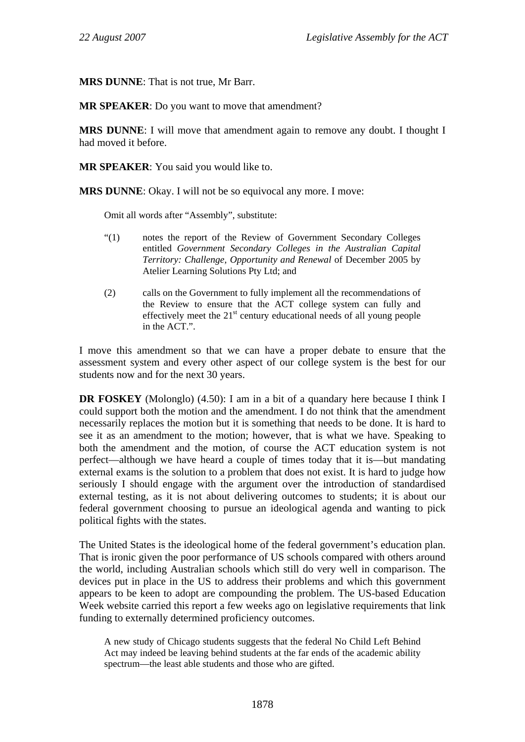**MRS DUNNE**: That is not true, Mr Barr.

**MR SPEAKER**: Do you want to move that amendment?

**MRS DUNNE**: I will move that amendment again to remove any doubt. I thought I had moved it before.

**MR SPEAKER**: You said you would like to.

**MRS DUNNE**: Okay. I will not be so equivocal any more. I move:

Omit all words after "Assembly", substitute:

- "(1) notes the report of the Review of Government Secondary Colleges entitled *Government Secondary Colleges in the Australian Capital Territory: Challenge, Opportunity and Renewal* of December 2005 by Atelier Learning Solutions Pty Ltd; and
- (2) calls on the Government to fully implement all the recommendations of the Review to ensure that the ACT college system can fully and effectively meet the  $21<sup>st</sup>$  century educational needs of all young people in the ACT.".

I move this amendment so that we can have a proper debate to ensure that the assessment system and every other aspect of our college system is the best for our students now and for the next 30 years.

**DR FOSKEY** (Molonglo) (4.50): I am in a bit of a quandary here because I think I could support both the motion and the amendment. I do not think that the amendment necessarily replaces the motion but it is something that needs to be done. It is hard to see it as an amendment to the motion; however, that is what we have. Speaking to both the amendment and the motion, of course the ACT education system is not perfect—although we have heard a couple of times today that it is—but mandating external exams is the solution to a problem that does not exist. It is hard to judge how seriously I should engage with the argument over the introduction of standardised external testing, as it is not about delivering outcomes to students; it is about our federal government choosing to pursue an ideological agenda and wanting to pick political fights with the states.

The United States is the ideological home of the federal government's education plan. That is ironic given the poor performance of US schools compared with others around the world, including Australian schools which still do very well in comparison. The devices put in place in the US to address their problems and which this government appears to be keen to adopt are compounding the problem. The US-based Education Week website carried this report a few weeks ago on legislative requirements that link funding to externally determined proficiency outcomes.

A new study of Chicago students suggests that the federal No Child Left Behind Act may indeed be leaving behind students at the far ends of the academic ability spectrum—the least able students and those who are gifted.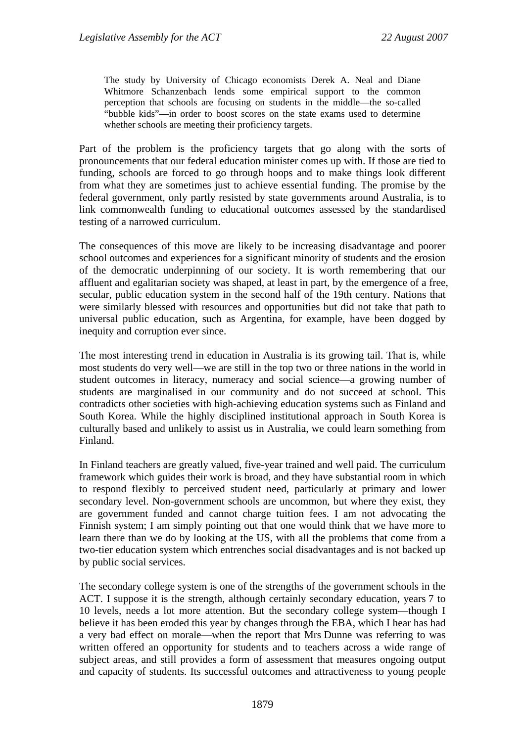The study by University of Chicago economists Derek A. Neal and Diane Whitmore Schanzenbach lends some empirical support to the common perception that schools are focusing on students in the middle—the so-called "bubble kids"—in order to boost scores on the state exams used to determine whether schools are meeting their proficiency targets.

Part of the problem is the proficiency targets that go along with the sorts of pronouncements that our federal education minister comes up with. If those are tied to funding, schools are forced to go through hoops and to make things look different from what they are sometimes just to achieve essential funding. The promise by the federal government, only partly resisted by state governments around Australia, is to link commonwealth funding to educational outcomes assessed by the standardised testing of a narrowed curriculum.

The consequences of this move are likely to be increasing disadvantage and poorer school outcomes and experiences for a significant minority of students and the erosion of the democratic underpinning of our society. It is worth remembering that our affluent and egalitarian society was shaped, at least in part, by the emergence of a free, secular, public education system in the second half of the 19th century. Nations that were similarly blessed with resources and opportunities but did not take that path to universal public education, such as Argentina, for example, have been dogged by inequity and corruption ever since.

The most interesting trend in education in Australia is its growing tail. That is, while most students do very well—we are still in the top two or three nations in the world in student outcomes in literacy, numeracy and social science—a growing number of students are marginalised in our community and do not succeed at school. This contradicts other societies with high-achieving education systems such as Finland and South Korea. While the highly disciplined institutional approach in South Korea is culturally based and unlikely to assist us in Australia, we could learn something from Finland.

In Finland teachers are greatly valued, five-year trained and well paid. The curriculum framework which guides their work is broad, and they have substantial room in which to respond flexibly to perceived student need, particularly at primary and lower secondary level. Non-government schools are uncommon, but where they exist, they are government funded and cannot charge tuition fees. I am not advocating the Finnish system; I am simply pointing out that one would think that we have more to learn there than we do by looking at the US, with all the problems that come from a two-tier education system which entrenches social disadvantages and is not backed up by public social services.

The secondary college system is one of the strengths of the government schools in the ACT. I suppose it is the strength, although certainly secondary education, years 7 to 10 levels, needs a lot more attention. But the secondary college system—though I believe it has been eroded this year by changes through the EBA, which I hear has had a very bad effect on morale—when the report that Mrs Dunne was referring to was written offered an opportunity for students and to teachers across a wide range of subject areas, and still provides a form of assessment that measures ongoing output and capacity of students. Its successful outcomes and attractiveness to young people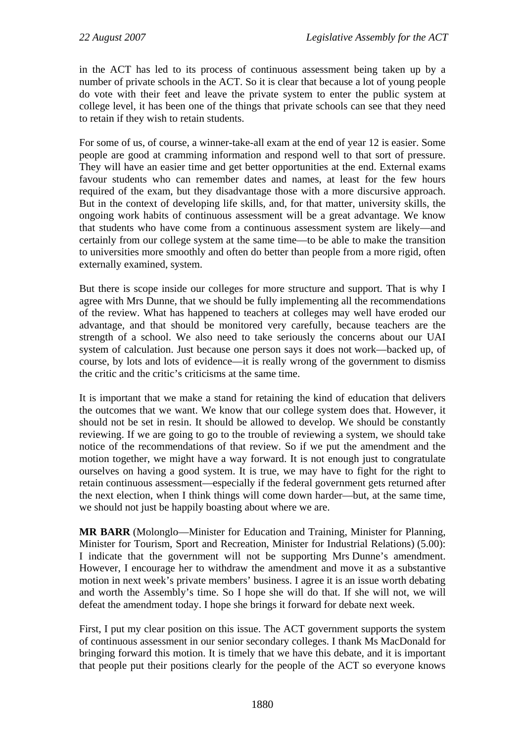in the ACT has led to its process of continuous assessment being taken up by a number of private schools in the ACT. So it is clear that because a lot of young people do vote with their feet and leave the private system to enter the public system at college level, it has been one of the things that private schools can see that they need to retain if they wish to retain students.

For some of us, of course, a winner-take-all exam at the end of year 12 is easier. Some people are good at cramming information and respond well to that sort of pressure. They will have an easier time and get better opportunities at the end. External exams favour students who can remember dates and names, at least for the few hours required of the exam, but they disadvantage those with a more discursive approach. But in the context of developing life skills, and, for that matter, university skills, the ongoing work habits of continuous assessment will be a great advantage. We know that students who have come from a continuous assessment system are likely—and certainly from our college system at the same time—to be able to make the transition to universities more smoothly and often do better than people from a more rigid, often externally examined, system.

But there is scope inside our colleges for more structure and support. That is why I agree with Mrs Dunne, that we should be fully implementing all the recommendations of the review. What has happened to teachers at colleges may well have eroded our advantage, and that should be monitored very carefully, because teachers are the strength of a school. We also need to take seriously the concerns about our UAI system of calculation. Just because one person says it does not work—backed up, of course, by lots and lots of evidence—it is really wrong of the government to dismiss the critic and the critic's criticisms at the same time.

It is important that we make a stand for retaining the kind of education that delivers the outcomes that we want. We know that our college system does that. However, it should not be set in resin. It should be allowed to develop. We should be constantly reviewing. If we are going to go to the trouble of reviewing a system, we should take notice of the recommendations of that review. So if we put the amendment and the motion together, we might have a way forward. It is not enough just to congratulate ourselves on having a good system. It is true, we may have to fight for the right to retain continuous assessment—especially if the federal government gets returned after the next election, when I think things will come down harder—but, at the same time, we should not just be happily boasting about where we are.

**MR BARR** (Molonglo—Minister for Education and Training, Minister for Planning, Minister for Tourism, Sport and Recreation, Minister for Industrial Relations) (5.00): I indicate that the government will not be supporting Mrs Dunne's amendment. However, I encourage her to withdraw the amendment and move it as a substantive motion in next week's private members' business. I agree it is an issue worth debating and worth the Assembly's time. So I hope she will do that. If she will not, we will defeat the amendment today. I hope she brings it forward for debate next week.

First, I put my clear position on this issue. The ACT government supports the system of continuous assessment in our senior secondary colleges. I thank Ms MacDonald for bringing forward this motion. It is timely that we have this debate, and it is important that people put their positions clearly for the people of the ACT so everyone knows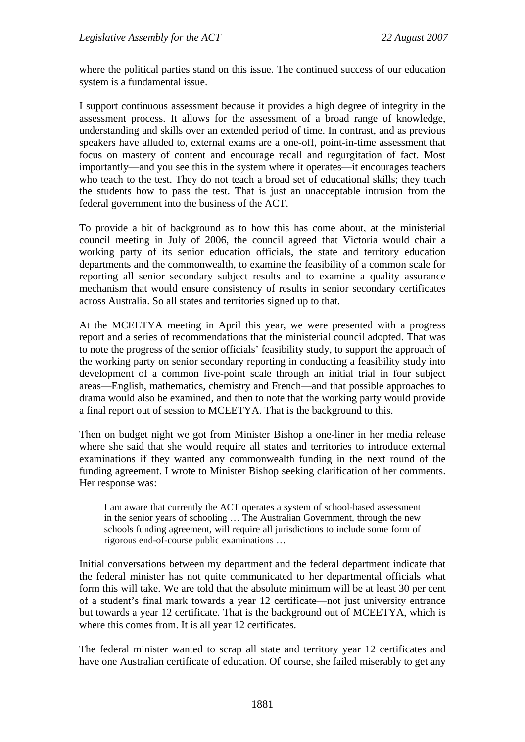where the political parties stand on this issue. The continued success of our education system is a fundamental issue.

I support continuous assessment because it provides a high degree of integrity in the assessment process. It allows for the assessment of a broad range of knowledge, understanding and skills over an extended period of time. In contrast, and as previous speakers have alluded to, external exams are a one-off, point-in-time assessment that focus on mastery of content and encourage recall and regurgitation of fact. Most importantly—and you see this in the system where it operates—it encourages teachers who teach to the test. They do not teach a broad set of educational skills; they teach the students how to pass the test. That is just an unacceptable intrusion from the federal government into the business of the ACT.

To provide a bit of background as to how this has come about, at the ministerial council meeting in July of 2006, the council agreed that Victoria would chair a working party of its senior education officials, the state and territory education departments and the commonwealth, to examine the feasibility of a common scale for reporting all senior secondary subject results and to examine a quality assurance mechanism that would ensure consistency of results in senior secondary certificates across Australia. So all states and territories signed up to that.

At the MCEETYA meeting in April this year, we were presented with a progress report and a series of recommendations that the ministerial council adopted. That was to note the progress of the senior officials' feasibility study, to support the approach of the working party on senior secondary reporting in conducting a feasibility study into development of a common five-point scale through an initial trial in four subject areas—English, mathematics, chemistry and French—and that possible approaches to drama would also be examined, and then to note that the working party would provide a final report out of session to MCEETYA. That is the background to this.

Then on budget night we got from Minister Bishop a one-liner in her media release where she said that she would require all states and territories to introduce external examinations if they wanted any commonwealth funding in the next round of the funding agreement. I wrote to Minister Bishop seeking clarification of her comments. Her response was:

I am aware that currently the ACT operates a system of school-based assessment in the senior years of schooling … The Australian Government, through the new schools funding agreement, will require all jurisdictions to include some form of rigorous end-of-course public examinations …

Initial conversations between my department and the federal department indicate that the federal minister has not quite communicated to her departmental officials what form this will take. We are told that the absolute minimum will be at least 30 per cent of a student's final mark towards a year 12 certificate—not just university entrance but towards a year 12 certificate. That is the background out of MCEETYA, which is where this comes from. It is all year 12 certificates.

The federal minister wanted to scrap all state and territory year 12 certificates and have one Australian certificate of education. Of course, she failed miserably to get any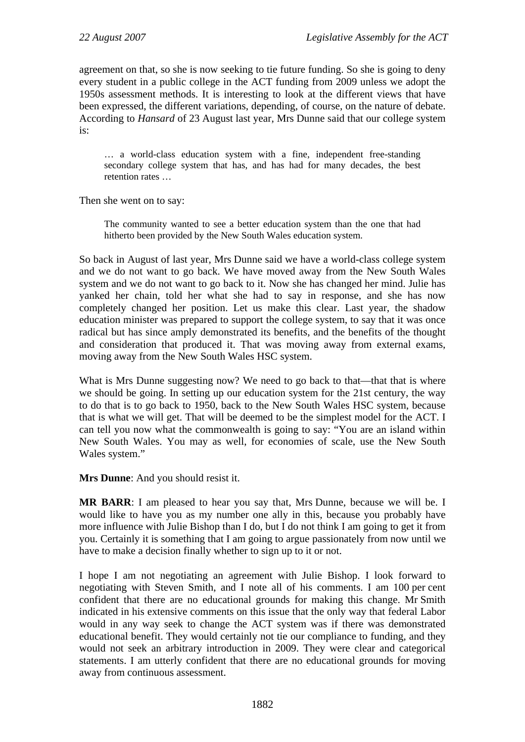agreement on that, so she is now seeking to tie future funding. So she is going to deny every student in a public college in the ACT funding from 2009 unless we adopt the 1950s assessment methods. It is interesting to look at the different views that have been expressed, the different variations, depending, of course, on the nature of debate. According to *Hansard* of 23 August last year, Mrs Dunne said that our college system is:

… a world-class education system with a fine, independent free-standing secondary college system that has, and has had for many decades, the best retention rates …

Then she went on to say:

The community wanted to see a better education system than the one that had hitherto been provided by the New South Wales education system.

So back in August of last year, Mrs Dunne said we have a world-class college system and we do not want to go back. We have moved away from the New South Wales system and we do not want to go back to it. Now she has changed her mind. Julie has yanked her chain, told her what she had to say in response, and she has now completely changed her position. Let us make this clear. Last year, the shadow education minister was prepared to support the college system, to say that it was once radical but has since amply demonstrated its benefits, and the benefits of the thought and consideration that produced it. That was moving away from external exams, moving away from the New South Wales HSC system.

What is Mrs Dunne suggesting now? We need to go back to that—that that is where we should be going. In setting up our education system for the 21st century, the way to do that is to go back to 1950, back to the New South Wales HSC system, because that is what we will get. That will be deemed to be the simplest model for the ACT. I can tell you now what the commonwealth is going to say: "You are an island within New South Wales. You may as well, for economies of scale, use the New South Wales system."

**Mrs Dunne**: And you should resist it.

**MR BARR**: I am pleased to hear you say that, Mrs Dunne, because we will be. I would like to have you as my number one ally in this, because you probably have more influence with Julie Bishop than I do, but I do not think I am going to get it from you. Certainly it is something that I am going to argue passionately from now until we have to make a decision finally whether to sign up to it or not.

I hope I am not negotiating an agreement with Julie Bishop. I look forward to negotiating with Steven Smith, and I note all of his comments. I am 100 per cent confident that there are no educational grounds for making this change. Mr Smith indicated in his extensive comments on this issue that the only way that federal Labor would in any way seek to change the ACT system was if there was demonstrated educational benefit. They would certainly not tie our compliance to funding, and they would not seek an arbitrary introduction in 2009. They were clear and categorical statements. I am utterly confident that there are no educational grounds for moving away from continuous assessment.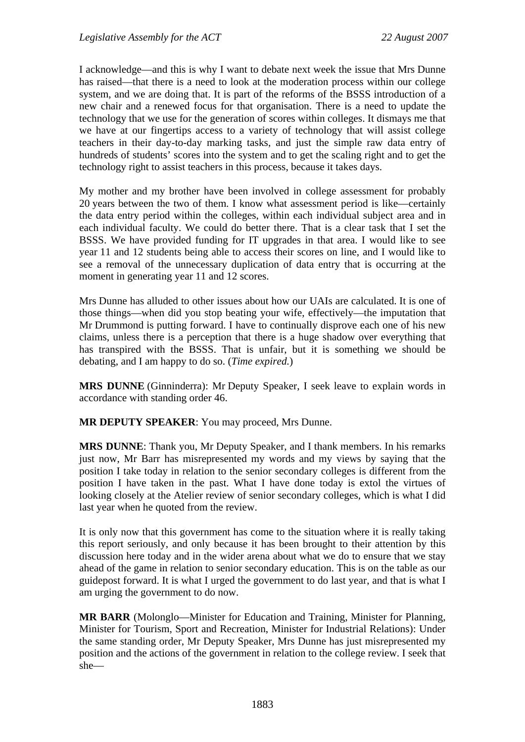I acknowledge—and this is why I want to debate next week the issue that Mrs Dunne has raised—that there is a need to look at the moderation process within our college system, and we are doing that. It is part of the reforms of the BSSS introduction of a new chair and a renewed focus for that organisation. There is a need to update the technology that we use for the generation of scores within colleges. It dismays me that we have at our fingertips access to a variety of technology that will assist college teachers in their day-to-day marking tasks, and just the simple raw data entry of hundreds of students' scores into the system and to get the scaling right and to get the technology right to assist teachers in this process, because it takes days.

My mother and my brother have been involved in college assessment for probably 20 years between the two of them. I know what assessment period is like—certainly the data entry period within the colleges, within each individual subject area and in each individual faculty. We could do better there. That is a clear task that I set the BSSS. We have provided funding for IT upgrades in that area. I would like to see year 11 and 12 students being able to access their scores on line, and I would like to see a removal of the unnecessary duplication of data entry that is occurring at the moment in generating year 11 and 12 scores.

Mrs Dunne has alluded to other issues about how our UAIs are calculated. It is one of those things—when did you stop beating your wife, effectively—the imputation that Mr Drummond is putting forward. I have to continually disprove each one of his new claims, unless there is a perception that there is a huge shadow over everything that has transpired with the BSSS. That is unfair, but it is something we should be debating, and I am happy to do so. (*Time expired.*)

**MRS DUNNE** (Ginninderra): Mr Deputy Speaker, I seek leave to explain words in accordance with standing order 46.

**MR DEPUTY SPEAKER**: You may proceed, Mrs Dunne.

**MRS DUNNE**: Thank you, Mr Deputy Speaker, and I thank members. In his remarks just now, Mr Barr has misrepresented my words and my views by saying that the position I take today in relation to the senior secondary colleges is different from the position I have taken in the past. What I have done today is extol the virtues of looking closely at the Atelier review of senior secondary colleges, which is what I did last year when he quoted from the review.

It is only now that this government has come to the situation where it is really taking this report seriously, and only because it has been brought to their attention by this discussion here today and in the wider arena about what we do to ensure that we stay ahead of the game in relation to senior secondary education. This is on the table as our guidepost forward. It is what I urged the government to do last year, and that is what I am urging the government to do now.

**MR BARR** (Molonglo—Minister for Education and Training, Minister for Planning, Minister for Tourism, Sport and Recreation, Minister for Industrial Relations): Under the same standing order, Mr Deputy Speaker, Mrs Dunne has just misrepresented my position and the actions of the government in relation to the college review. I seek that she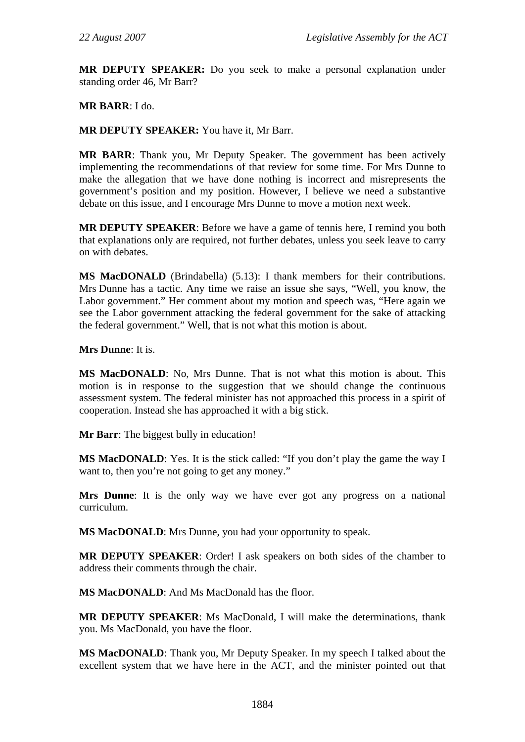**MR DEPUTY SPEAKER:** Do you seek to make a personal explanation under standing order 46, Mr Barr?

## **MR BARR**: I do.

## **MR DEPUTY SPEAKER:** You have it, Mr Barr.

**MR BARR**: Thank you, Mr Deputy Speaker. The government has been actively implementing the recommendations of that review for some time. For Mrs Dunne to make the allegation that we have done nothing is incorrect and misrepresents the government's position and my position. However, I believe we need a substantive debate on this issue, and I encourage Mrs Dunne to move a motion next week.

**MR DEPUTY SPEAKER**: Before we have a game of tennis here, I remind you both that explanations only are required, not further debates, unless you seek leave to carry on with debates.

**MS MacDONALD** (Brindabella) (5.13): I thank members for their contributions. Mrs Dunne has a tactic. Any time we raise an issue she says, "Well, you know, the Labor government." Her comment about my motion and speech was, "Here again we see the Labor government attacking the federal government for the sake of attacking the federal government." Well, that is not what this motion is about.

**Mrs Dunne**: It is.

**MS MacDONALD**: No, Mrs Dunne. That is not what this motion is about. This motion is in response to the suggestion that we should change the continuous assessment system. The federal minister has not approached this process in a spirit of cooperation. Instead she has approached it with a big stick.

**Mr Barr**: The biggest bully in education!

**MS MacDONALD**: Yes. It is the stick called: "If you don't play the game the way I want to, then you're not going to get any money."

**Mrs Dunne**: It is the only way we have ever got any progress on a national curriculum.

**MS MacDONALD**: Mrs Dunne, you had your opportunity to speak.

**MR DEPUTY SPEAKER**: Order! I ask speakers on both sides of the chamber to address their comments through the chair.

**MS MacDONALD**: And Ms MacDonald has the floor.

**MR DEPUTY SPEAKER**: Ms MacDonald, I will make the determinations, thank you. Ms MacDonald, you have the floor.

**MS MacDONALD**: Thank you, Mr Deputy Speaker. In my speech I talked about the excellent system that we have here in the ACT, and the minister pointed out that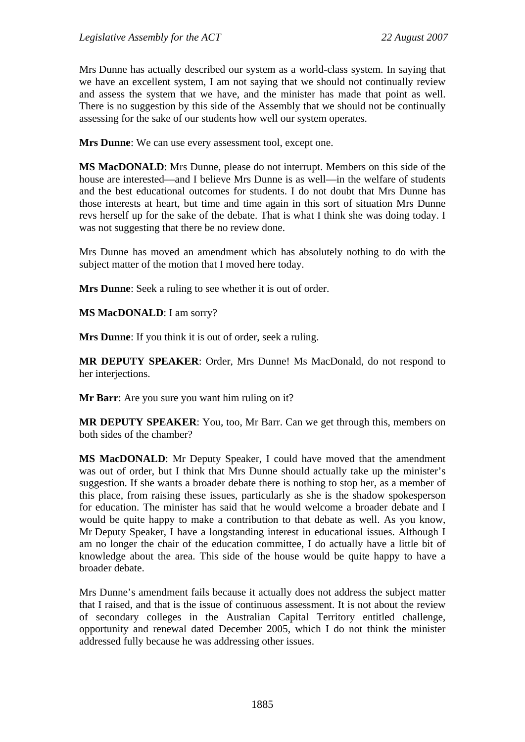Mrs Dunne has actually described our system as a world-class system. In saying that we have an excellent system, I am not saying that we should not continually review and assess the system that we have, and the minister has made that point as well. There is no suggestion by this side of the Assembly that we should not be continually assessing for the sake of our students how well our system operates.

**Mrs Dunne**: We can use every assessment tool, except one.

**MS MacDONALD**: Mrs Dunne, please do not interrupt. Members on this side of the house are interested—and I believe Mrs Dunne is as well—in the welfare of students and the best educational outcomes for students. I do not doubt that Mrs Dunne has those interests at heart, but time and time again in this sort of situation Mrs Dunne revs herself up for the sake of the debate. That is what I think she was doing today. I was not suggesting that there be no review done.

Mrs Dunne has moved an amendment which has absolutely nothing to do with the subject matter of the motion that I moved here today.

**Mrs Dunne**: Seek a ruling to see whether it is out of order.

**MS MacDONALD**: I am sorry?

**Mrs Dunne**: If you think it is out of order, seek a ruling.

**MR DEPUTY SPEAKER**: Order, Mrs Dunne! Ms MacDonald, do not respond to her interjections.

**Mr Barr**: Are you sure you want him ruling on it?

**MR DEPUTY SPEAKER**: You, too, Mr Barr. Can we get through this, members on both sides of the chamber?

**MS MacDONALD**: Mr Deputy Speaker, I could have moved that the amendment was out of order, but I think that Mrs Dunne should actually take up the minister's suggestion. If she wants a broader debate there is nothing to stop her, as a member of this place, from raising these issues, particularly as she is the shadow spokesperson for education. The minister has said that he would welcome a broader debate and I would be quite happy to make a contribution to that debate as well. As you know, Mr Deputy Speaker, I have a longstanding interest in educational issues. Although I am no longer the chair of the education committee, I do actually have a little bit of knowledge about the area. This side of the house would be quite happy to have a broader debate.

Mrs Dunne's amendment fails because it actually does not address the subject matter that I raised, and that is the issue of continuous assessment. It is not about the review of secondary colleges in the Australian Capital Territory entitled challenge, opportunity and renewal dated December 2005, which I do not think the minister addressed fully because he was addressing other issues.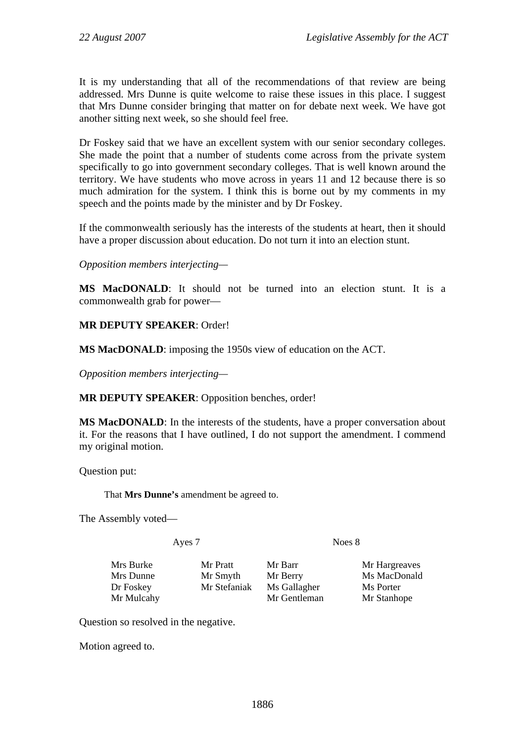It is my understanding that all of the recommendations of that review are being addressed. Mrs Dunne is quite welcome to raise these issues in this place. I suggest that Mrs Dunne consider bringing that matter on for debate next week. We have got another sitting next week, so she should feel free.

Dr Foskey said that we have an excellent system with our senior secondary colleges. She made the point that a number of students come across from the private system specifically to go into government secondary colleges. That is well known around the territory. We have students who move across in years 11 and 12 because there is so much admiration for the system. I think this is borne out by my comments in my speech and the points made by the minister and by Dr Foskey.

If the commonwealth seriously has the interests of the students at heart, then it should have a proper discussion about education. Do not turn it into an election stunt.

*Opposition members interjecting—* 

**MS MacDONALD**: It should not be turned into an election stunt. It is a commonwealth grab for power—

# **MR DEPUTY SPEAKER**: Order!

**MS MacDONALD**: imposing the 1950s view of education on the ACT.

*Opposition members interjecting—* 

**MR DEPUTY SPEAKER**: Opposition benches, order!

**MS MacDONALD**: In the interests of the students, have a proper conversation about it. For the reasons that I have outlined, I do not support the amendment. I commend my original motion.

Question put:

That **Mrs Dunne's** amendment be agreed to.

The Assembly voted—

Ayes 7 Noes 8

Mrs Burke Mr Pratt Mr Barr Mr Hargreaves Dr Foskey Mr Stefaniak Ms Gallagher Ms Porter Mr Mulcahy Mr Gentleman Mr Stanhope

Mrs Dunne Mr Smyth Mr Berry Ms MacDonald

Question so resolved in the negative.

Motion agreed to.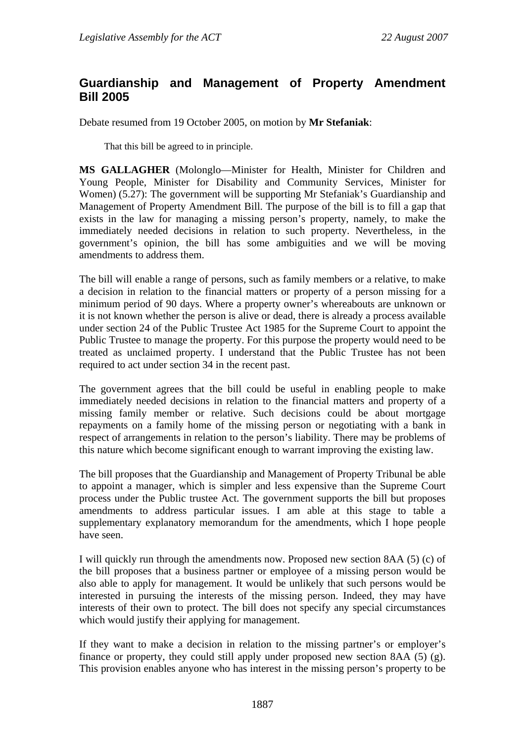# **Guardianship and Management of Property Amendment Bill 2005**

Debate resumed from 19 October 2005, on motion by **Mr Stefaniak**:

That this bill be agreed to in principle.

**MS GALLAGHER** (Molonglo—Minister for Health, Minister for Children and Young People, Minister for Disability and Community Services, Minister for Women) (5.27): The government will be supporting Mr Stefaniak's Guardianship and Management of Property Amendment Bill. The purpose of the bill is to fill a gap that exists in the law for managing a missing person's property, namely, to make the immediately needed decisions in relation to such property. Nevertheless, in the government's opinion, the bill has some ambiguities and we will be moving amendments to address them.

The bill will enable a range of persons, such as family members or a relative, to make a decision in relation to the financial matters or property of a person missing for a minimum period of 90 days. Where a property owner's whereabouts are unknown or it is not known whether the person is alive or dead, there is already a process available under section 24 of the Public Trustee Act 1985 for the Supreme Court to appoint the Public Trustee to manage the property. For this purpose the property would need to be treated as unclaimed property. I understand that the Public Trustee has not been required to act under section 34 in the recent past.

The government agrees that the bill could be useful in enabling people to make immediately needed decisions in relation to the financial matters and property of a missing family member or relative. Such decisions could be about mortgage repayments on a family home of the missing person or negotiating with a bank in respect of arrangements in relation to the person's liability. There may be problems of this nature which become significant enough to warrant improving the existing law.

The bill proposes that the Guardianship and Management of Property Tribunal be able to appoint a manager, which is simpler and less expensive than the Supreme Court process under the Public trustee Act. The government supports the bill but proposes amendments to address particular issues. I am able at this stage to table a supplementary explanatory memorandum for the amendments, which I hope people have seen.

I will quickly run through the amendments now. Proposed new section 8AA (5) (c) of the bill proposes that a business partner or employee of a missing person would be also able to apply for management. It would be unlikely that such persons would be interested in pursuing the interests of the missing person. Indeed, they may have interests of their own to protect. The bill does not specify any special circumstances which would justify their applying for management.

If they want to make a decision in relation to the missing partner's or employer's finance or property, they could still apply under proposed new section 8AA (5) (g). This provision enables anyone who has interest in the missing person's property to be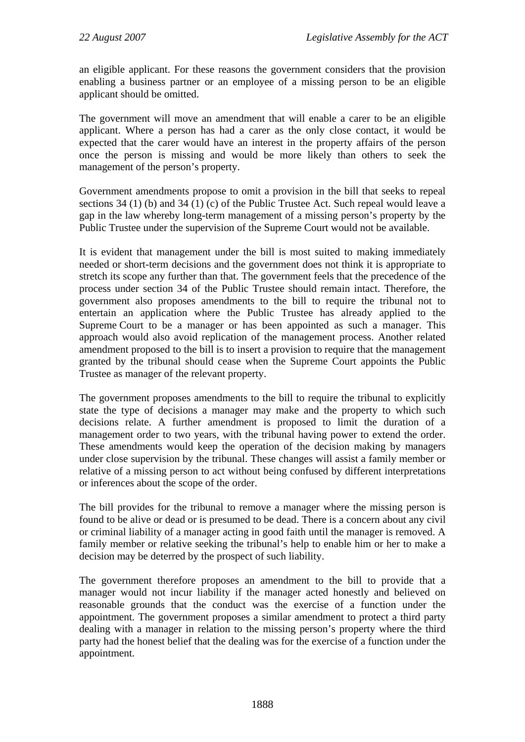an eligible applicant. For these reasons the government considers that the provision enabling a business partner or an employee of a missing person to be an eligible applicant should be omitted.

The government will move an amendment that will enable a carer to be an eligible applicant. Where a person has had a carer as the only close contact, it would be expected that the carer would have an interest in the property affairs of the person once the person is missing and would be more likely than others to seek the management of the person's property.

Government amendments propose to omit a provision in the bill that seeks to repeal sections 34 (1) (b) and 34 (1) (c) of the Public Trustee Act. Such repeal would leave a gap in the law whereby long-term management of a missing person's property by the Public Trustee under the supervision of the Supreme Court would not be available.

It is evident that management under the bill is most suited to making immediately needed or short-term decisions and the government does not think it is appropriate to stretch its scope any further than that. The government feels that the precedence of the process under section 34 of the Public Trustee should remain intact. Therefore, the government also proposes amendments to the bill to require the tribunal not to entertain an application where the Public Trustee has already applied to the Supreme Court to be a manager or has been appointed as such a manager. This approach would also avoid replication of the management process. Another related amendment proposed to the bill is to insert a provision to require that the management granted by the tribunal should cease when the Supreme Court appoints the Public Trustee as manager of the relevant property.

The government proposes amendments to the bill to require the tribunal to explicitly state the type of decisions a manager may make and the property to which such decisions relate. A further amendment is proposed to limit the duration of a management order to two years, with the tribunal having power to extend the order. These amendments would keep the operation of the decision making by managers under close supervision by the tribunal. These changes will assist a family member or relative of a missing person to act without being confused by different interpretations or inferences about the scope of the order.

The bill provides for the tribunal to remove a manager where the missing person is found to be alive or dead or is presumed to be dead. There is a concern about any civil or criminal liability of a manager acting in good faith until the manager is removed. A family member or relative seeking the tribunal's help to enable him or her to make a decision may be deterred by the prospect of such liability.

The government therefore proposes an amendment to the bill to provide that a manager would not incur liability if the manager acted honestly and believed on reasonable grounds that the conduct was the exercise of a function under the appointment. The government proposes a similar amendment to protect a third party dealing with a manager in relation to the missing person's property where the third party had the honest belief that the dealing was for the exercise of a function under the appointment.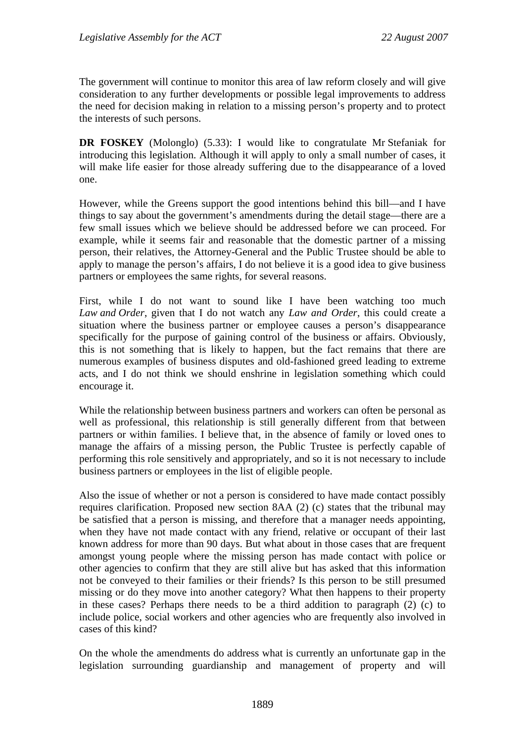The government will continue to monitor this area of law reform closely and will give consideration to any further developments or possible legal improvements to address the need for decision making in relation to a missing person's property and to protect the interests of such persons.

**DR FOSKEY** (Molonglo) (5.33): I would like to congratulate Mr Stefaniak for introducing this legislation. Although it will apply to only a small number of cases, it will make life easier for those already suffering due to the disappearance of a loved one.

However, while the Greens support the good intentions behind this bill—and I have things to say about the government's amendments during the detail stage—there are a few small issues which we believe should be addressed before we can proceed. For example, while it seems fair and reasonable that the domestic partner of a missing person, their relatives, the Attorney-General and the Public Trustee should be able to apply to manage the person's affairs, I do not believe it is a good idea to give business partners or employees the same rights, for several reasons.

First, while I do not want to sound like I have been watching too much *Law and Order*, given that I do not watch any *Law and Order*, this could create a situation where the business partner or employee causes a person's disappearance specifically for the purpose of gaining control of the business or affairs. Obviously, this is not something that is likely to happen, but the fact remains that there are numerous examples of business disputes and old-fashioned greed leading to extreme acts, and I do not think we should enshrine in legislation something which could encourage it.

While the relationship between business partners and workers can often be personal as well as professional, this relationship is still generally different from that between partners or within families. I believe that, in the absence of family or loved ones to manage the affairs of a missing person, the Public Trustee is perfectly capable of performing this role sensitively and appropriately, and so it is not necessary to include business partners or employees in the list of eligible people.

Also the issue of whether or not a person is considered to have made contact possibly requires clarification. Proposed new section 8AA (2) (c) states that the tribunal may be satisfied that a person is missing, and therefore that a manager needs appointing, when they have not made contact with any friend, relative or occupant of their last known address for more than 90 days. But what about in those cases that are frequent amongst young people where the missing person has made contact with police or other agencies to confirm that they are still alive but has asked that this information not be conveyed to their families or their friends? Is this person to be still presumed missing or do they move into another category? What then happens to their property in these cases? Perhaps there needs to be a third addition to paragraph (2) (c) to include police, social workers and other agencies who are frequently also involved in cases of this kind?

On the whole the amendments do address what is currently an unfortunate gap in the legislation surrounding guardianship and management of property and will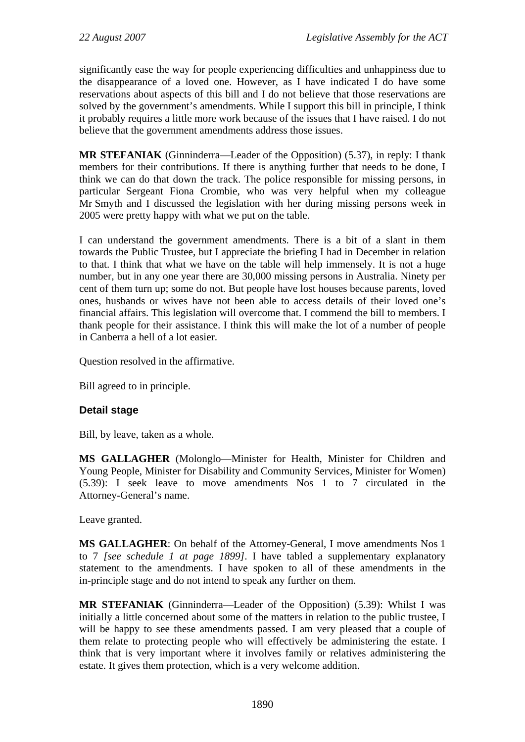significantly ease the way for people experiencing difficulties and unhappiness due to the disappearance of a loved one. However, as I have indicated I do have some reservations about aspects of this bill and I do not believe that those reservations are solved by the government's amendments. While I support this bill in principle, I think it probably requires a little more work because of the issues that I have raised. I do not believe that the government amendments address those issues.

**MR STEFANIAK** (Ginninderra—Leader of the Opposition) (5.37), in reply: I thank members for their contributions. If there is anything further that needs to be done, I think we can do that down the track. The police responsible for missing persons, in particular Sergeant Fiona Crombie, who was very helpful when my colleague Mr Smyth and I discussed the legislation with her during missing persons week in 2005 were pretty happy with what we put on the table.

I can understand the government amendments. There is a bit of a slant in them towards the Public Trustee, but I appreciate the briefing I had in December in relation to that. I think that what we have on the table will help immensely. It is not a huge number, but in any one year there are 30,000 missing persons in Australia. Ninety per cent of them turn up; some do not. But people have lost houses because parents, loved ones, husbands or wives have not been able to access details of their loved one's financial affairs. This legislation will overcome that. I commend the bill to members. I thank people for their assistance. I think this will make the lot of a number of people in Canberra a hell of a lot easier.

Question resolved in the affirmative.

Bill agreed to in principle.

# **Detail stage**

Bill, by leave, taken as a whole.

**MS GALLAGHER** (Molonglo—Minister for Health, Minister for Children and Young People, Minister for Disability and Community Services, Minister for Women) (5.39): I seek leave to move amendments Nos 1 to 7 circulated in the Attorney-General's name.

Leave granted.

**MS GALLAGHER**: On behalf of the Attorney-General, I move amendments Nos 1 to 7 *[see schedule 1 at page 1899]*. I have tabled a supplementary explanatory statement to the amendments. I have spoken to all of these amendments in the in-principle stage and do not intend to speak any further on them.

**MR STEFANIAK** (Ginninderra—Leader of the Opposition) (5.39): Whilst I was initially a little concerned about some of the matters in relation to the public trustee, I will be happy to see these amendments passed. I am very pleased that a couple of them relate to protecting people who will effectively be administering the estate. I think that is very important where it involves family or relatives administering the estate. It gives them protection, which is a very welcome addition.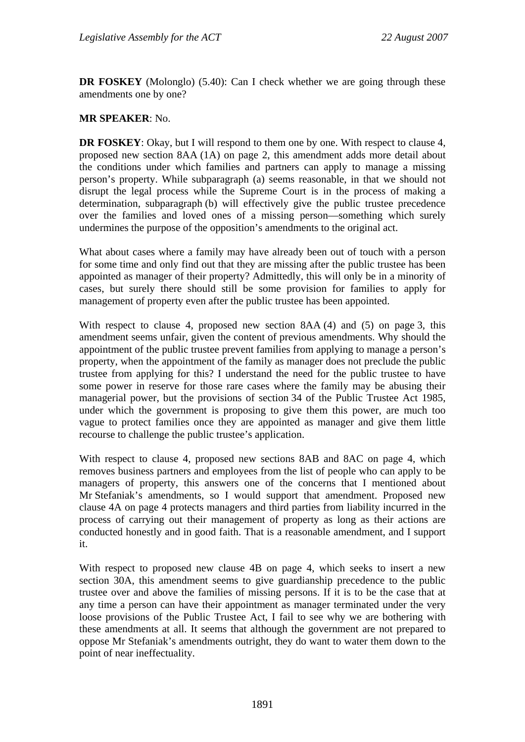**DR FOSKEY** (Molonglo) (5.40): Can I check whether we are going through these amendments one by one?

## **MR SPEAKER**: No.

**DR FOSKEY:** Okay, but I will respond to them one by one. With respect to clause 4, proposed new section 8AA (1A) on page 2, this amendment adds more detail about the conditions under which families and partners can apply to manage a missing person's property. While subparagraph (a) seems reasonable, in that we should not disrupt the legal process while the Supreme Court is in the process of making a determination, subparagraph (b) will effectively give the public trustee precedence over the families and loved ones of a missing person—something which surely undermines the purpose of the opposition's amendments to the original act.

What about cases where a family may have already been out of touch with a person for some time and only find out that they are missing after the public trustee has been appointed as manager of their property? Admittedly, this will only be in a minority of cases, but surely there should still be some provision for families to apply for management of property even after the public trustee has been appointed.

With respect to clause 4, proposed new section 8AA (4) and (5) on page 3, this amendment seems unfair, given the content of previous amendments. Why should the appointment of the public trustee prevent families from applying to manage a person's property, when the appointment of the family as manager does not preclude the public trustee from applying for this? I understand the need for the public trustee to have some power in reserve for those rare cases where the family may be abusing their managerial power, but the provisions of section 34 of the Public Trustee Act 1985, under which the government is proposing to give them this power, are much too vague to protect families once they are appointed as manager and give them little recourse to challenge the public trustee's application.

With respect to clause 4, proposed new sections 8AB and 8AC on page 4, which removes business partners and employees from the list of people who can apply to be managers of property, this answers one of the concerns that I mentioned about Mr Stefaniak's amendments, so I would support that amendment. Proposed new clause 4A on page 4 protects managers and third parties from liability incurred in the process of carrying out their management of property as long as their actions are conducted honestly and in good faith. That is a reasonable amendment, and I support it.

With respect to proposed new clause 4B on page 4, which seeks to insert a new section 30A, this amendment seems to give guardianship precedence to the public trustee over and above the families of missing persons. If it is to be the case that at any time a person can have their appointment as manager terminated under the very loose provisions of the Public Trustee Act, I fail to see why we are bothering with these amendments at all. It seems that although the government are not prepared to oppose Mr Stefaniak's amendments outright, they do want to water them down to the point of near ineffectuality.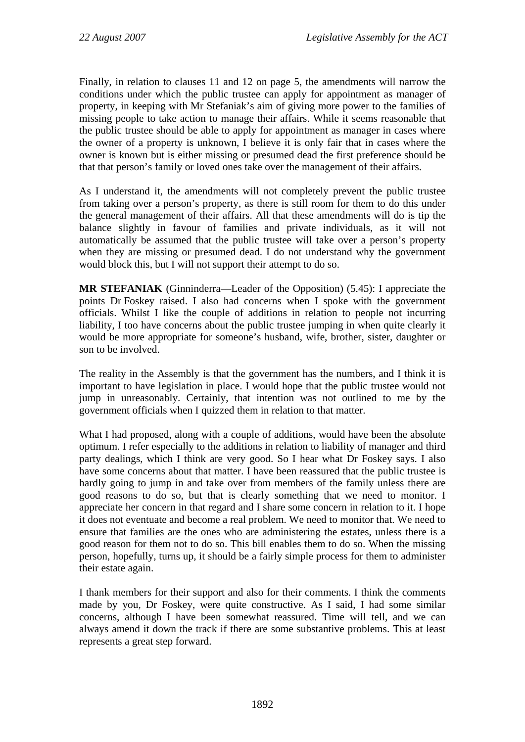Finally, in relation to clauses 11 and 12 on page 5, the amendments will narrow the conditions under which the public trustee can apply for appointment as manager of property, in keeping with Mr Stefaniak's aim of giving more power to the families of missing people to take action to manage their affairs. While it seems reasonable that the public trustee should be able to apply for appointment as manager in cases where the owner of a property is unknown, I believe it is only fair that in cases where the owner is known but is either missing or presumed dead the first preference should be that that person's family or loved ones take over the management of their affairs.

As I understand it, the amendments will not completely prevent the public trustee from taking over a person's property, as there is still room for them to do this under the general management of their affairs. All that these amendments will do is tip the balance slightly in favour of families and private individuals, as it will not automatically be assumed that the public trustee will take over a person's property when they are missing or presumed dead. I do not understand why the government would block this, but I will not support their attempt to do so.

**MR STEFANIAK** (Ginninderra—Leader of the Opposition) (5.45): I appreciate the points Dr Foskey raised. I also had concerns when I spoke with the government officials. Whilst I like the couple of additions in relation to people not incurring liability, I too have concerns about the public trustee jumping in when quite clearly it would be more appropriate for someone's husband, wife, brother, sister, daughter or son to be involved.

The reality in the Assembly is that the government has the numbers, and I think it is important to have legislation in place. I would hope that the public trustee would not jump in unreasonably. Certainly, that intention was not outlined to me by the government officials when I quizzed them in relation to that matter.

What I had proposed, along with a couple of additions, would have been the absolute optimum. I refer especially to the additions in relation to liability of manager and third party dealings, which I think are very good. So I hear what Dr Foskey says. I also have some concerns about that matter. I have been reassured that the public trustee is hardly going to jump in and take over from members of the family unless there are good reasons to do so, but that is clearly something that we need to monitor. I appreciate her concern in that regard and I share some concern in relation to it. I hope it does not eventuate and become a real problem. We need to monitor that. We need to ensure that families are the ones who are administering the estates, unless there is a good reason for them not to do so. This bill enables them to do so. When the missing person, hopefully, turns up, it should be a fairly simple process for them to administer their estate again.

I thank members for their support and also for their comments. I think the comments made by you, Dr Foskey, were quite constructive. As I said, I had some similar concerns, although I have been somewhat reassured. Time will tell, and we can always amend it down the track if there are some substantive problems. This at least represents a great step forward.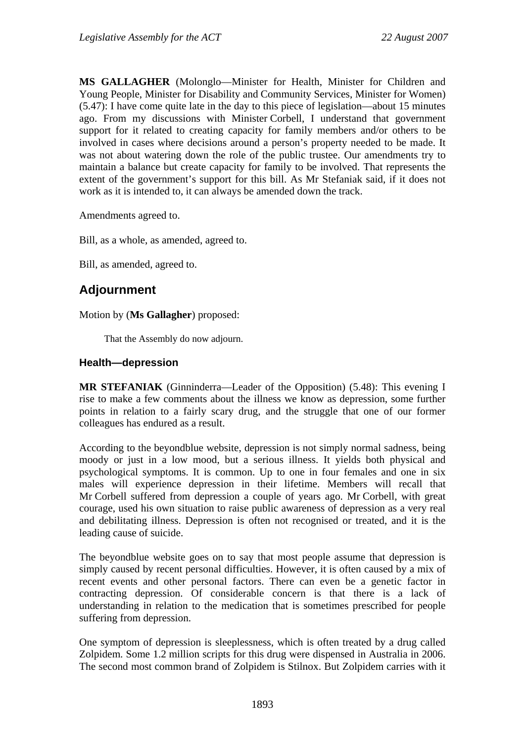**MS GALLAGHER** (Molonglo—Minister for Health, Minister for Children and Young People, Minister for Disability and Community Services, Minister for Women) (5.47): I have come quite late in the day to this piece of legislation—about 15 minutes ago. From my discussions with Minister Corbell, I understand that government support for it related to creating capacity for family members and/or others to be involved in cases where decisions around a person's property needed to be made. It was not about watering down the role of the public trustee. Our amendments try to maintain a balance but create capacity for family to be involved. That represents the extent of the government's support for this bill. As Mr Stefaniak said, if it does not work as it is intended to, it can always be amended down the track.

Amendments agreed to.

Bill, as a whole, as amended, agreed to.

Bill, as amended, agreed to.

# **Adjournment**

Motion by (**Ms Gallagher**) proposed:

That the Assembly do now adjourn.

## **Health—depression**

**MR STEFANIAK** (Ginninderra—Leader of the Opposition) (5.48): This evening I rise to make a few comments about the illness we know as depression, some further points in relation to a fairly scary drug, and the struggle that one of our former colleagues has endured as a result.

According to the beyondblue website, depression is not simply normal sadness, being moody or just in a low mood, but a serious illness. It yields both physical and psychological symptoms. It is common. Up to one in four females and one in six males will experience depression in their lifetime. Members will recall that Mr Corbell suffered from depression a couple of years ago. Mr Corbell, with great courage, used his own situation to raise public awareness of depression as a very real and debilitating illness. Depression is often not recognised or treated, and it is the leading cause of suicide.

The beyondblue website goes on to say that most people assume that depression is simply caused by recent personal difficulties. However, it is often caused by a mix of recent events and other personal factors. There can even be a genetic factor in contracting depression. Of considerable concern is that there is a lack of understanding in relation to the medication that is sometimes prescribed for people suffering from depression.

One symptom of depression is sleeplessness, which is often treated by a drug called Zolpidem. Some 1.2 million scripts for this drug were dispensed in Australia in 2006. The second most common brand of Zolpidem is Stilnox. But Zolpidem carries with it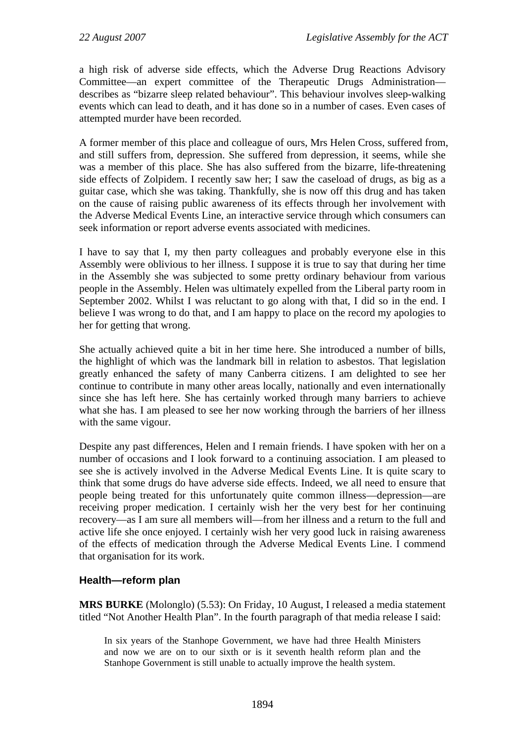a high risk of adverse side effects, which the Adverse Drug Reactions Advisory Committee—an expert committee of the Therapeutic Drugs Administration describes as "bizarre sleep related behaviour". This behaviour involves sleep-walking events which can lead to death, and it has done so in a number of cases. Even cases of attempted murder have been recorded.

A former member of this place and colleague of ours, Mrs Helen Cross, suffered from, and still suffers from, depression. She suffered from depression, it seems, while she was a member of this place. She has also suffered from the bizarre, life-threatening side effects of Zolpidem. I recently saw her; I saw the caseload of drugs, as big as a guitar case, which she was taking. Thankfully, she is now off this drug and has taken on the cause of raising public awareness of its effects through her involvement with the Adverse Medical Events Line, an interactive service through which consumers can seek information or report adverse events associated with medicines.

I have to say that I, my then party colleagues and probably everyone else in this Assembly were oblivious to her illness. I suppose it is true to say that during her time in the Assembly she was subjected to some pretty ordinary behaviour from various people in the Assembly. Helen was ultimately expelled from the Liberal party room in September 2002. Whilst I was reluctant to go along with that, I did so in the end. I believe I was wrong to do that, and I am happy to place on the record my apologies to her for getting that wrong.

She actually achieved quite a bit in her time here. She introduced a number of bills, the highlight of which was the landmark bill in relation to asbestos. That legislation greatly enhanced the safety of many Canberra citizens. I am delighted to see her continue to contribute in many other areas locally, nationally and even internationally since she has left here. She has certainly worked through many barriers to achieve what she has. I am pleased to see her now working through the barriers of her illness with the same vigour.

Despite any past differences, Helen and I remain friends. I have spoken with her on a number of occasions and I look forward to a continuing association. I am pleased to see she is actively involved in the Adverse Medical Events Line. It is quite scary to think that some drugs do have adverse side effects. Indeed, we all need to ensure that people being treated for this unfortunately quite common illness—depression—are receiving proper medication. I certainly wish her the very best for her continuing recovery—as I am sure all members will—from her illness and a return to the full and active life she once enjoyed. I certainly wish her very good luck in raising awareness of the effects of medication through the Adverse Medical Events Line. I commend that organisation for its work.

# **Health—reform plan**

**MRS BURKE** (Molonglo) (5.53): On Friday, 10 August, I released a media statement titled "Not Another Health Plan". In the fourth paragraph of that media release I said:

In six years of the Stanhope Government, we have had three Health Ministers and now we are on to our sixth or is it seventh health reform plan and the Stanhope Government is still unable to actually improve the health system.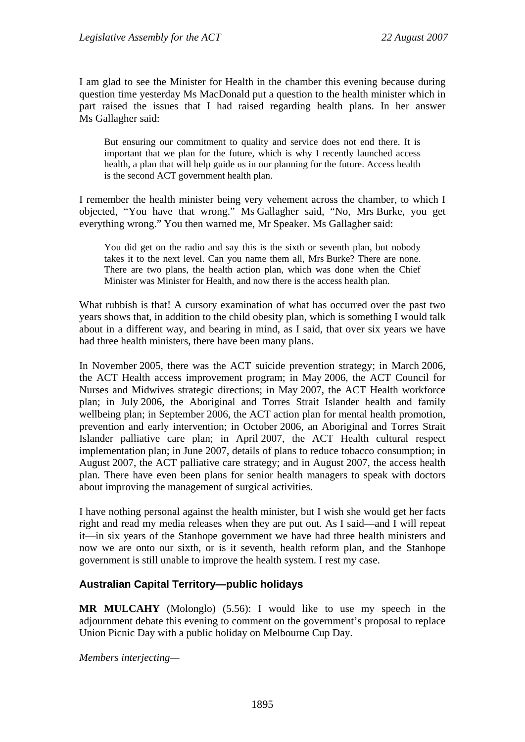I am glad to see the Minister for Health in the chamber this evening because during question time yesterday Ms MacDonald put a question to the health minister which in part raised the issues that I had raised regarding health plans. In her answer Ms Gallagher said:

But ensuring our commitment to quality and service does not end there. It is important that we plan for the future, which is why I recently launched access health, a plan that will help guide us in our planning for the future. Access health is the second ACT government health plan.

I remember the health minister being very vehement across the chamber, to which I objected, "You have that wrong." Ms Gallagher said, "No, Mrs Burke, you get everything wrong." You then warned me, Mr Speaker. Ms Gallagher said:

You did get on the radio and say this is the sixth or seventh plan, but nobody takes it to the next level. Can you name them all, Mrs Burke? There are none. There are two plans, the health action plan, which was done when the Chief Minister was Minister for Health, and now there is the access health plan.

What rubbish is that! A cursory examination of what has occurred over the past two years shows that, in addition to the child obesity plan, which is something I would talk about in a different way, and bearing in mind, as I said, that over six years we have had three health ministers, there have been many plans.

In November 2005, there was the ACT suicide prevention strategy; in March 2006, the ACT Health access improvement program; in May 2006, the ACT Council for Nurses and Midwives strategic directions; in May 2007, the ACT Health workforce plan; in July 2006, the Aboriginal and Torres Strait Islander health and family wellbeing plan; in September 2006, the ACT action plan for mental health promotion, prevention and early intervention; in October 2006, an Aboriginal and Torres Strait Islander palliative care plan; in April 2007, the ACT Health cultural respect implementation plan; in June 2007, details of plans to reduce tobacco consumption; in August 2007, the ACT palliative care strategy; and in August 2007, the access health plan. There have even been plans for senior health managers to speak with doctors about improving the management of surgical activities.

I have nothing personal against the health minister, but I wish she would get her facts right and read my media releases when they are put out. As I said—and I will repeat it—in six years of the Stanhope government we have had three health ministers and now we are onto our sixth, or is it seventh, health reform plan, and the Stanhope government is still unable to improve the health system. I rest my case.

# **Australian Capital Territory—public holidays**

**MR MULCAHY** (Molonglo) (5.56): I would like to use my speech in the adjournment debate this evening to comment on the government's proposal to replace Union Picnic Day with a public holiday on Melbourne Cup Day.

*Members interjecting—*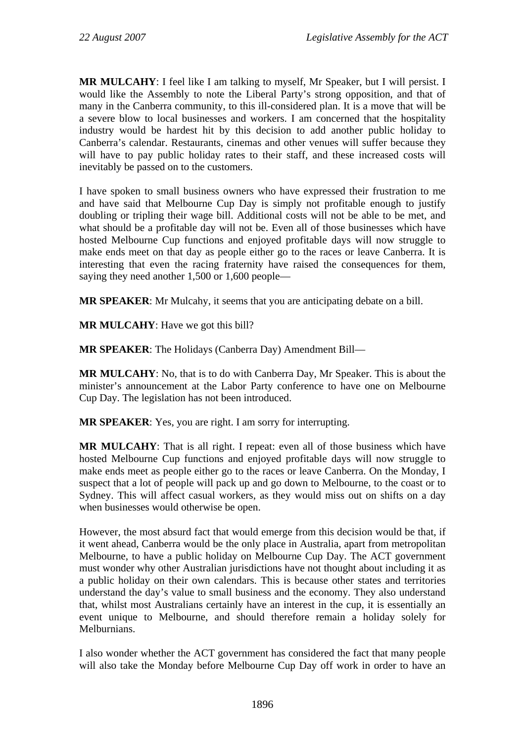**MR MULCAHY**: I feel like I am talking to myself, Mr Speaker, but I will persist. I would like the Assembly to note the Liberal Party's strong opposition, and that of many in the Canberra community, to this ill-considered plan. It is a move that will be a severe blow to local businesses and workers. I am concerned that the hospitality industry would be hardest hit by this decision to add another public holiday to Canberra's calendar. Restaurants, cinemas and other venues will suffer because they will have to pay public holiday rates to their staff, and these increased costs will inevitably be passed on to the customers.

I have spoken to small business owners who have expressed their frustration to me and have said that Melbourne Cup Day is simply not profitable enough to justify doubling or tripling their wage bill. Additional costs will not be able to be met, and what should be a profitable day will not be. Even all of those businesses which have hosted Melbourne Cup functions and enjoyed profitable days will now struggle to make ends meet on that day as people either go to the races or leave Canberra. It is interesting that even the racing fraternity have raised the consequences for them, saying they need another 1,500 or 1,600 people—

**MR SPEAKER**: Mr Mulcahy, it seems that you are anticipating debate on a bill.

**MR MULCAHY**: Have we got this bill?

**MR SPEAKER**: The Holidays (Canberra Day) Amendment Bill—

**MR MULCAHY**: No, that is to do with Canberra Day, Mr Speaker. This is about the minister's announcement at the Labor Party conference to have one on Melbourne Cup Day. The legislation has not been introduced.

**MR SPEAKER**: Yes, you are right. I am sorry for interrupting.

**MR MULCAHY**: That is all right. I repeat: even all of those business which have hosted Melbourne Cup functions and enjoyed profitable days will now struggle to make ends meet as people either go to the races or leave Canberra. On the Monday, I suspect that a lot of people will pack up and go down to Melbourne, to the coast or to Sydney. This will affect casual workers, as they would miss out on shifts on a day when businesses would otherwise be open.

However, the most absurd fact that would emerge from this decision would be that, if it went ahead, Canberra would be the only place in Australia, apart from metropolitan Melbourne, to have a public holiday on Melbourne Cup Day. The ACT government must wonder why other Australian jurisdictions have not thought about including it as a public holiday on their own calendars. This is because other states and territories understand the day's value to small business and the economy. They also understand that, whilst most Australians certainly have an interest in the cup, it is essentially an event unique to Melbourne, and should therefore remain a holiday solely for Melburnians.

I also wonder whether the ACT government has considered the fact that many people will also take the Monday before Melbourne Cup Day off work in order to have an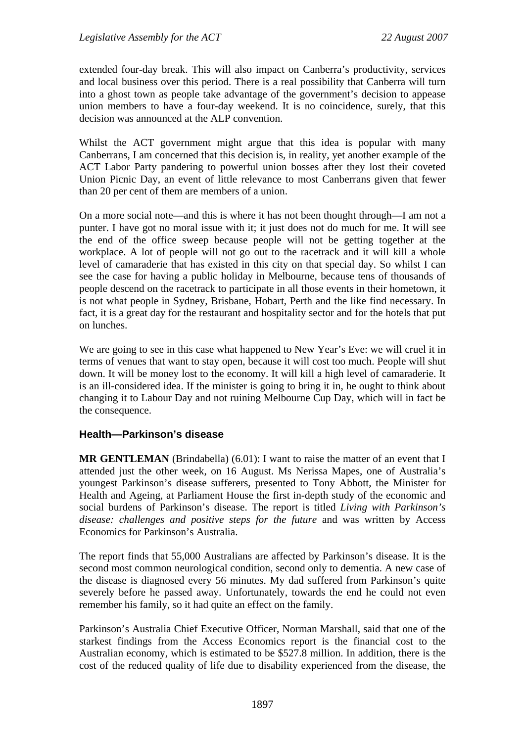extended four-day break. This will also impact on Canberra's productivity, services and local business over this period. There is a real possibility that Canberra will turn into a ghost town as people take advantage of the government's decision to appease union members to have a four-day weekend. It is no coincidence, surely, that this decision was announced at the ALP convention.

Whilst the ACT government might argue that this idea is popular with many Canberrans, I am concerned that this decision is, in reality, yet another example of the ACT Labor Party pandering to powerful union bosses after they lost their coveted Union Picnic Day, an event of little relevance to most Canberrans given that fewer than 20 per cent of them are members of a union.

On a more social note—and this is where it has not been thought through—I am not a punter. I have got no moral issue with it; it just does not do much for me. It will see the end of the office sweep because people will not be getting together at the workplace. A lot of people will not go out to the racetrack and it will kill a whole level of camaraderie that has existed in this city on that special day. So whilst I can see the case for having a public holiday in Melbourne, because tens of thousands of people descend on the racetrack to participate in all those events in their hometown, it is not what people in Sydney, Brisbane, Hobart, Perth and the like find necessary. In fact, it is a great day for the restaurant and hospitality sector and for the hotels that put on lunches.

We are going to see in this case what happened to New Year's Eve: we will cruel it in terms of venues that want to stay open, because it will cost too much. People will shut down. It will be money lost to the economy. It will kill a high level of camaraderie. It is an ill-considered idea. If the minister is going to bring it in, he ought to think about changing it to Labour Day and not ruining Melbourne Cup Day, which will in fact be the consequence.

# **Health—Parkinson's disease**

**MR GENTLEMAN** (Brindabella) (6.01): I want to raise the matter of an event that I attended just the other week, on 16 August. Ms Nerissa Mapes, one of Australia's youngest Parkinson's disease sufferers, presented to Tony Abbott, the Minister for Health and Ageing, at Parliament House the first in-depth study of the economic and social burdens of Parkinson's disease. The report is titled *Living with Parkinson's disease: challenges and positive steps for the future* and was written by Access Economics for Parkinson's Australia.

The report finds that 55,000 Australians are affected by Parkinson's disease. It is the second most common neurological condition, second only to dementia. A new case of the disease is diagnosed every 56 minutes. My dad suffered from Parkinson's quite severely before he passed away. Unfortunately, towards the end he could not even remember his family, so it had quite an effect on the family.

Parkinson's Australia Chief Executive Officer, Norman Marshall, said that one of the starkest findings from the Access Economics report is the financial cost to the Australian economy, which is estimated to be \$527.8 million. In addition, there is the cost of the reduced quality of life due to disability experienced from the disease, the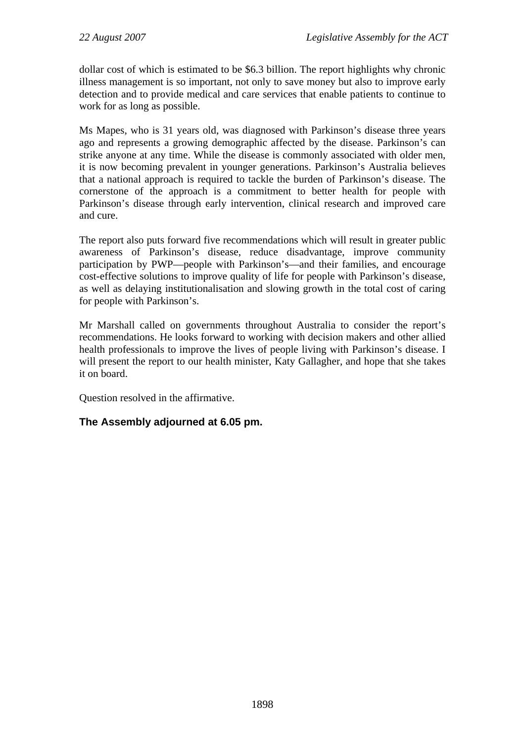dollar cost of which is estimated to be \$6.3 billion. The report highlights why chronic illness management is so important, not only to save money but also to improve early detection and to provide medical and care services that enable patients to continue to work for as long as possible.

Ms Mapes, who is 31 years old, was diagnosed with Parkinson's disease three years ago and represents a growing demographic affected by the disease. Parkinson's can strike anyone at any time. While the disease is commonly associated with older men, it is now becoming prevalent in younger generations. Parkinson's Australia believes that a national approach is required to tackle the burden of Parkinson's disease. The cornerstone of the approach is a commitment to better health for people with Parkinson's disease through early intervention, clinical research and improved care and cure.

The report also puts forward five recommendations which will result in greater public awareness of Parkinson's disease, reduce disadvantage, improve community participation by PWP—people with Parkinson's—and their families, and encourage cost-effective solutions to improve quality of life for people with Parkinson's disease, as well as delaying institutionalisation and slowing growth in the total cost of caring for people with Parkinson's.

Mr Marshall called on governments throughout Australia to consider the report's recommendations. He looks forward to working with decision makers and other allied health professionals to improve the lives of people living with Parkinson's disease. I will present the report to our health minister, Katy Gallagher, and hope that she takes it on board.

Question resolved in the affirmative.

# **The Assembly adjourned at 6.05 pm.**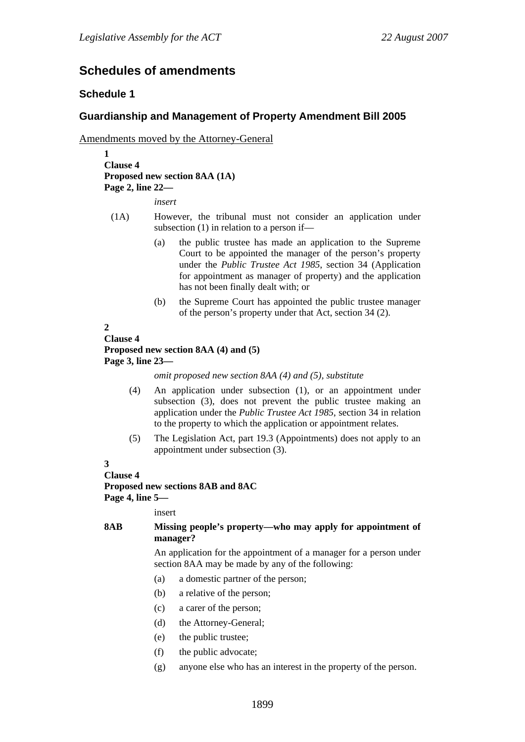# **Schedules of amendments**

### **Schedule 1**

## **Guardianship and Management of Property Amendment Bill 2005**

Amendments moved by the Attorney-General

**1 Clause 4 Proposed new section 8AA (1A) Page 2, line 22—** 

*insert* 

- (1A) However, the tribunal must not consider an application under subsection (1) in relation to a person if—
	- (a) the public trustee has made an application to the Supreme Court to be appointed the manager of the person's property under the *Public Trustee Act 1985*, section 34 (Application for appointment as manager of property) and the application has not been finally dealt with; or
	- (b) the Supreme Court has appointed the public trustee manager of the person's property under that Act, section 34 (2).

## **2**

#### **Clause 4 Proposed new section 8AA (4) and (5) Page 3, line 23—**

*omit proposed new section 8AA (4) and (5), substitute* 

- (4) An application under subsection (1), or an appointment under subsection (3), does not prevent the public trustee making an application under the *Public Trustee Act 1985*, section 34 in relation to the property to which the application or appointment relates.
- (5) The Legislation Act, part 19.3 (Appointments) does not apply to an appointment under subsection (3).

# **3**

**Clause 4** 

**Proposed new sections 8AB and 8AC** 

**Page 4, line 5—** 

insert

#### **8AB Missing people's property—who may apply for appointment of manager?**

An application for the appointment of a manager for a person under section 8AA may be made by any of the following:

- (a) a domestic partner of the person;
- (b) a relative of the person;
- (c) a carer of the person;
- (d) the Attorney-General;
- (e) the public trustee;
- (f) the public advocate;
- (g) anyone else who has an interest in the property of the person.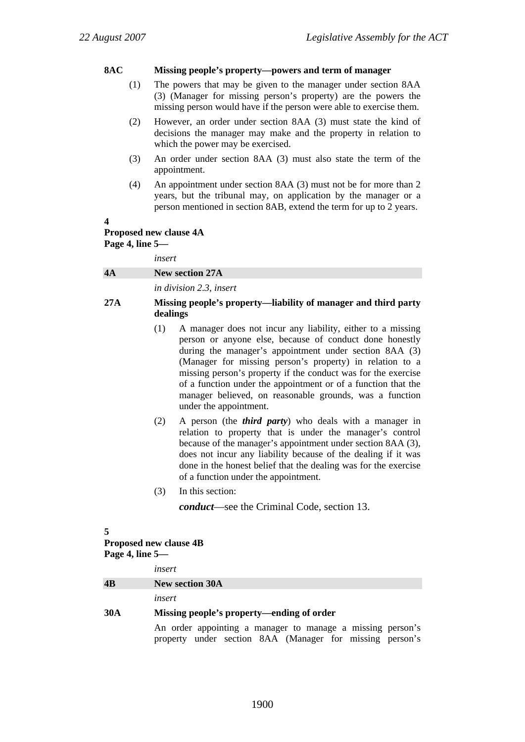#### **8AC Missing people's property—powers and term of manager**

- (1) The powers that may be given to the manager under section 8AA (3) (Manager for missing person's property) are the powers the missing person would have if the person were able to exercise them.
- (2) However, an order under section 8AA (3) must state the kind of decisions the manager may make and the property in relation to which the power may be exercised.
- (3) An order under section 8AA (3) must also state the term of the appointment.
- (4) An appointment under section 8AA (3) must not be for more than 2 years, but the tribunal may, on application by the manager or a person mentioned in section 8AB, extend the term for up to 2 years.

#### **4**

### **Proposed new clause 4A Page 4, line 5—**

*insert* 

|    | .                              |
|----|--------------------------------|
| 4A | New section 27A                |
|    | <i>in division 2.3, insert</i> |

#### **27A Missing people's property—liability of manager and third party dealings**

- (1) A manager does not incur any liability, either to a missing person or anyone else, because of conduct done honestly during the manager's appointment under section 8AA (3) (Manager for missing person's property) in relation to a missing person's property if the conduct was for the exercise of a function under the appointment or of a function that the manager believed, on reasonable grounds, was a function under the appointment.
- (2) A person (the *third party*) who deals with a manager in relation to property that is under the manager's control because of the manager's appointment under section 8AA (3), does not incur any liability because of the dealing if it was done in the honest belief that the dealing was for the exercise of a function under the appointment.
- (3) In this section:

*conduct*—see the Criminal Code, section 13.

#### **5**

# **Proposed new clause 4B Page 4, line 5—**

*insert*  **4B New section 30A**  *insert*  **30A Missing people's property—ending of order**  An order appointing a manager to manage a missing person's

property under section 8AA (Manager for missing person's